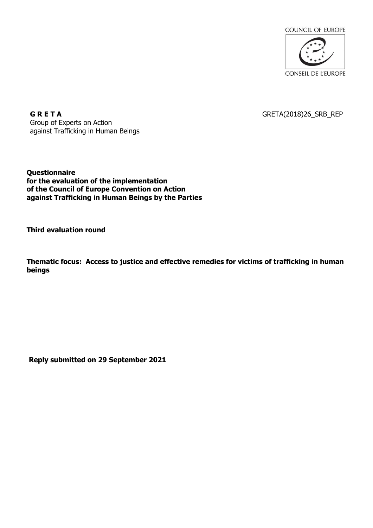

GRETA(2018)26\_SRB\_REP

**G R E T A** Group of Experts on Action against Trafficking in Human Beings

**Questionnaire for the evaluation of the implementation of the Council of Europe Convention on Action against Trafficking in Human Beings by the Parties**

**Third evaluation round**

**Thematic focus: Access to justice and effective remedies for victims of trafficking in human beings**

**Reply submitted on 29 September 2021**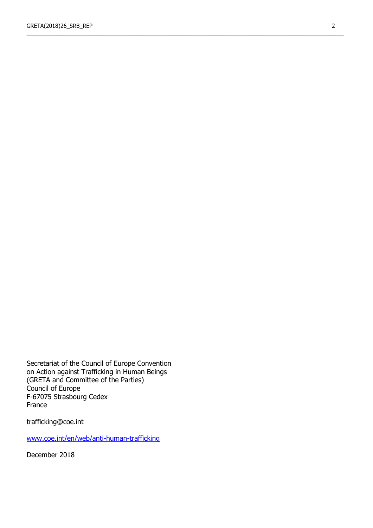\_\_\_\_\_\_\_\_\_\_\_\_\_\_\_\_\_\_\_\_\_\_\_\_\_\_\_\_\_\_\_\_\_\_\_\_\_\_\_\_\_\_\_\_\_\_\_\_\_\_\_\_\_\_\_\_\_\_\_\_\_\_\_\_\_\_\_\_\_\_\_\_\_\_\_\_\_\_\_\_\_\_\_\_\_\_\_\_\_\_\_\_\_\_\_\_\_\_\_\_\_\_\_

Secretariat of the Council of Europe Convention on Action against Trafficking in Human Beings (GRETA and Committee of the Parties) Council of Europe F-67075 Strasbourg Cedex France

trafficking@coe.int

[www.coe.int/en/web/anti-human-trafficking](http://www.coe.int/en/web/anti-human-trafficking)

December 2018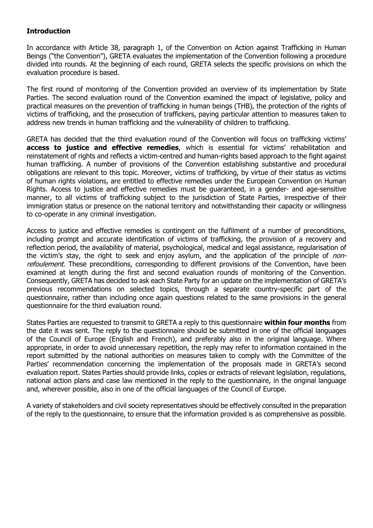### **Introduction**

In accordance with Article 38, paragraph 1, of the Convention on Action against Trafficking in Human Beings ("the Convention"), GRETA evaluates the implementation of the Convention following a procedure divided into rounds. At the beginning of each round, GRETA selects the specific provisions on which the evaluation procedure is based.

The first round of monitoring of the Convention provided an overview of its implementation by State Parties. The second evaluation round of the Convention examined the impact of legislative, policy and practical measures on the prevention of trafficking in human beings (THB), the protection of the rights of victims of trafficking, and the prosecution of traffickers, paying particular attention to measures taken to address new trends in human trafficking and the vulnerability of children to trafficking.

GRETA has decided that the third evaluation round of the Convention will focus on trafficking victims' **access to justice and effective remedies**, which is essential for victims' rehabilitation and reinstatement of rights and reflects a victim-centred and human-rights based approach to the fight against human trafficking. A number of provisions of the Convention establishing substantive and procedural obligations are relevant to this topic. Moreover, victims of trafficking, by virtue of their status as victims of human rights violations, are entitled to effective remedies under the European Convention on Human Rights. Access to justice and effective remedies must be guaranteed, in a gender- and age-sensitive manner, to all victims of trafficking subject to the jurisdiction of State Parties, irrespective of their immigration status or presence on the national territory and notwithstanding their capacity or willingness to co-operate in any criminal investigation.

Access to justice and effective remedies is contingent on the fulfilment of a number of preconditions, including prompt and accurate identification of victims of trafficking, the provision of a recovery and reflection period, the availability of material, psychological, medical and legal assistance, regularisation of the victim's stay, the right to seek and enjoy asylum, and the application of the principle of *non*refoulement. These preconditions, corresponding to different provisions of the Convention. have been examined at length during the first and second evaluation rounds of monitoring of the Convention. Consequently, GRETA has decided to ask each State Party for an update on the implementation of GRETA's previous recommendations on selected topics, through a separate country-specific part of the questionnaire, rather than including once again questions related to the same provisions in the general questionnaire for the third evaluation round.

States Parties are requested to transmit to GRETA a reply to this questionnaire **within four months** from the date it was sent. The reply to the questionnaire should be submitted in one of the official languages of the Council of Europe (English and French), and preferably also in the original language. Where appropriate, in order to avoid unnecessary repetition, the reply may refer to information contained in the report submitted by the national authorities on measures taken to comply with the Committee of the Parties' recommendation concerning the implementation of the proposals made in GRETA's second evaluation report. States Parties should provide links, copies or extracts of relevant legislation, regulations, national action plans and case law mentioned in the reply to the questionnaire, in the original language and, wherever possible, also in one of the official languages of the Council of Europe.

A variety of stakeholders and civil society representatives should be effectively consulted in the preparation of the reply to the questionnaire, to ensure that the information provided is as comprehensive as possible.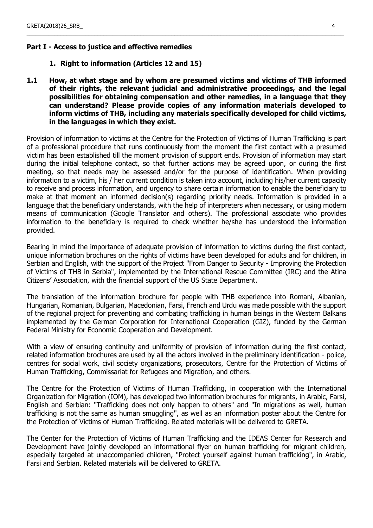### **Part I - Access to justice and effective remedies**

- **1. Right to information (Articles 12 and 15)**
- **1.1 How, at what stage and by whom are presumed victims and victims of THB informed of their rights, the relevant judicial and administrative proceedings, and the legal possibilities for obtaining compensation and other remedies, in a language that they can understand? Please provide copies of any information materials developed to inform victims of THB, including any materials specifically developed for child victims, in the languages in which they exist.**

\_\_\_\_\_\_\_\_\_\_\_\_\_\_\_\_\_\_\_\_\_\_\_\_\_\_\_\_\_\_\_\_\_\_\_\_\_\_\_\_\_\_\_\_\_\_\_\_\_\_\_\_\_\_\_\_\_\_\_\_\_\_\_\_\_\_\_\_\_\_\_\_\_\_\_\_\_\_\_\_\_\_\_\_\_\_\_\_\_\_\_\_\_\_\_\_\_\_\_\_\_\_\_

Provision of information to victims at the Centre for the Protection of Victims of Human Trafficking is part of a professional procedure that runs continuously from the moment the first contact with a presumed victim has been established till the moment provision of support ends. Provision of information may start during the initial telephone contact, so that further actions may be agreed upon, or during the first meeting, so that needs may be assessed and/or for the purpose of identification. When providing information to a victim, his / her current condition is taken into account, including his/her current capacity to receive and process information, and urgency to share certain information to enable the beneficiary to make at that moment an informed decision(s) regarding priority needs. Information is provided in a language that the beneficiary understands, with the help of interpreters when necessary, or using modern means of communication (Google Translator and others). The professional associate who provides information to the beneficiary is required to check whether he/she has understood the information provided.

Bearing in mind the importance of adequate provision of information to victims during the first contact, unique information brochures on the rights of victims have been developed for adults and for children, in Serbian and English, with the support of the Project "From Danger to Security - Improving the Protection of Victims of THB in Serbia", implemented by the International Rescue Committee (IRC) and the Atina Citizens' Association, with the financial support of the US State Department.

The translation of the information brochure for people with THB experience into Romani, Albanian, Hungarian, Romanian, Bulgarian, Macedonian, Farsi, French and Urdu was made possible with the support of the regional project for preventing and combating trafficking in human beings in the Western Balkans implemented by the German Corporation for International Cooperation (GIZ), funded by the German Federal Ministry for Economic Cooperation and Development.

With a view of ensuring continuity and uniformity of provision of information during the first contact, related information brochures are used by all the actors involved in the preliminary identification - police, centres for social work, civil society organizations, prosecutors, Centre for the Protection of Victims of Human Trafficking, Commissariat for Refugees and Migration, and others.

The Centre for the Protection of Victims of Human Trafficking, in cooperation with the International Organization for Migration (IOM), has developed two information brochures for migrants, in Arabic, Farsi, English and Serbian: "Trafficking does not only happen to others" and "In migrations as well, human trafficking is not the same as human smuggling'', as well as an information poster about the Centre for the Protection of Victims of Human Trafficking. Related materials will be delivered to GRETA.

The Center for the Protection of Victims of Human Trafficking and the IDEAS Center for Research and Development have jointly developed an informational flyer on human trafficking for migrant children, especially targeted at unaccompanied children, "Protect yourself against human trafficking", in Arabic, Farsi and Serbian. Related materials will be delivered to GRETA.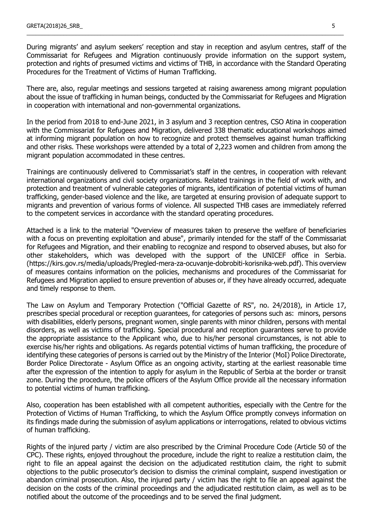During migrants' and asylum seekers' reception and stay in reception and asylum centres, staff of the Commissariat for Refugees and Migration continuously provide information on the support system, protection and rights of presumed victims and victims of THB, in accordance with the Standard Operating Procedures for the Treatment of Victims of Human Trafficking.

\_\_\_\_\_\_\_\_\_\_\_\_\_\_\_\_\_\_\_\_\_\_\_\_\_\_\_\_\_\_\_\_\_\_\_\_\_\_\_\_\_\_\_\_\_\_\_\_\_\_\_\_\_\_\_\_\_\_\_\_\_\_\_\_\_\_\_\_\_\_\_\_\_\_\_\_\_\_\_\_\_\_\_\_\_\_\_\_\_\_\_\_\_\_\_\_\_\_\_\_\_\_\_

There are, also, regular meetings and sessions targeted at raising awareness among migrant population about the issue of trafficking in human beings, conducted by the Commissariat for Refugees and Migration in cooperation with international and non-governmental organizations.

In the period from 2018 to end-June 2021, in 3 asylum and 3 reception centres, CSO Atina in cooperation with the Commissariat for Refugees and Migration, delivered 338 thematic educational workshops aimed at informing migrant population on how to recognize and protect themselves against human trafficking and other risks. These workshops were attended by a total of 2,223 women and children from among the migrant population accommodated in these centres.

Trainings are continuously delivered to Commissariat's staff in the centres, in cooperation with relevant international organizations and civil society organizations. Related trainings in the field of work with, and protection and treatment of vulnerable categories of migrants, identification of potential victims of human trafficking, gender-based violence and the like, are targeted at ensuring provision of adequate support to migrants and prevention of various forms of violence. All suspected THB cases are immediately referred to the competent services in accordance with the standard operating procedures.

Attached is a link to the material "Overview of measures taken to preserve the welfare of beneficiaries with a focus on preventing exploitation and abuse", primarily intended for the staff of the Commissariat for Refugees and Migration, and their enabling to recognize and respond to observed abuses, but also for other stakeholders, which was developed with the support of the UNICEF office in Serbia. (https://kirs.gov.rs/media/uploads/Pregled-mera-za-ocuvanje-dobrobiti-korisnika-web.pdf). This overview of measures contains information on the policies, mechanisms and procedures of the Commissariat for Refugees and Migration applied to ensure prevention of abuses or, if they have already occurred, adequate and timely response to them.

The Law on Asylum and Temporary Protection ("Official Gazette of RS", no. 24/2018), in Article 17, prescribes special procedural or reception guarantees, for categories of persons such as: minors, persons with disabilities, elderly persons, pregnant women, single parents with minor children, persons with mental disorders, as well as victims of trafficking. Special procedural and reception guarantees serve to provide the appropriate assistance to the Applicant who, due to his/her personal circumstances, is not able to exercise his/her rights and obligations. As regards potential victims of human trafficking, the procedure of identifying these categories of persons is carried out by the Ministry of the Interior (MoI) Police Directorate, Border Police Directorate - Asylum Office as an ongoing activity, starting at the earliest reasonable time after the expression of the intention to apply for asylum in the Republic of Serbia at the border or transit zone. During the procedure, the police officers of the Asylum Office provide all the necessary information to potential victims of human trafficking.

Also, cooperation has been established with all competent authorities, especially with the Centre for the Protection of Victims of Human Trafficking, to which the Asylum Office promptly conveys information on its findings made during the submission of asylum applications or interrogations, related to obvious victims of human trafficking.

Rights of the injured party / victim are also prescribed by the Criminal Procedure Code (Article 50 of the CPC). These rights, enjoyed throughout the procedure, include the right to realize a restitution claim, the right to file an appeal against the decision on the adjudicated restitution claim, the right to submit objections to the public prosecutor's decision to dismiss the criminal complaint, suspend investigation or abandon criminal prosecution. Also, the injured party / victim has the right to file an appeal against the decision on the costs of the criminal proceedings and the adjudicated restitution claim, as well as to be notified about the outcome of the proceedings and to be served the final judgment.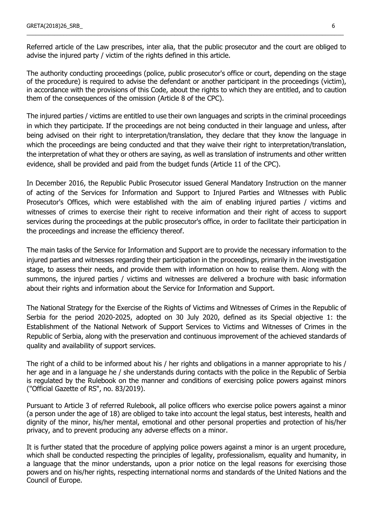Referred article of the Law prescribes, inter alia, that the public prosecutor and the court are obliged to advise the injured party / victim of the rights defined in this article.

\_\_\_\_\_\_\_\_\_\_\_\_\_\_\_\_\_\_\_\_\_\_\_\_\_\_\_\_\_\_\_\_\_\_\_\_\_\_\_\_\_\_\_\_\_\_\_\_\_\_\_\_\_\_\_\_\_\_\_\_\_\_\_\_\_\_\_\_\_\_\_\_\_\_\_\_\_\_\_\_\_\_\_\_\_\_\_\_\_\_\_\_\_\_\_\_\_\_\_\_\_\_\_

The authority conducting proceedings (police, public prosecutor's office or court, depending on the stage of the procedure) is required to advise the defendant or another participant in the proceedings (victim), in accordance with the provisions of this Code, about the rights to which they are entitled, and to caution them of the consequences of the omission (Article 8 of the CPC).

The injured parties / victims are entitled to use their own languages and scripts in the criminal proceedings in which they participate. If the proceedings are not being conducted in their language and unless, after being advised on their right to interpretation/translation, they declare that they know the language in which the proceedings are being conducted and that they waive their right to interpretation/translation, the interpretation of what they or others are saying, as well as translation of instruments and other written evidence, shall be provided and paid from the budget funds (Article 11 of the CPC).

In December 2016, the Republic Public Prosecutor issued General Mandatory Instruction on the manner of acting of the Services for Information and Support to Injured Parties and Witnesses with Public Prosecutor's Offices, which were established with the aim of enabling injured parties / victims and witnesses of crimes to exercise their right to receive information and their right of access to support services during the proceedings at the public prosecutor's office, in order to facilitate their participation in the proceedings and increase the efficiency thereof.

The main tasks of the Service for Information and Support are to provide the necessary information to the injured parties and witnesses regarding their participation in the proceedings, primarily in the investigation stage, to assess their needs, and provide them with information on how to realise them. Along with the summons, the injured parties / victims and witnesses are delivered a brochure with basic information about their rights and information about the Service for Information and Support.

The National Strategy for the Exercise of the Rights of Victims and Witnesses of Crimes in the Republic of Serbia for the period 2020-2025, adopted on 30 July 2020, defined as its Special objective 1: the Establishment of the National Network of Support Services to Victims and Witnesses of Crimes in the Republic of Serbia, along with the preservation and continuous improvement of the achieved standards of quality and availability of support services.

The right of a child to be informed about his / her rights and obligations in a manner appropriate to his / her age and in a language he / she understands during contacts with the police in the Republic of Serbia is regulated by the Rulebook on the manner and conditions of exercising police powers against minors ("Official Gazette of RS", no. 83/2019).

Pursuant to Article 3 of referred Rulebook, all police officers who exercise police powers against a minor (a person under the age of 18) are obliged to take into account the legal status, best interests, health and dignity of the minor, his/her mental, emotional and other personal properties and protection of his/her privacy, and to prevent producing any adverse effects on a minor.

It is further stated that the procedure of applying police powers against a minor is an urgent procedure, which shall be conducted respecting the principles of legality, professionalism, equality and humanity, in a language that the minor understands, upon a prior notice on the legal reasons for exercising those powers and on his/her rights, respecting international norms and standards of the United Nations and the Council of Europe.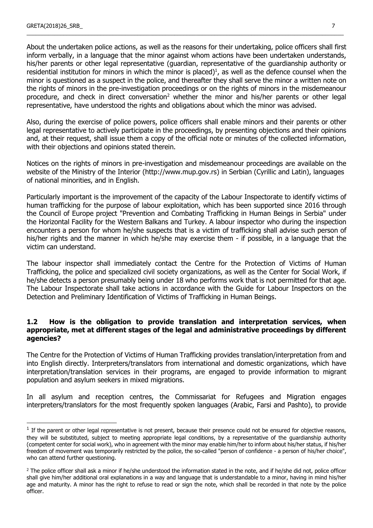About the undertaken police actions, as well as the reasons for their undertaking, police officers shall first inform verbally, in a language that the minor against whom actions have been undertaken understands, his/her parents or other legal representative (guardian, representative of the guardianship authority or residential institution for minors in which the minor is placed) 1 , as well as the defence counsel when the minor is questioned as a suspect in the police, and thereafter they shall serve the minor a written note on the rights of minors in the pre-investigation proceedings or on the rights of minors in the misdemeanour procedure, and check in direct conversation<sup>2</sup> whether the minor and his/her parents or other legal representative, have understood the rights and obligations about which the minor was advised.

\_\_\_\_\_\_\_\_\_\_\_\_\_\_\_\_\_\_\_\_\_\_\_\_\_\_\_\_\_\_\_\_\_\_\_\_\_\_\_\_\_\_\_\_\_\_\_\_\_\_\_\_\_\_\_\_\_\_\_\_\_\_\_\_\_\_\_\_\_\_\_\_\_\_\_\_\_\_\_\_\_\_\_\_\_\_\_\_\_\_\_\_\_\_\_\_\_\_\_\_\_\_\_

Also, during the exercise of police powers, police officers shall enable minors and their parents or other legal representative to actively participate in the proceedings, by presenting objections and their opinions and, at their request, shall issue them a copy of the official note or minutes of the collected information, with their objections and opinions stated therein.

Notices on the rights of minors in pre-investigation and misdemeanour proceedings are available on the website of the Ministry of the Interior (http://www.mup.gov.rs) in Serbian (Cyrillic and Latin), languages of national minorities, and in English.

Particularly important is the improvement of the capacity of the Labour Inspectorate to identify victims of human trafficking for the purpose of labour exploitation, which has been supported since 2016 through the Council of Europe project "Prevention and Combating Trafficking in Human Beings in Serbia" under the Horizontal Facility for the Western Balkans and Turkey. A labour inspector who during the inspection encounters a person for whom he/she suspects that is a victim of trafficking shall advise such person of his/her rights and the manner in which he/she may exercise them - if possible, in a language that the victim can understand.

The labour inspector shall immediately contact the Centre for the Protection of Victims of Human Trafficking, the police and specialized civil society organizations, as well as the Center for Social Work, if he/she detects a person presumably being under 18 who performs work that is not permitted for that age. The Labour Inspectorate shall take actions in accordance with the Guide for Labour Inspectors on the Detection and Preliminary Identification of Victims of Trafficking in Human Beings.

### **1.2 How is the obligation to provide translation and interpretation services, when appropriate, met at different stages of the legal and administrative proceedings by different agencies?**

The Centre for the Protection of Victims of Human Trafficking provides translation/interpretation from and into English directly. Interpreters/translators from international and domestic organizations, which have interpretation/translation services in their programs, are engaged to provide information to migrant population and asylum seekers in mixed migrations.

In all asylum and reception centres, the Commissariat for Refugees and Migration engages interpreters/translators for the most frequently spoken languages (Arabic, Farsi and Pashto), to provide

<sup>&</sup>lt;sup>1</sup> If the parent or other legal representative is not present, because their presence could not be ensured for objective reasons, they will be substituted, subject to meeting appropriate legal conditions, by a representative of the guardianship authority (competent center for social work), who in agreement with the minor may enable him/her to inform about his/her status, if his/her freedom of movement was temporarily restricted by the police, the so-called "person of confidence - a person of his/her choice", who can attend further questioning.

<sup>&</sup>lt;sup>2</sup> The police officer shall ask a minor if he/she understood the information stated in the note, and if he/she did not, police officer shall give him/her additional oral explanations in a way and language that is understandable to a minor, having in mind his/her age and maturity. A minor has the right to refuse to read or sign the note, which shall be recorded in that note by the police officer.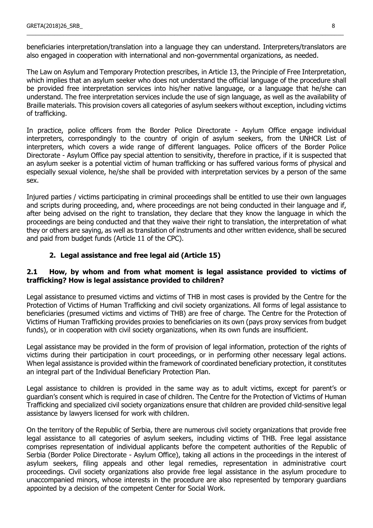beneficiaries interpretation/translation into a language they can understand. Interpreters/translators are also engaged in cooperation with international and non-governmental organizations, as needed.

\_\_\_\_\_\_\_\_\_\_\_\_\_\_\_\_\_\_\_\_\_\_\_\_\_\_\_\_\_\_\_\_\_\_\_\_\_\_\_\_\_\_\_\_\_\_\_\_\_\_\_\_\_\_\_\_\_\_\_\_\_\_\_\_\_\_\_\_\_\_\_\_\_\_\_\_\_\_\_\_\_\_\_\_\_\_\_\_\_\_\_\_\_\_\_\_\_\_\_\_\_\_\_

The Law on Asylum and Temporary Protection prescribes, in Article 13, the Principle of Free Interpretation, which implies that an asylum seeker who does not understand the official language of the procedure shall be provided free interpretation services into his/her native language, or a language that he/she can understand. The free interpretation services include the use of sign language, as well as the availability of Braille materials. This provision covers all categories of asylum seekers without exception, including victims of trafficking.

In practice, police officers from the Border Police Directorate - Asylum Office engage individual interpreters, correspondingly to the country of origin of asylum seekers, from the UNHCR List of interpreters, which covers a wide range of different languages. Police officers of the Border Police Directorate - Asylum Office pay special attention to sensitivity, therefore in practice, if it is suspected that an asylum seeker is a potential victim of human trafficking or has suffered various forms of physical and especially sexual violence, he/she shall be provided with interpretation services by a person of the same sex.

Injured parties / victims participating in criminal proceedings shall be entitled to use their own languages and scripts during proceeding, and, where proceedings are not being conducted in their language and if, after being advised on the right to translation, they declare that they know the language in which the proceedings are being conducted and that they waive their right to translation, the interpretation of what they or others are saying, as well as translation of instruments and other written evidence, shall be secured and paid from budget funds (Article 11 of the CPC).

# **2. Legal assistance and free legal aid (Article 15)**

### **2.1 How, by whom and from what moment is legal assistance provided to victims of trafficking? How is legal assistance provided to children?**

Legal assistance to presumed victims and victims of THB in most cases is provided by the Centre for the Protection of Victims of Human Trafficking and civil society organizations. All forms of legal assistance to beneficiaries (presumed victims and victims of THB) are free of charge. The Centre for the Protection of Victims of Human Trafficking provides proxies to beneficiaries on its own (pays proxy services from budget funds), or in cooperation with civil society organizations, when its own funds are insufficient.

Legal assistance may be provided in the form of provision of legal information, protection of the rights of victims during their participation in court proceedings, or in performing other necessary legal actions. When legal assistance is provided within the framework of coordinated beneficiary protection, it constitutes an integral part of the Individual Beneficiary Protection Plan.

Legal assistance to children is provided in the same way as to adult victims, except for parent's or guardian's consent which is required in case of children. The Centre for the Protection of Victims of Human Trafficking and specialized civil society organizations ensure that children are provided child-sensitive legal assistance by lawyers licensed for work with children.

On the territory of the Republic of Serbia, there are numerous civil society organizations that provide free legal assistance to all categories of asylum seekers, including victims of THB. Free legal assistance comprises representation of individual applicants before the competent authorities of the Republic of Serbia (Border Police Directorate - Asylum Office), taking all actions in the proceedings in the interest of asylum seekers, filing appeals and other legal remedies, representation in administrative court proceedings. Civil society organizations also provide free legal assistance in the asylum procedure to unaccompanied minors, whose interests in the procedure are also represented by temporary guardians appointed by a decision of the competent Center for Social Work.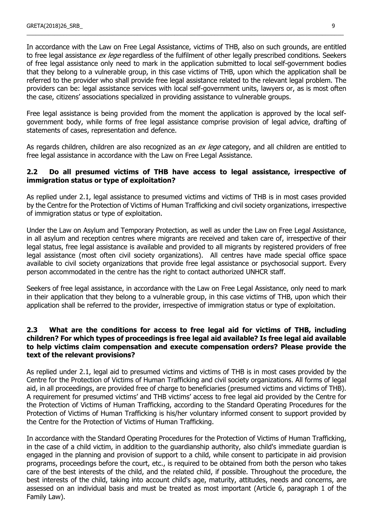In accordance with the Law on Free Legal Assistance, victims of THB, also on such grounds, are entitled to free legal assistance ex lege regardless of the fulfilment of other legally prescribed conditions. Seekers of free legal assistance only need to mark in the application submitted to local self-government bodies that they belong to a vulnerable group, in this case victims of THB, upon which the application shall be referred to the provider who shall provide free legal assistance related to the relevant legal problem. The providers can be: legal assistance services with local self-government units, lawyers or, as is most often the case, citizens' associations specialized in providing assistance to vulnerable groups.

\_\_\_\_\_\_\_\_\_\_\_\_\_\_\_\_\_\_\_\_\_\_\_\_\_\_\_\_\_\_\_\_\_\_\_\_\_\_\_\_\_\_\_\_\_\_\_\_\_\_\_\_\_\_\_\_\_\_\_\_\_\_\_\_\_\_\_\_\_\_\_\_\_\_\_\_\_\_\_\_\_\_\_\_\_\_\_\_\_\_\_\_\_\_\_\_\_\_\_\_\_\_\_

Free legal assistance is being provided from the moment the application is approved by the local selfgovernment body, while forms of free legal assistance comprise provision of legal advice, drafting of statements of cases, representation and defence.

As regards children, children are also recognized as an ex lege category, and all children are entitled to free legal assistance in accordance with the Law on Free Legal Assistance.

### **2.2 Do all presumed victims of THB have access to legal assistance, irrespective of immigration status or type of exploitation?**

As replied under 2.1, legal assistance to presumed victims and victims of THB is in most cases provided by the Centre for the Protection of Victims of Human Trafficking and civil society organizations, irrespective of immigration status or type of exploitation.

Under the Law on Asylum and Temporary Protection, as well as under the Law on Free Legal Assistance, in all asylum and reception centres where migrants are received and taken care of, irrespective of their legal status, free legal assistance is available and provided to all migrants by registered providers of free legal assistance (most often civil society organizations). All centres have made special office space available to civil society organizations that provide free legal assistance or psychosocial support. Every person accommodated in the centre has the right to contact authorized UNHCR staff.

Seekers of free legal assistance, in accordance with the Law on Free Legal Assistance, only need to mark in their application that they belong to a vulnerable group, in this case victims of THB, upon which their application shall be referred to the provider, irrespective of immigration status or type of exploitation.

### **2.3 What are the conditions for access to free legal aid for victims of THB, including children? For which types of proceedings is free legal aid available? Is free legal aid available to help victims claim compensation and execute compensation orders? Please provide the text of the relevant provisions?**

As replied under 2.1, legal aid to presumed victims and victims of THB is in most cases provided by the Centre for the Protection of Victims of Human Trafficking and civil society organizations. All forms of legal aid, in all proceedings, are provided free of charge to beneficiaries (presumed victims and victims of THB). A requirement for presumed victims' and THB victims' access to free legal aid provided by the Centre for the Protection of Victims of Human Trafficking, according to the Standard Operating Procedures for the Protection of Victims of Human Trafficking is his/her voluntary informed consent to support provided by the Centre for the Protection of Victims of Human Trafficking.

In accordance with the Standard Operating Procedures for the Protection of Victims of Human Trafficking, in the case of a child victim, in addition to the guardianship authority, also child's immediate guardian is engaged in the planning and provision of support to a child, while consent to participate in aid provision programs, proceedings before the court, etc., is required to be obtained from both the person who takes care of the best interests of the child, and the related child, if possible. Throughout the procedure, the best interests of the child, taking into account child's age, maturity, attitudes, needs and concerns, are assessed on an individual basis and must be treated as most important (Article 6, paragraph 1 of the Family Law).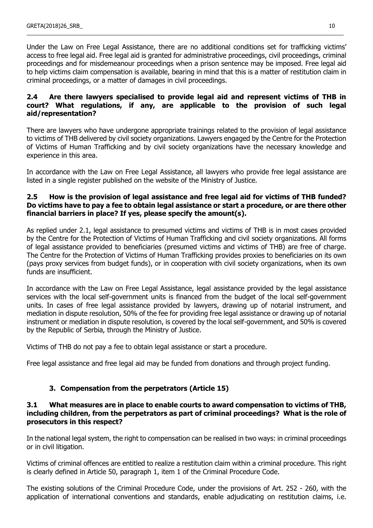Under the Law on Free Legal Assistance, there are no additional conditions set for trafficking victims' access to free legal aid. Free legal aid is granted for administrative proceedings, civil proceedings, criminal proceedings and for misdemeanour proceedings when a prison sentence may be imposed. Free legal aid to help victims claim compensation is available, bearing in mind that this is a matter of restitution claim in criminal proceedings, or a matter of damages in civil proceedings.

\_\_\_\_\_\_\_\_\_\_\_\_\_\_\_\_\_\_\_\_\_\_\_\_\_\_\_\_\_\_\_\_\_\_\_\_\_\_\_\_\_\_\_\_\_\_\_\_\_\_\_\_\_\_\_\_\_\_\_\_\_\_\_\_\_\_\_\_\_\_\_\_\_\_\_\_\_\_\_\_\_\_\_\_\_\_\_\_\_\_\_\_\_\_\_\_\_\_\_\_\_\_\_

### **2.4 Are there lawyers specialised to provide legal aid and represent victims of THB in court? What regulations, if any, are applicable to the provision of such legal aid/representation?**

There are lawyers who have undergone appropriate trainings related to the provision of legal assistance to victims of THB delivered by civil society organizations. Lawyers engaged by the Centre for the Protection of Victims of Human Trafficking and by civil society organizations have the necessary knowledge and experience in this area.

In accordance with the Law on Free Legal Assistance, all lawyers who provide free legal assistance are listed in a single register published on the website of the Ministry of Justice.

# **2.5 How is the provision of legal assistance and free legal aid for victims of THB funded? Do victims have to pay a fee to obtain legal assistance or start a procedure, or are there other financial barriers in place? If yes, please specify the amount(s).**

As replied under 2.1, legal assistance to presumed victims and victims of THB is in most cases provided by the Centre for the Protection of Victims of Human Trafficking and civil society organizations. All forms of legal assistance provided to beneficiaries (presumed victims and victims of THB) are free of charge. The Centre for the Protection of Victims of Human Trafficking provides proxies to beneficiaries on its own (pays proxy services from budget funds), or in cooperation with civil society organizations, when its own funds are insufficient.

In accordance with the Law on Free Legal Assistance, legal assistance provided by the legal assistance services with the local self-government units is financed from the budget of the local self-government units. In cases of free legal assistance provided by lawyers, drawing up of notarial instrument, and mediation in dispute resolution, 50% of the fee for providing free legal assistance or drawing up of notarial instrument or mediation in dispute resolution, is covered by the local self-government, and 50% is covered by the Republic of Serbia, through the Ministry of Justice.

Victims of THB do not pay a fee to obtain legal assistance or start a procedure.

Free legal assistance and free legal aid may be funded from donations and through project funding.

# **3. Compensation from the perpetrators (Article 15)**

### **3.1 What measures are in place to enable courts to award compensation to victims of THB, including children, from the perpetrators as part of criminal proceedings? What is the role of prosecutors in this respect?**

In the national legal system, the right to compensation can be realised in two ways: in criminal proceedings or in civil litigation.

Victims of criminal offences are entitled to realize a restitution claim within a criminal procedure. This right is clearly defined in Article 50, paragraph 1, item 1 of the Criminal Procedure Code.

The existing solutions of the Criminal Procedure Code, under the provisions of Art. 252 - 260, with the application of international conventions and standards, enable adjudicating on restitution claims, i.e.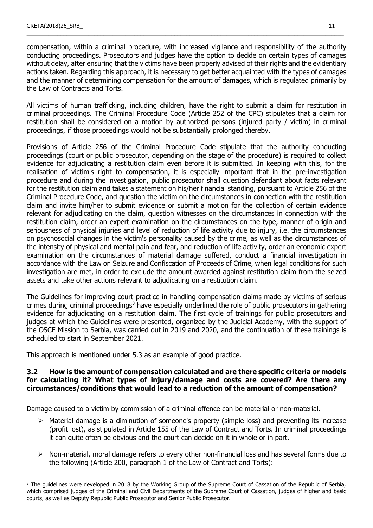$\overline{a}$ 

compensation, within a criminal procedure, with increased vigilance and responsibility of the authority conducting proceedings. Prosecutors and judges have the option to decide on certain types of damages without delay, after ensuring that the victims have been properly advised of their rights and the evidentiary actions taken. Regarding this approach, it is necessary to get better acquainted with the types of damages and the manner of determining compensation for the amount of damages, which is regulated primarily by the Law of Contracts and Torts.

\_\_\_\_\_\_\_\_\_\_\_\_\_\_\_\_\_\_\_\_\_\_\_\_\_\_\_\_\_\_\_\_\_\_\_\_\_\_\_\_\_\_\_\_\_\_\_\_\_\_\_\_\_\_\_\_\_\_\_\_\_\_\_\_\_\_\_\_\_\_\_\_\_\_\_\_\_\_\_\_\_\_\_\_\_\_\_\_\_\_\_\_\_\_\_\_\_\_\_\_\_\_\_

All victims of human trafficking, including children, have the right to submit a claim for restitution in criminal proceedings. The Criminal Procedure Code (Article 252 of the CPC) stipulates that a claim for restitution shall be considered on a motion by authorized persons (injured party / victim) in criminal proceedings, if those proceedings would not be substantially prolonged thereby.

Provisions of Article 256 of the Criminal Procedure Code stipulate that the authority conducting proceedings (court or public prosecutor, depending on the stage of the procedure) is required to collect evidence for adjudicating a restitution claim even before it is submitted. In keeping with this, for the realisation of victim's right to compensation, it is especially important that in the pre-investigation procedure and during the investigation, public prosecutor shall question defendant about facts relevant for the restitution claim and takes a statement on his/her financial standing, pursuant to Article 256 of the Criminal Procedure Code, and question the victim on the circumstances in connection with the restitution claim and invite him/her to submit evidence or submit a motion for the collection of certain evidence relevant for adjudicating on the claim, question witnesses on the circumstances in connection with the restitution claim, order an expert examination on the circumstances on the type, manner of origin and seriousness of physical injuries and level of reduction of life activity due to injury, i.e. the circumstances on psychosocial changes in the victim's personality caused by the crime, as well as the circumstances of the intensity of physical and mental pain and fear, and reduction of life activity, order an economic expert examination on the circumstances of material damage suffered, conduct a financial investigation in accordance with the Law on Seizure and Confiscation of Proceeds of Crime, when legal conditions for such investigation are met, in order to exclude the amount awarded against restitution claim from the seized assets and take other actions relevant to adjudicating on a restitution claim.

The Guidelines for improving court practice in handling compensation claims made by victims of serious crimes during criminal proceedings<sup>3</sup> have especially underlined the role of public prosecutors in gathering evidence for adjudicating on a restitution claim. The first cycle of trainings for public prosecutors and judges at which the Guidelines were presented, organized by the Judicial Academy, with the support of the OSCE Mission to Serbia, was carried out in 2019 and 2020, and the continuation of these trainings is scheduled to start in September 2021.

This approach is mentioned under 5.3 as an example of good practice.

### **3.2 How is the amount of compensation calculated and are there specific criteria or models for calculating it? What types of injury/damage and costs are covered? Are there any circumstances/conditions that would lead to a reduction of the amount of compensation?**

Damage caused to a victim by commission of a criminal offence can be material or non-material.

- $\triangleright$  Material damage is a diminution of someone's property (simple loss) and preventing its increase (profit lost), as stipulated in Article 155 of the Law of Contract and Torts. In criminal proceedings it can quite often be obvious and the court can decide on it in whole or in part.
- $\triangleright$  Non-material, moral damage refers to every other non-financial loss and has several forms due to the following (Article 200, paragraph 1 of the Law of Contract and Torts):

<sup>&</sup>lt;sup>3</sup> The quidelines were developed in 2018 by the Working Group of the Supreme Court of Cassation of the Republic of Serbia, which comprised judges of the Criminal and Civil Departments of the Supreme Court of Cassation, judges of higher and basic courts, as well as Deputy Republic Public Prosecutor and Senior Public Prosecutor.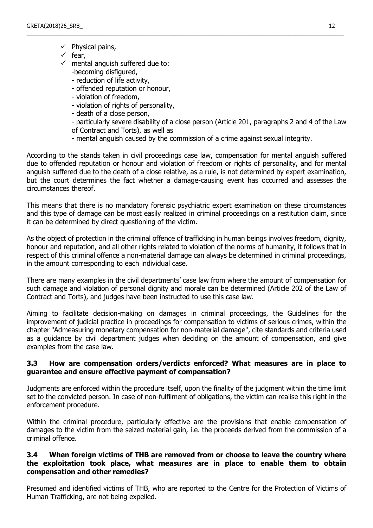- $\checkmark$  Physical pains,
- $\checkmark$  fear,
- $\checkmark$  mental anguish suffered due to: -becoming disfigured,
	- reduction of life activity,
	- offended reputation or honour,
	- violation of freedom,
	- violation of rights of personality,
	- death of a close person,

- particularly severe disability of a close person (Article 201, paragraphs 2 and 4 of the Law of Contract and Torts), as well as

- mental anguish caused by the commission of a crime against sexual integrity.

\_\_\_\_\_\_\_\_\_\_\_\_\_\_\_\_\_\_\_\_\_\_\_\_\_\_\_\_\_\_\_\_\_\_\_\_\_\_\_\_\_\_\_\_\_\_\_\_\_\_\_\_\_\_\_\_\_\_\_\_\_\_\_\_\_\_\_\_\_\_\_\_\_\_\_\_\_\_\_\_\_\_\_\_\_\_\_\_\_\_\_\_\_\_\_\_\_\_\_\_\_\_\_

According to the stands taken in civil proceedings case law, compensation for mental anguish suffered due to offended reputation or honour and violation of freedom or rights of personality, and for mental anguish suffered due to the death of a close relative, as a rule, is not determined by expert examination, but the court determines the fact whether a damage-causing event has occurred and assesses the circumstances thereof.

This means that there is no mandatory forensic psychiatric expert examination on these circumstances and this type of damage can be most easily realized in criminal proceedings on a restitution claim, since it can be determined by direct questioning of the victim.

As the object of protection in the criminal offence of trafficking in human beings involves freedom, dignity, honour and reputation, and all other rights related to violation of the norms of humanity, it follows that in respect of this criminal offence a non-material damage can always be determined in criminal proceedings, in the amount corresponding to each individual case.

There are many examples in the civil departments' case law from where the amount of compensation for such damage and violation of personal dignity and morale can be determined (Article 202 of the Law of Contract and Torts), and judges have been instructed to use this case law.

Aiming to facilitate decision-making on damages in criminal proceedings, the Guidelines for the improvement of judicial practice in proceedings for compensation to victims of serious crimes, within the chapter "Admeasuring monetary compensation for non-material damage", cite standards and criteria used as a guidance by civil department judges when deciding on the amount of compensation, and give examples from the case law.

### **3.3 How are compensation orders/verdicts enforced? What measures are in place to guarantee and ensure effective payment of compensation?**

Judgments are enforced within the procedure itself, upon the finality of the judgment within the time limit set to the convicted person. In case of non-fulfilment of obligations, the victim can realise this right in the enforcement procedure.

Within the criminal procedure, particularly effective are the provisions that enable compensation of damages to the victim from the seized material gain, i.e. the proceeds derived from the commission of a criminal offence.

### **3.4 When foreign victims of THB are removed from or choose to leave the country where the exploitation took place, what measures are in place to enable them to obtain compensation and other remedies?**

Presumed and identified victims of THB, who are reported to the Centre for the Protection of Victims of Human Trafficking, are not being expelled.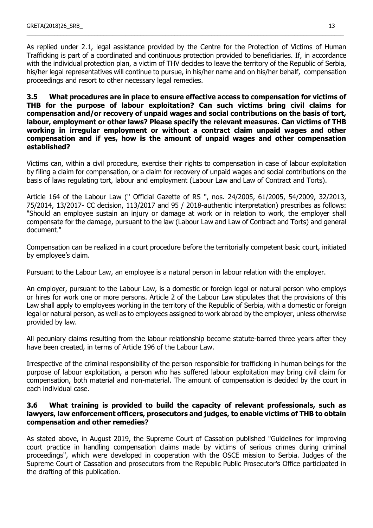As replied under 2.1, legal assistance provided by the Centre for the Protection of Victims of Human Trafficking is part of a coordinated and continuous protection provided to beneficiaries. If, in accordance with the individual protection plan, a victim of THV decides to leave the territory of the Republic of Serbia, his/her legal representatives will continue to pursue, in his/her name and on his/her behalf, compensation proceedings and resort to other necessary legal remedies.

\_\_\_\_\_\_\_\_\_\_\_\_\_\_\_\_\_\_\_\_\_\_\_\_\_\_\_\_\_\_\_\_\_\_\_\_\_\_\_\_\_\_\_\_\_\_\_\_\_\_\_\_\_\_\_\_\_\_\_\_\_\_\_\_\_\_\_\_\_\_\_\_\_\_\_\_\_\_\_\_\_\_\_\_\_\_\_\_\_\_\_\_\_\_\_\_\_\_\_\_\_\_\_

**3.5 What procedures are in place to ensure effective access to compensation for victims of THB for the purpose of labour exploitation? Can such victims bring civil claims for compensation and/or recovery of unpaid wages and social contributions on the basis of tort, labour, employment or other laws? Please specify the relevant measures. Can victims of THB working in irregular employment or without a contract claim unpaid wages and other compensation and if yes, how is the amount of unpaid wages and other compensation established?**

Victims can, within a civil procedure, exercise their rights to compensation in case of labour exploitation by filing a claim for compensation, or a claim for recovery of unpaid wages and social contributions on the basis of laws regulating tort, labour and employment (Labour Law and Law of Contract and Torts).

Article 164 of the Labour Law ('' Official Gazette of RS '', nos. 24/2005, 61/2005, 54/2009, 32/2013, 75/2014, 13/2017- CC decision, 113/2017 and 95 / 2018-authentic interpretation) prescribes as follows: "Should an employee sustain an injury or damage at work or in relation to work, the employer shall compensate for the damage, pursuant to the law (Labour Law and Law of Contract and Torts) and general document."

Compensation can be realized in a court procedure before the territorially competent basic court, initiated by employee's claim.

Pursuant to the Labour Law, an employee is a natural person in labour relation with the employer.

An employer, pursuant to the Labour Law, is a domestic or foreign legal or natural person who employs or hires for work one or more persons. Article 2 of the Labour Law stipulates that the provisions of this Law shall apply to employees working in the territory of the Republic of Serbia, with a domestic or foreign legal or natural person, as well as to employees assigned to work abroad by the employer, unless otherwise provided by law.

All pecuniary claims resulting from the labour relationship become statute-barred three years after they have been created, in terms of Article 196 of the Labour Law.

Irrespective of the criminal responsibility of the person responsible for trafficking in human beings for the purpose of labour exploitation, a person who has suffered labour exploitation may bring civil claim for compensation, both material and non-material. The amount of compensation is decided by the court in each individual case.

### **3.6 What training is provided to build the capacity of relevant professionals, such as lawyers, law enforcement officers, prosecutors and judges, to enable victims of THB to obtain compensation and other remedies?**

As stated above, in August 2019, the Supreme Court of Cassation published "Guidelines for improving court practice in handling compensation claims made by victims of serious crimes during criminal proceedings", which were developed in cooperation with the OSCE mission to Serbia. Judges of the Supreme Court of Cassation and prosecutors from the Republic Public Prosecutor's Office participated in the drafting of this publication.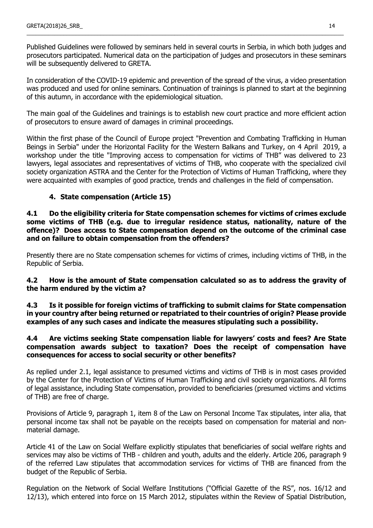Published Guidelines were followed by seminars held in several courts in Serbia, in which both judges and prosecutors participated. Numerical data on the participation of judges and prosecutors in these seminars will be subsequently delivered to GRETA.

\_\_\_\_\_\_\_\_\_\_\_\_\_\_\_\_\_\_\_\_\_\_\_\_\_\_\_\_\_\_\_\_\_\_\_\_\_\_\_\_\_\_\_\_\_\_\_\_\_\_\_\_\_\_\_\_\_\_\_\_\_\_\_\_\_\_\_\_\_\_\_\_\_\_\_\_\_\_\_\_\_\_\_\_\_\_\_\_\_\_\_\_\_\_\_\_\_\_\_\_\_\_\_

In consideration of the COVID-19 epidemic and prevention of the spread of the virus, a video presentation was produced and used for online seminars. Continuation of trainings is planned to start at the beginning of this autumn, in accordance with the epidemiological situation.

The main goal of the Guidelines and trainings is to establish new court practice and more efficient action of prosecutors to ensure award of damages in criminal proceedings.

Within the first phase of the Council of Europe project "Prevention and Combating Trafficking in Human Beings in Serbia" under the Horizontal Facility for the Western Balkans and Turkey, on 4 April 2019, a workshop under the title "Improving access to compensation for victims of THB" was delivered to 23 lawyers, legal associates and representatives of victims of THB, who cooperate with the specialized civil society organization ASTRA and the Center for the Protection of Victims of Human Trafficking, where they were acquainted with examples of good practice, trends and challenges in the field of compensation.

# **4. State compensation (Article 15)**

**4.1 Do the eligibility criteria for State compensation schemes for victims of crimes exclude some victims of THB (e.g. due to irregular residence status, nationality, nature of the offence)? Does access to State compensation depend on the outcome of the criminal case and on failure to obtain compensation from the offenders?**

Presently there are no State compensation schemes for victims of crimes, including victims of THB, in the Republic of Serbia.

# **4.2 How is the amount of State compensation calculated so as to address the gravity of the harm endured by the victim а?**

**4.3 Is it possible for foreign victims of trafficking to submit claims for State compensation in your country after being returned or repatriated to their countries of origin? Please provide examples of any such cases and indicate the measures stipulating such a possibility.** 

### **4.4 Are victims seeking State compensation liable for lawyers' costs and fees? Are State compensation awards subject to taxation? Does the receipt of compensation have consequences for access to social security or other benefits?**

As replied under 2.1, legal assistance to presumed victims and victims of THB is in most cases provided by the Center for the Protection of Victims of Human Trafficking and civil society organizations. All forms of legal assistance, including State compensation, provided to beneficiaries (presumed victims and victims of THB) are free of charge.

Provisions of Article 9, paragraph 1, item 8 of the Law on Personal Income Tax stipulates, inter alia, that personal income tax shall not be payable on the receipts based on compensation for material and nonmaterial damage.

Article 41 of the Law on Social Welfare explicitly stipulates that beneficiaries of social welfare rights and services may also be victims of THB - children and youth, adults and the elderly. Article 206, paragraph 9 of the referred Law stipulates that accommodation services for victims of THB are financed from the budget of the Republic of Serbia.

Regulation on the Network of Social Welfare Institutions ("Official Gazette of the RS", nos. 16/12 and 12/13), which entered into force on 15 March 2012, stipulates within the Review of Spatial Distribution,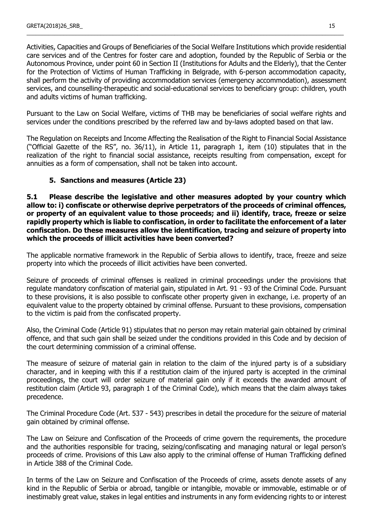Activities, Capacities and Groups of Beneficiaries of the Social Welfare Institutions which provide residential care services and of the Centres for foster care and adoption, founded by the Republic of Serbia or the Autonomous Province, under point 60 in Section II (Institutions for Adults and the Elderly), that the Center for the Protection of Victims of Human Trafficking in Belgrade, with 6-person accommodation capacity, shall perform the activity of providing accommodation services (emergency accommodation), assessment services, and counselling-therapeutic and social-educational services to beneficiary group: children, youth and adults victims of human trafficking.

\_\_\_\_\_\_\_\_\_\_\_\_\_\_\_\_\_\_\_\_\_\_\_\_\_\_\_\_\_\_\_\_\_\_\_\_\_\_\_\_\_\_\_\_\_\_\_\_\_\_\_\_\_\_\_\_\_\_\_\_\_\_\_\_\_\_\_\_\_\_\_\_\_\_\_\_\_\_\_\_\_\_\_\_\_\_\_\_\_\_\_\_\_\_\_\_\_\_\_\_\_\_\_

Pursuant to the Law on Social Welfare, victims of THB may be beneficiaries of social welfare rights and services under the conditions prescribed by the referred law and by-laws adopted based on that law.

The Regulation on Receipts and Income Affecting the Realisation of the Right to Financial Social Assistance ("Official Gazette of the RS", no. 36/11), in Article 11, paragraph 1, item (10) stipulates that in the realization of the right to financial social assistance, receipts resulting from compensation, except for annuities as a form of compensation, shall not be taken into account.

# **5. Sanctions and measures (Article 23)**

**5.1 Please describe the legislative and other measures adopted by your country which allow to: i) confiscate or otherwise deprive perpetrators of the proceeds of criminal offences, or property of an equivalent value to those proceeds; and ii) identify, trace, freeze or seize rapidly property which is liable to confiscation, in order to facilitate the enforcement of a later confiscation. Do these measures allow the identification, tracing and seizure of property into which the proceeds of illicit activities have been converted?**

The applicable normative framework in the Republic of Serbia allows to identify, trace, freeze and seize property into which the proceeds of illicit activities have been converted.

Seizure of proceeds of criminal offenses is realized in criminal proceedings under the provisions that regulate mandatory confiscation of material gain, stipulated in Art. 91 - 93 of the Criminal Code. Pursuant to these provisions, it is also possible to confiscate other property given in exchange, i.e. property of an equivalent value to the property obtained by criminal offense. Pursuant to these provisions, compensation to the victim is paid from the confiscated property.

Also, the Criminal Code (Article 91) stipulates that no person may retain material gain obtained by criminal offence, and that such gain shall be seized under the conditions provided in this Code and by decision of the court determining commission of a criminal offense.

The measure of seizure of material gain in relation to the claim of the injured party is of a subsidiary character, and in keeping with this if a restitution claim of the injured party is accepted in the criminal proceedings, the court will order seizure of material gain only if it exceeds the awarded amount of restitution claim (Article 93, paragraph 1 of the Criminal Code), which means that the claim always takes precedence.

The Criminal Procedure Code (Art. 537 - 543) prescribes in detail the procedure for the seizure of material gain obtained by criminal offense.

The Law on Seizure and Confiscation of the Proceeds of crime govern the requirements, the procedure and the authorities responsible for tracing, seizing/confiscating and managing natural or legal person's proceeds of crime. Provisions of this Law also apply to the criminal offense of Human Trafficking defined in Article 388 of the Criminal Code.

In terms of the Law on Seizure and Confiscation of the Proceeds of crime, assets denote assets of any kind in the Republic of Serbia or abroad, tangible or intangible, movable or immovable, estimable or of inestimably great value, stakes in legal entities and instruments in any form evidencing rights to or interest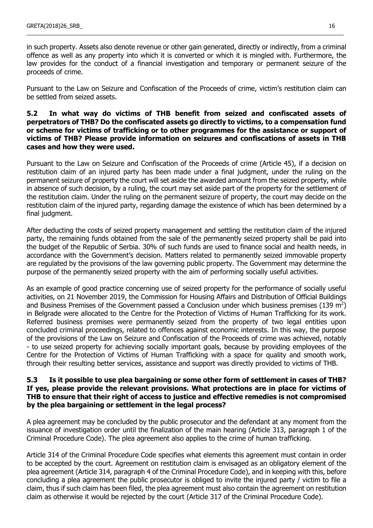in such property. Assets also denote revenue or other gain generated, directly or indirectly, from a criminal offence as well as any property into which it is converted or which it is mingled with. Furthermore, the law provides for the conduct of a financial investigation and temporary or permanent seizure of the proceeds of crime.

\_\_\_\_\_\_\_\_\_\_\_\_\_\_\_\_\_\_\_\_\_\_\_\_\_\_\_\_\_\_\_\_\_\_\_\_\_\_\_\_\_\_\_\_\_\_\_\_\_\_\_\_\_\_\_\_\_\_\_\_\_\_\_\_\_\_\_\_\_\_\_\_\_\_\_\_\_\_\_\_\_\_\_\_\_\_\_\_\_\_\_\_\_\_\_\_\_\_\_\_\_\_\_

Pursuant to the Law on Seizure and Confiscation of the Proceeds of crime, victim's restitution claim can be settled from seized assets.

### **5.2 In what way do victims of THB benefit from seized and confiscated assets of perpetrators of THB? Do the confiscated assets go directly to victims, to a compensation fund or scheme for victims of trafficking or to other programmes for the assistance or support of victims of THB? Please provide information on seizures and confiscations of assets in THB cases and how they were used.**

Pursuant to the Law on Seizure and Confiscation of the Proceeds of crime (Article 45), if a decision on restitution claim of an injured party has been made under a final judgment, under the ruling on the permanent seizure of property the court will set aside the awarded amount from the seized property, while in absence of such decision, by a ruling, the court may set aside part of the property for the settlement of the restitution claim. Under the ruling on the permanent seizure of property, the court may decide on the restitution claim of the injured party, regarding damage the existence of which has been determined by a final judgment.

After deducting the costs of seized property management and settling the restitution claim of the injured party, the remaining funds obtained from the sale of the permanently seized property shall be paid into the budget of the Republic of Serbia. 30% of such funds are used to finance social and health needs, in accordance with the Government's decision. Matters related to permanently seized immovable property are regulated by the provisions of the law governing public property. The Government may determine the purpose of the permanently seized property with the aim of performing socially useful activities.

As an example of good practice concerning use of seized property for the performance of socially useful activities, on 21 November 2019, the Commission for Housing Affairs and Distribution of Official Buildings and Business Premises of the Government passed a Conclusion under which business premises (139 m<sup>2</sup>) in Belgrade were allocated to the Centre for the Protection of Victims of Human Trafficking for its work. Referred business premises were permanently seized from the property of two legal entities upon concluded criminal proceedings, related to offences against economic interests. In this way, the purpose of the provisions of the Law on Seizure and Confiscation of the Proceeds of crime was achieved, notably - to use seized property for achieving socially important goals, because by providing employees of the Centre for the Protection of Victims of Human Trafficking with a space for quality and smooth work, through their resulting better services, assistance and support was directly provided to victims of THB.

#### **5.3 Is it possible to use plea bargaining or some other form of settlement in cases of THB? If yes, please provide the relevant provisions. What protections are in place for victims of THB to ensure that their right of access to justice and effective remedies is not compromised by the plea bargaining or settlement in the legal process?**

A plea agreement may be concluded by the public prosecutor and the defendant at any moment from the issuance of investigation order until the finalization of the main hearing (Article 313, paragraph 1 of the Criminal Procedure Code). The plea agreement also applies to the crime of human trafficking.

Article 314 of the Criminal Procedure Code specifies what elements this agreement must contain in order to be accepted by the court. Agreement on restitution claim is envisaged as an obligatory element of the plea agreement (Article 314, paragraph 4 of the Criminal Procedure Code), and in keeping with this, before concluding a plea agreement the public prosecutor is obliged to invite the injured party / victim to file a claim, thus if such claim has been filed, the plea agreement must also contain the agreement on restitution claim as otherwise it would be rejected by the court (Article 317 of the Criminal Procedure Code).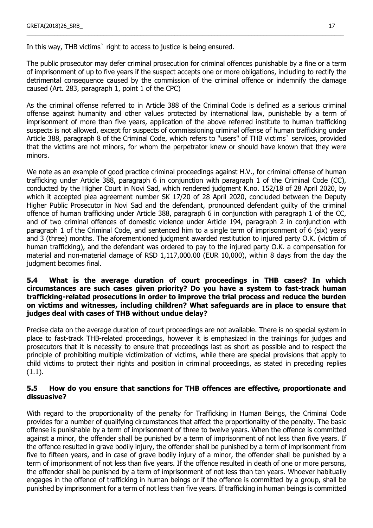In this way, THB victims, right to access to justice is being ensured.

The public prosecutor may defer criminal prosecution for criminal offences punishable by a fine or a term of imprisonment of up to five years if the suspect accepts one or more obligations, including to rectify the detrimental consequence caused by the commission of the criminal offence or indemnify the damage caused (Art. 283, paragraph 1, point 1 of the CPC)

\_\_\_\_\_\_\_\_\_\_\_\_\_\_\_\_\_\_\_\_\_\_\_\_\_\_\_\_\_\_\_\_\_\_\_\_\_\_\_\_\_\_\_\_\_\_\_\_\_\_\_\_\_\_\_\_\_\_\_\_\_\_\_\_\_\_\_\_\_\_\_\_\_\_\_\_\_\_\_\_\_\_\_\_\_\_\_\_\_\_\_\_\_\_\_\_\_\_\_\_\_\_\_

As the criminal offense referred to in Article 388 of the Criminal Code is defined as a serious criminal offense against humanity and other values protected by international law, punishable by a term of imprisonment of more than five years, application of the above referred institute to human trafficking suspects is not allowed, except for suspects of commissioning criminal offense of human trafficking under Article 388, paragraph 8 of the Criminal Code, which refers to "users" of THB victims` services, provided that the victims are not minors, for whom the perpetrator knew or should have known that they were minors.

We note as an example of good practice criminal proceedings against H.V., for criminal offense of human trafficking under Article 388, paragraph 6 in conjunction with paragraph 1 of the Criminal Code (CC), conducted by the Higher Court in Novi Sad, which rendered judgment K.no. 152/18 of 28 April 2020, by which it accepted plea agreement number SK 17/20 of 28 April 2020, concluded between the Deputy Higher Public Prosecutor in Novi Sad and the defendant, pronounced defendant guilty of the criminal offence of human trafficking under Article 388, paragraph 6 in conjunction with paragraph 1 of the CC, and of two criminal offences of domestic violence under Article 194, paragraph 2 in conjunction with paragraph 1 of the Criminal Code, and sentenced him to a single term of imprisonment of 6 (six) years and 3 (three) months. The aforementioned judgment awarded restitution to injured party O.K. (victim of human trafficking), and the defendant was ordered to pay to the injured party O.K. a compensation for material and non-material damage of RSD 1,117,000.00 (EUR 10,000), within 8 days from the day the judgment becomes final.

### **5.4 What is the average duration of court proceedings in THB cases? In which circumstances are such cases given priority? Do you have a system to fast-track human trafficking-related prosecutions in order to improve the trial process and reduce the burden on victims and witnesses, including children? What safeguards are in place to ensure that judges deal with cases of THB without undue delay?**

Precise data on the average duration of court proceedings are not available. There is no special system in place to fast-track THB-related proceedings, however it is emphasized in the trainings for judges and prosecutors that it is necessity to ensure that proceedings last as short as possible and to respect the principle of prohibiting multiple victimization of victims, while there are special provisions that apply to child victims to protect their rights and position in criminal proceedings, as stated in preceding replies (1.1).

### **5.5 How do you ensure that sanctions for THB offences are effective, proportionate and dissuasive?**

With regard to the proportionality of the penalty for Trafficking in Human Beings, the Criminal Code provides for a number of qualifying circumstances that affect the proportionality of the penalty. The basic offense is punishable by a term of imprisonment of three to twelve years. When the offence is committed against a minor, the offender shall be punished by a term of imprisonment of not less than five years. If the offence resulted in grave bodily injury, the offender shall be punished by a term of imprisonment from five to fifteen years, and in case of grave bodily injury of a minor, the offender shall be punished by a term of imprisonment of not less than five years. If the offence resulted in death of one or more persons, the offender shall be punished by a term of imprisonment of not less than ten years. Whoever habitually engages in the offence of trafficking in human beings or if the offence is committed by a group, shall be punished by imprisonment for a term of not less than five years. If trafficking in human beings is committed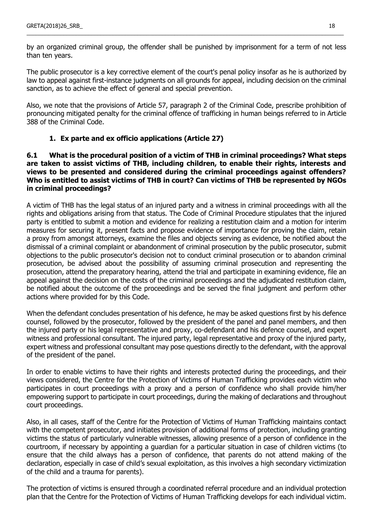by an organized criminal group, the offender shall be punished by imprisonment for a term of not less than ten years.

\_\_\_\_\_\_\_\_\_\_\_\_\_\_\_\_\_\_\_\_\_\_\_\_\_\_\_\_\_\_\_\_\_\_\_\_\_\_\_\_\_\_\_\_\_\_\_\_\_\_\_\_\_\_\_\_\_\_\_\_\_\_\_\_\_\_\_\_\_\_\_\_\_\_\_\_\_\_\_\_\_\_\_\_\_\_\_\_\_\_\_\_\_\_\_\_\_\_\_\_\_\_\_

The public prosecutor is a key corrective element of the court's penal policy insofar as he is authorized by law to appeal against first-instance judgments on all grounds for appeal, including decision on the criminal sanction, as to achieve the effect of general and special prevention.

Also, we note that the provisions of Article 57, paragraph 2 of the Criminal Code, prescribe prohibition of pronouncing mitigated penalty for the criminal offence of trafficking in human beings referred to in Article 388 of the Criminal Code.

### **1. Ex parte and ex officio applications (Article 27)**

### **6.1 What is the procedural position of a victim of THB in criminal proceedings? What steps are taken to assist victims of THB, including children, to enable their rights, interests and views to be presented and considered during the criminal proceedings against offenders? Who is entitled to assist victims of THB in court? Can victims of THB be represented by NGOs in criminal proceedings?**

A victim of THB has the legal status of an injured party and a witness in criminal proceedings with all the rights and obligations arising from that status. The Code of Criminal Procedure stipulates that the injured party is entitled to submit a motion and evidence for realizing a restitution claim and a motion for interim measures for securing it, present facts and propose evidence of importance for proving the claim, retain a proxy from amongst attorneys, examine the files and objects serving as evidence, be notified about the dismissal of a criminal complaint or abandonment of criminal prosecution by the public prosecutor, submit objections to the public prosecutor's decision not to conduct criminal prosecution or to abandon criminal prosecution, be advised about the possibility of assuming criminal prosecution and representing the prosecution, attend the preparatory hearing, attend the trial and participate in examining evidence, file an appeal against the decision on the costs of the criminal proceedings and the adjudicated restitution claim, be notified about the outcome of the proceedings and be served the final judgment and perform other actions where provided for by this Code.

When the defendant concludes presentation of his defence, he may be asked questions first by his defence counsel, followed by the prosecutor, followed by the president of the panel and panel members, and then the injured party or his legal representative and proxy, co-defendant and his defence counsel, and expert witness and professional consultant. The injured party, legal representative and proxy of the injured party, expert witness and professional consultant may pose questions directly to the defendant, with the approval of the president of the panel.

In order to enable victims to have their rights and interests protected during the proceedings, and their views considered, the Centre for the Protection of Victims of Human Trafficking provides each victim who participates in court proceedings with a proxy and a person of confidence who shall provide him/her empowering support to participate in court proceedings, during the making of declarations and throughout court proceedings.

Also, in all cases, staff of the Centre for the Protection of Victims of Human Trafficking maintains contact with the competent prosecutor, and initiates provision of additional forms of protection, including granting victims the status of particularly vulnerable witnesses, allowing presence of a person of confidence in the courtroom, if necessary by appointing a guardian for a particular situation in case of children victims (to ensure that the child always has a person of confidence, that parents do not attend making of the declaration, especially in case of child's sexual exploitation, as this involves a high secondary victimization of the child and a trauma for parents).

The protection of victims is ensured through a coordinated referral procedure and an individual protection plan that the Centre for the Protection of Victims of Human Trafficking develops for each individual victim.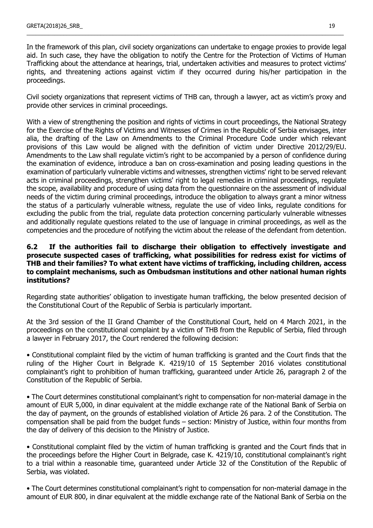In the framework of this plan, civil society organizations can undertake to engage proxies to provide legal aid. In such case, they have the obligation to notify the Centre for the Protection of Victims of Human Trafficking about the attendance at hearings, trial, undertaken activities and measures to protect victims' rights, and threatening actions against victim if they occurred during his/her participation in the proceedings.

\_\_\_\_\_\_\_\_\_\_\_\_\_\_\_\_\_\_\_\_\_\_\_\_\_\_\_\_\_\_\_\_\_\_\_\_\_\_\_\_\_\_\_\_\_\_\_\_\_\_\_\_\_\_\_\_\_\_\_\_\_\_\_\_\_\_\_\_\_\_\_\_\_\_\_\_\_\_\_\_\_\_\_\_\_\_\_\_\_\_\_\_\_\_\_\_\_\_\_\_\_\_\_

Civil society organizations that represent victims of THB can, through a lawyer, act as victim's proxy and provide other services in criminal proceedings.

With a view of strengthening the position and rights of victims in court proceedings, the National Strategy for the Exercise of the Rights of Victims and Witnesses of Crimes in the Republic of Serbia envisages, inter alia, the drafting of the Law on Amendments to the Criminal Procedure Code under which relevant provisions of this Law would be aligned with the definition of victim under Directive 2012/29/EU. Amendments to the Law shall regulate victim's right to be accompanied by a person of confidence during the examination of evidence, introduce a ban on cross-examination and posing leading questions in the examination of particularly vulnerable victims and witnesses, strengthen victims' right to be served relevant acts in criminal proceedings, strengthen victims' right to legal remedies in criminal proceedings, regulate the scope, availability and procedure of using data from the questionnaire on the assessment of individual needs of the victim during criminal proceedings, introduce the obligation to always grant a minor witness the status of a particularly vulnerable witness, regulate the use of video links, regulate conditions for excluding the public from the trial, regulate data protection concerning particularly vulnerable witnesses and additionally regulate questions related to the use of language in criminal proceedings, as well as the competencies and the procedure of notifying the victim about the release of the defendant from detention.

### **6.2 If the authorities fail to discharge their obligation to effectively investigate and prosecute suspected cases of trafficking, what possibilities for redress exist for victims of THB and their families? To what extent have victims of trafficking, including children, access to complaint mechanisms, such as Ombudsman institutions and other national human rights institutions?**

Regarding state authorities' obligation to investigate human trafficking, the below presented decision of the Constitutional Court of the Republic of Serbia is particularly important.

At the 3rd session of the II Grand Chamber of the Constitutional Court, held on 4 March 2021, in the proceedings on the constitutional complaint by a victim of THB from the Republic of Serbia, filed through a lawyer in February 2017, the Court rendered the following decision:

• Constitutional complaint filed by the victim of human trafficking is granted and the Court finds that the ruling of the Higher Court in Belgrade K. 4219/10 of 15 September 2016 violates constitutional complainant's right to prohibition of human trafficking, guaranteed under Article 26, paragraph 2 of the Constitution of the Republic of Serbia.

• The Court determines constitutional complainant's right to compensation for non-material damage in the amount of EUR 5,000, in dinar equivalent at the middle exchange rate of the National Bank of Serbia on the day of payment, on the grounds of established violation of Article 26 para. 2 of the Constitution. The compensation shall be paid from the budget funds – section: Ministry of Justice, within four months from the day of delivery of this decision to the Ministry of Justice.

• Constitutional complaint filed by the victim of human trafficking is granted and the Court finds that in the proceedings before the Higher Court in Belgrade, case K. 4219/10, constitutional complainant's right to a trial within a reasonable time, guaranteed under Article 32 of the Constitution of the Republic of Serbia, was violated.

• The Court determines constitutional complainant's right to compensation for non-material damage in the amount of EUR 800, in dinar equivalent at the middle exchange rate of the National Bank of Serbia on the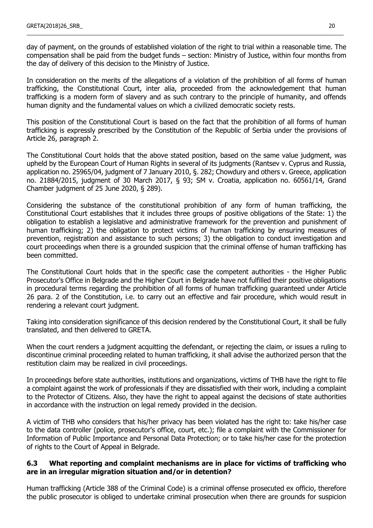day of payment, on the grounds of established violation of the right to trial within a reasonable time. The compensation shall be paid from the budget funds – section: Ministry of Justice, within four months from the day of delivery of this decision to the Ministry of Justice.

\_\_\_\_\_\_\_\_\_\_\_\_\_\_\_\_\_\_\_\_\_\_\_\_\_\_\_\_\_\_\_\_\_\_\_\_\_\_\_\_\_\_\_\_\_\_\_\_\_\_\_\_\_\_\_\_\_\_\_\_\_\_\_\_\_\_\_\_\_\_\_\_\_\_\_\_\_\_\_\_\_\_\_\_\_\_\_\_\_\_\_\_\_\_\_\_\_\_\_\_\_\_\_

In consideration on the merits of the allegations of a violation of the prohibition of all forms of human trafficking, the Constitutional Court, inter alia, proceeded from the acknowledgement that human trafficking is a modern form of slavery and as such contrary to the principle of humanity, and offends human dignity and the fundamental values on which a civilized democratic society rests.

This position of the Constitutional Court is based on the fact that the prohibition of all forms of human trafficking is expressly prescribed by the Constitution of the Republic of Serbia under the provisions of Article 26, paragraph 2.

The Constitutional Court holds that the above stated position, based on the same value judgment, was upheld by the European Court of Human Rights in several of its judgments (Rantsev v. Cyprus and Russia, application no. 25965/04, judgment of 7 January 2010, §. 282; Chowdury and others v. Greece, application no. 21884/2015, judgment of 30 March 2017, § 93; SM v. Croatia, application no. 60561/14, Grand Chamber judgment of 25 June 2020, § 289).

Considering the substance of the constitutional prohibition of any form of human trafficking, the Constitutional Court establishes that it includes three groups of positive obligations of the State: 1) the obligation to establish a legislative and administrative framework for the prevention and punishment of human trafficking; 2) the obligation to protect victims of human trafficking by ensuring measures of prevention, registration and assistance to such persons; 3) the obligation to conduct investigation and court proceedings when there is a grounded suspicion that the criminal offense of human trafficking has been committed.

The Constitutional Court holds that in the specific case the competent authorities - the Higher Public Prosecutor's Office in Belgrade and the Higher Court in Belgrade have not fulfilled their positive obligations in procedural terms regarding the prohibition of all forms of human trafficking guaranteed under Article 26 para. 2 of the Constitution, i.e. to carry out an effective and fair procedure, which would result in rendering a relevant court judgment.

Taking into consideration significance of this decision rendered by the Constitutional Court, it shall be fully translated, and then delivered to GRETA.

When the court renders a judgment acquitting the defendant, or rejecting the claim, or issues a ruling to discontinue criminal proceeding related to human trafficking, it shall advise the authorized person that the restitution claim may be realized in civil proceedings.

In proceedings before state authorities, institutions and organizations, victims of THB have the right to file a complaint against the work of professionals if they are dissatisfied with their work, including a complaint to the Protector of Citizens. Also, they have the right to appeal against the decisions of state authorities in accordance with the instruction on legal remedy provided in the decision.

A victim of THB who considers that his/her privacy has been violated has the right to: take his/her case to the data controller (police, prosecutor's office, court, etc.); file a complaint with the Commissioner for Information of Public Importance and Personal Data Protection; or to take his/her case for the protection of rights to the Court of Appeal in Belgrade.

### **6.3 What reporting and complaint mechanisms are in place for victims of trafficking who are in an irregular migration situation and/or in detention?**

Human trafficking (Article 388 of the Criminal Code) is a criminal offense prosecuted ex officio, therefore the public prosecutor is obliged to undertake criminal prosecution when there are grounds for suspicion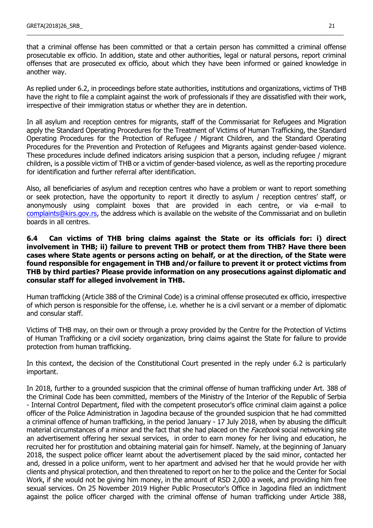that a criminal offense has been committed or that a certain person has committed a criminal offense prosecutable ex officio. In addition, state and other authorities, legal or natural persons, report criminal offenses that are prosecuted ex officio, about which they have been informed or gained knowledge in another way.

\_\_\_\_\_\_\_\_\_\_\_\_\_\_\_\_\_\_\_\_\_\_\_\_\_\_\_\_\_\_\_\_\_\_\_\_\_\_\_\_\_\_\_\_\_\_\_\_\_\_\_\_\_\_\_\_\_\_\_\_\_\_\_\_\_\_\_\_\_\_\_\_\_\_\_\_\_\_\_\_\_\_\_\_\_\_\_\_\_\_\_\_\_\_\_\_\_\_\_\_\_\_\_

As replied under 6.2, in proceedings before state authorities, institutions and organizations, victims of THB have the right to file a complaint against the work of professionals if they are dissatisfied with their work, irrespective of their immigration status or whether they are in detention.

In all asylum and reception centres for migrants, staff of the Commissariat for Refugees and Migration apply the Standard Operating Procedures for the Treatment of Victims of Human Trafficking, the Standard Operating Procedures for the Protection of Refugee / Migrant Children, and the Standard Operating Procedures for the Prevention and Protection of Refugees and Migrants against gender-based violence. These procedures include defined indicators arising suspicion that a person, including refugee / migrant children, is a possible victim of THB or a victim of gender-based violence, as well as the reporting procedure for identification and further referral after identification.

Also, all beneficiaries of asylum and reception centres who have a problem or want to report something or seek protection, have the opportunity to report it directly to asylum / reception centres' staff, or anonymously using complaint boxes that are provided in each centre, or via e-mail to [complaints@kirs.gov.rs,](mailto:complaints@kirs.gov.rs) the address which is available on the website of the Commissariat and on bulletin boards in all centres.

### **6.4 Can victims of THB bring claims against the State or its officials for: i) direct involvement in THB; ii) failure to prevent THB or protect them from THB? Have there been cases where State agents or persons acting on behalf, or at the direction, of the State were found responsible for engagement in THB and/or failure to prevent it or protect victims from THB by third parties? Please provide information on any prosecutions against diplomatic and consular staff for alleged involvement in THB.**

Human trafficking (Article 388 of the Criminal Code) is a criminal offense prosecuted ex officio, irrespective of which person is responsible for the offense, i.e. whether he is a civil servant or a member of diplomatic and consular staff.

Victims of THB may, on their own or through a proxy provided by the Centre for the Protection of Victims of Human Trafficking or a civil society organization, bring claims against the State for failure to provide protection from human trafficking.

In this context, the decision of the Constitutional Court presented in the reply under 6.2 is particularly important.

In 2018, further to a grounded suspicion that the criminal offense of human trafficking under Art. 388 of the Criminal Code has been committed, members of the Ministry of the Interior of the Republic of Serbia - Internal Control Department, filed with the competent prosecutor's office criminal claim against a police officer of the Police Administration in Jagodina because of the grounded suspicion that he had committed a criminal offence of human trafficking, in the period January - 17 July 2018, when by abusing the difficult material circumstances of a minor and the fact that she had placed on the *Facebook* social networking site an advertisement offering her sexual services, in order to earn money for her living and education, he recruited her for prostitution and obtaining material gain for himself. Namely, at the beginning of January 2018, the suspect police officer learnt about the advertisement placed by the said minor, contacted her and, dressed in a police uniform, went to her apartment and advised her that he would provide her with clients and physical protection, and then threatened to report on her to the police and the Center for Social Work, if she would not be giving him money, in the amount of RSD 2,000 a week, and providing him free sexual services. On 25 November 2019 Higher Public Prosecutor's Office in Jagodina filed an indictment against the police officer charged with the criminal offense of human trafficking under Article 388,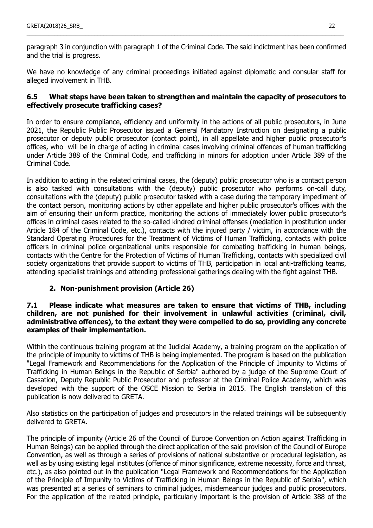paragraph 3 in conjunction with paragraph 1 of the Criminal Code. The said indictment has been confirmed and the trial is progress.

\_\_\_\_\_\_\_\_\_\_\_\_\_\_\_\_\_\_\_\_\_\_\_\_\_\_\_\_\_\_\_\_\_\_\_\_\_\_\_\_\_\_\_\_\_\_\_\_\_\_\_\_\_\_\_\_\_\_\_\_\_\_\_\_\_\_\_\_\_\_\_\_\_\_\_\_\_\_\_\_\_\_\_\_\_\_\_\_\_\_\_\_\_\_\_\_\_\_\_\_\_\_\_

We have no knowledge of any criminal proceedings initiated against diplomatic and consular staff for alleged involvement in THB.

### **6.5 What steps have been taken to strengthen and maintain the capacity of prosecutors to effectively prosecute trafficking cases?**

In order to ensure compliance, efficiency and uniformity in the actions of all public prosecutors, in June 2021, the Republic Public Prosecutor issued a General Mandatory Instruction on designating a public prosecutor or deputy public prosecutor (contact point), in all appellate and higher public prosecutor's offices, who will be in charge of acting in criminal cases involving criminal offences of human trafficking under Article 388 of the Criminal Code, and trafficking in minors for adoption under Article 389 of the Criminal Code.

In addition to acting in the related criminal cases, the (deputy) public prosecutor who is a contact person is also tasked with consultations with the (deputy) public prosecutor who performs on-call duty, consultations with the (deputy) public prosecutor tasked with a case during the temporary impediment of the contact person, monitoring actions by other appellate and higher public prosecutor's offices with the aim of ensuring their uniform practice, monitoring the actions of immediately lower public prosecutor's offices in criminal cases related to the so-called kindred criminal offenses (mediation in prostitution under Article 184 of the Criminal Code, etc.), contacts with the injured party / victim, in accordance with the Standard Operating Procedures for the Treatment of Victims of Human Trafficking, contacts with police officers in criminal police organizational units responsible for combating trafficking in human beings, contacts with the Centre for the Protection of Victims of Human Trafficking, contacts with specialized civil society organizations that provide support to victims of THB, participation in local anti-trafficking teams, attending specialist trainings and attending professional gatherings dealing with the fight against THB.

# **2. Non-punishment provision (Article 26)**

### **7.1 Please indicate what measures are taken to ensure that victims of THB, including children, are not punished for their involvement in unlawful activities (criminal, civil, administrative offences), to the extent they were compelled to do so, providing any concrete examples of their implementation.**

Within the continuous training program at the Judicial Academy, a training program on the application of the principle of impunity to victims of THB is being implemented. The program is based on the publication "Legal Framework and Recommendations for the Application of the Principle of Impunity to Victims of Trafficking in Human Beings in the Republic of Serbia" authored by a judge of the Supreme Court of Cassation, Deputy Republic Public Prosecutor and professor at the Criminal Police Academy, which was developed with the support of the OSCE Mission to Serbia in 2015. The English translation of this publication is now delivered to GRETA.

Also statistics on the participation of judges and prosecutors in the related trainings will be subsequently delivered to GRETA.

The principle of impunity (Article 26 of the Council of Europe Convention on Action against Trafficking in Human Beings) can be applied through the direct application of the said provision of the Council of Europe Convention, as well as through a series of provisions of national substantive or procedural legislation, as well as by using existing legal institutes (offence of minor significance, extreme necessity, force and threat, etc.), as also pointed out in the publication "Legal Framework and Recommendations for the Application of the Principle of Impunity to Victims of Trafficking in Human Beings in the Republic of Serbia", which was presented at a series of seminars to criminal judges, misdemeanour judges and public prosecutors. For the application of the related principle, particularly important is the provision of Article 388 of the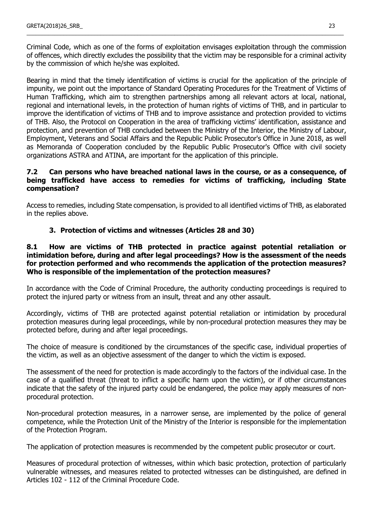Criminal Code, which as one of the forms of exploitation envisages exploitation through the commission of offences, which directly excludes the possibility that the victim may be responsible for a criminal activity by the commission of which he/she was exploited.

\_\_\_\_\_\_\_\_\_\_\_\_\_\_\_\_\_\_\_\_\_\_\_\_\_\_\_\_\_\_\_\_\_\_\_\_\_\_\_\_\_\_\_\_\_\_\_\_\_\_\_\_\_\_\_\_\_\_\_\_\_\_\_\_\_\_\_\_\_\_\_\_\_\_\_\_\_\_\_\_\_\_\_\_\_\_\_\_\_\_\_\_\_\_\_\_\_\_\_\_\_\_\_

Bearing in mind that the timely identification of victims is crucial for the application of the principle of impunity, we point out the importance of Standard Operating Procedures for the Treatment of Victims of Human Trafficking, which aim to strengthen partnerships among all relevant actors at local, national, regional and international levels, in the protection of human rights of victims of THB, and in particular to improve the identification of victims of THB and to improve assistance and protection provided to victims of THB. Also, the Protocol on Cooperation in the area of trafficking victims' identification, assistance and protection, and prevention of THB concluded between the Ministry of the Interior, the Ministry of Labour, Employment, Veterans and Social Affairs and the Republic Public Prosecutor's Office in June 2018, as well as Memoranda of Cooperation concluded by the Republic Public Prosecutor's Office with civil society organizations ASTRA and ATINA, are important for the application of this principle.

### **7.2 Can persons who have breached national laws in the course, or as a consequence, of being trafficked have access to remedies for victims of trafficking, including State compensation?**

Access to remedies, including State compensation, is provided to all identified victims of THB, as elaborated in the replies above.

# **3. Protection of victims and witnesses (Articles 28 and 30)**

### **8.1 How are victims of THB protected in practice against potential retaliation or intimidation before, during and after legal proceedings? How is the assessment of the needs for protection performed and who recommends the application of the protection measures? Who is responsible of the implementation of the protection measures?**

In accordance with the Code of Criminal Procedure, the authority conducting proceedings is required to protect the injured party or witness from an insult, threat and any other assault.

Accordingly, victims of THB are protected against potential retaliation or intimidation by procedural protection measures during legal proceedings, while by non-procedural protection measures they may be protected before, during and after legal proceedings.

The choice of measure is conditioned by the circumstances of the specific case, individual properties of the victim, as well as an objective assessment of the danger to which the victim is exposed.

The assessment of the need for protection is made accordingly to the factors of the individual case. In the case of a qualified threat (threat to inflict a specific harm upon the victim), or if other circumstances indicate that the safety of the injured party could be endangered, the police may apply measures of nonprocedural protection.

Non-procedural protection measures, in a narrower sense, are implemented by the police of general competence, while the Protection Unit of the Ministry of the Interior is responsible for the implementation of the Protection Program.

The application of protection measures is recommended by the competent public prosecutor or court.

Measures of procedural protection of witnesses, within which basic protection, protection of particularly vulnerable witnesses, and measures related to protected witnesses can be distinguished, are defined in Articles 102 - 112 of the Criminal Procedure Code.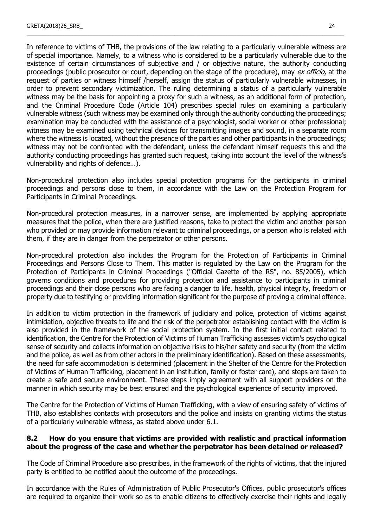In reference to victims of THB, the provisions of the law relating to a particularly vulnerable witness are of special importance. Namely, to a witness who is considered to be a particularly vulnerable due to the existence of certain circumstances of subjective and / or objective nature, the authority conducting proceedings (public prosecutor or court, depending on the stage of the procedure), may ex officio, at the request of parties or witness himself /herself, assign the status of particularly vulnerable witnesses, in order to prevent secondary victimization. The ruling determining a status of a particularly vulnerable witness may be the basis for appointing a proxy for such a witness, as an additional form of protection, and the Criminal Procedure Code (Article 104) prescribes special rules on examining a particularly vulnerable witness (such witness may be examined only through the authority conducting the proceedings; examination may be conducted with the assistance of a psychologist, social worker or other professional; witness may be examined using technical devices for transmitting images and sound, in a separate room where the witness is located, without the presence of the parties and other participants in the proceedings; witness may not be confronted with the defendant, unless the defendant himself requests this and the authority conducting proceedings has granted such request, taking into account the level of the witness's vulnerability and rights of defence…).

\_\_\_\_\_\_\_\_\_\_\_\_\_\_\_\_\_\_\_\_\_\_\_\_\_\_\_\_\_\_\_\_\_\_\_\_\_\_\_\_\_\_\_\_\_\_\_\_\_\_\_\_\_\_\_\_\_\_\_\_\_\_\_\_\_\_\_\_\_\_\_\_\_\_\_\_\_\_\_\_\_\_\_\_\_\_\_\_\_\_\_\_\_\_\_\_\_\_\_\_\_\_\_

Non-procedural protection also includes special protection programs for the participants in criminal proceedings and persons close to them, in accordance with the Law on the Protection Program for Participants in Criminal Proceedings.

Non-procedural protection measures, in a narrower sense, are implemented by applying appropriate measures that the police, when there are justified reasons, take to protect the victim and another person who provided or may provide information relevant to criminal proceedings, or a person who is related with them, if they are in danger from the perpetrator or other persons.

Non-procedural protection also includes the Program for the Protection of Participants in Criminal Proceedings and Persons Close to Them. This matter is regulated by the Law on the Program for the Protection of Participants in Criminal Proceedings ("Official Gazette of the RS", no. 85/2005), which governs conditions and procedures for providing protection and assistance to participants in criminal proceedings and their close persons who are facing a danger to life, health, physical integrity, freedom or property due to testifying or providing information significant for the purpose of proving a criminal offence.

In addition to victim protection in the framework of judiciary and police, protection of victims against intimidation, objective threats to life and the risk of the perpetrator establishing contact with the victim is also provided in the framework of the social protection system. In the first initial contact related to identification, the Centre for the Protection of Victims of Human Trafficking assesses victim's psychological sense of security and collects information on objective risks to his/her safety and security (from the victim and the police, as well as from other actors in the preliminary identification). Based on these assessments, the need for safe accommodation is determined (placement in the Shelter of the Centre for the Protection of Victims of Human Trafficking, placement in an institution, family or foster care), and steps are taken to create a safe and secure environment. These steps imply agreement with all support providers on the manner in which security may be best ensured and the psychological experience of security improved.

The Centre for the Protection of Victims of Human Trafficking, with a view of ensuring safety of victims of THB, also establishes contacts with prosecutors and the police and insists on granting victims the status of a particularly vulnerable witness, as stated above under 6.1.

### **8.2 How do you ensure that victims are provided with realistic and practical information about the progress of the case and whether the perpetrator has been detained or released?**

The Code of Criminal Procedure also prescribes, in the framework of the rights of victims, that the injured party is entitled to be notified about the outcome of the proceedings.

In accordance with the Rules of Administration of Public Prosecutor's Offices, public prosecutor's offices are required to organize their work so as to enable citizens to effectively exercise their rights and legally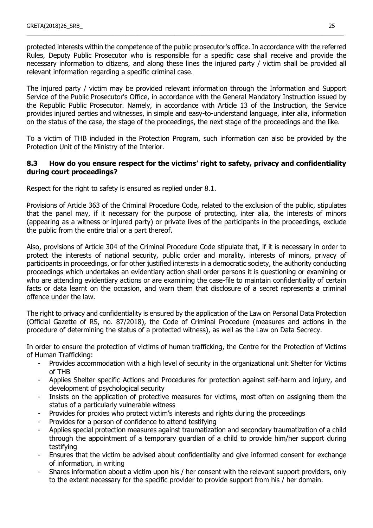protected interests within the competence of the public prosecutor's office. In accordance with the referred Rules, Deputy Public Prosecutor who is responsible for a specific case shall receive and provide the necessary information to citizens, and along these lines the injured party / victim shall be provided all relevant information regarding a specific criminal case.

\_\_\_\_\_\_\_\_\_\_\_\_\_\_\_\_\_\_\_\_\_\_\_\_\_\_\_\_\_\_\_\_\_\_\_\_\_\_\_\_\_\_\_\_\_\_\_\_\_\_\_\_\_\_\_\_\_\_\_\_\_\_\_\_\_\_\_\_\_\_\_\_\_\_\_\_\_\_\_\_\_\_\_\_\_\_\_\_\_\_\_\_\_\_\_\_\_\_\_\_\_\_\_

The injured party / victim may be provided relevant information through the Information and Support Service of the Public Prosecutor's Office, in accordance with the General Mandatory Instruction issued by the Republic Public Prosecutor. Namely, in accordance with Article 13 of the Instruction, the Service provides injured parties and witnesses, in simple and easy-to-understand language, inter alia, information on the status of the case, the stage of the proceedings, the next stage of the proceedings and the like.

To a victim of THB included in the Protection Program, such information can also be provided by the Protection Unit of the Ministry of the Interior.

### **8.3 How do you ensure respect for the victims' right to safety, privacy and confidentiality during court proceedings?**

Respect for the right to safety is ensured as replied under 8.1.

Provisions of Article 363 of the Criminal Procedure Code, related to the exclusion of the public, stipulates that the panel may, if it necessary for the purpose of protecting, inter alia, the interests of minors (appearing as a witness or injured party) or private lives of the participants in the proceedings, exclude the public from the entire trial or a part thereof.

Also, provisions of Article 304 of the Criminal Procedure Code stipulate that, if it is necessary in order to protect the interests of national security, public order and morality, interests of minors, privacy of participants in proceedings, or for other justified interests in a democratic society, the authority conducting proceedings which undertakes an evidentiary action shall order persons it is questioning or examining or who are attending evidentiary actions or are examining the case-file to maintain confidentiality of certain facts or data learnt on the occasion, and warn them that disclosure of a secret represents a criminal offence under the law.

The right to privacy and confidentiality is ensured by the application of the Law on Personal Data Protection (Official Gazette of RS, no. 87/2018), the Code of Criminal Procedure (measures and actions in the procedure of determining the status of a protected witness), as well as the Law on Data Secrecy.

In order to ensure the protection of victims of human trafficking, the Centre for the Protection of Victims of Human Trafficking:

- Provides accommodation with a high level of security in the organizational unit Shelter for Victims of THB
- Applies Shelter specific Actions and Procedures for protection against self-harm and injury, and development of psychological security
- Insists on the application of protective measures for victims, most often on assigning them the status of a particularly vulnerable witness
- Provides for proxies who protect victim's interests and rights during the proceedings
- Provides for a person of confidence to attend testifying
- Applies special protection measures against traumatization and secondary traumatization of a child through the appointment of a temporary guardian of a child to provide him/her support during testifying
- Ensures that the victim be advised about confidentiality and give informed consent for exchange of information, in writing
- Shares information about a victim upon his / her consent with the relevant support providers, only to the extent necessary for the specific provider to provide support from his / her domain.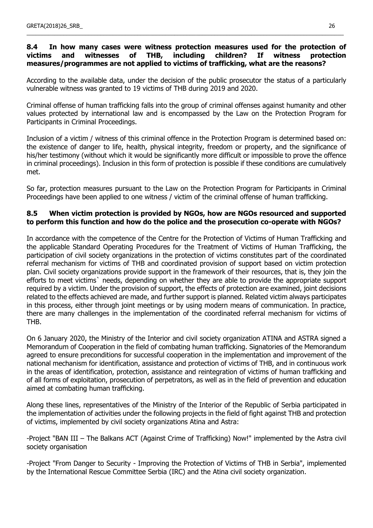# **8.4 In how many cases were witness protection measures used for the protection of victims and witnesses of THB, including children? If witness protection measures/programmes are not applied to victims of trafficking, what are the reasons?**

\_\_\_\_\_\_\_\_\_\_\_\_\_\_\_\_\_\_\_\_\_\_\_\_\_\_\_\_\_\_\_\_\_\_\_\_\_\_\_\_\_\_\_\_\_\_\_\_\_\_\_\_\_\_\_\_\_\_\_\_\_\_\_\_\_\_\_\_\_\_\_\_\_\_\_\_\_\_\_\_\_\_\_\_\_\_\_\_\_\_\_\_\_\_\_\_\_\_\_\_\_\_\_

According to the available data, under the decision of the public prosecutor the status of a particularly vulnerable witness was granted to 19 victims of THB during 2019 and 2020.

Criminal offense of human trafficking falls into the group of criminal offenses against humanity and other values protected by international law and is encompassed by the Law on the Protection Program for Participants in Criminal Proceedings.

Inclusion of a victim / witness of this criminal offence in the Protection Program is determined based on: the existence of danger to life, health, physical integrity, freedom or property, and the significance of his/her testimony (without which it would be significantly more difficult or impossible to prove the offence in criminal proceedings). Inclusion in this form of protection is possible if these conditions are cumulatively met.

So far, protection measures pursuant to the Law on the Protection Program for Participants in Criminal Proceedings have been applied to one witness / victim of the criminal offense of human trafficking.

### **8.5 When victim protection is provided by NGOs, how are NGOs resourced and supported to perform this function and how do the police and the prosecution co-operate with NGOs?**

In accordance with the competence of the Centre for the Protection of Victims of Human Trafficking and the applicable Standard Operating Procedures for the Treatment of Victims of Human Trafficking, the participation of civil society organizations in the protection of victims constitutes part of the coordinated referral mechanism for victims of THB and coordinated provision of support based on victim protection plan. Civil society organizations provide support in the framework of their resources, that is, they join the efforts to meet victims` needs, depending on whether they are able to provide the appropriate support required by a victim. Under the provision of support, the effects of protection are examined, joint decisions related to the effects achieved are made, and further support is planned. Related victim always participates in this process, either through joint meetings or by using modern means of communication. In practice, there are many challenges in the implementation of the coordinated referral mechanism for victims of THB.

On 6 January 2020, the Ministry of the Interior and civil society organization ATINA and ASTRA signed a Memorandum of Cooperation in the field of combating human trafficking. Signatories of the Memorandum agreed to ensure preconditions for successful cooperation in the implementation and improvement of the national mechanism for identification, assistance and protection of victims of THB, and in continuous work in the areas of identification, protection, assistance and reintegration of victims of human trafficking and of all forms of exploitation, prosecution of perpetrators, as well as in the field of prevention and education aimed at combating human trafficking.

Along these lines, representatives of the Ministry of the Interior of the Republic of Serbia participated in the implementation of activities under the following projects in the field of fight against THB and protection of victims, implemented by civil society organizations Atina and Astra:

-Project "BAN III – The Balkans ACT (Against Crime of Trafficking) Now!" implemented by the Astra civil society organisation

-Project "From Danger to Security - Improving the Protection of Victims of THB in Serbia", implemented by the International Rescue Committee Serbia (IRC) and the Atina civil society organization.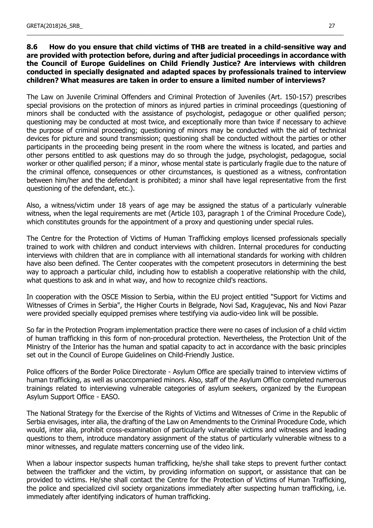### **8.6 How do you ensure that child victims of THB are treated in a child-sensitive way and are provided with protection before, during and after judicial proceedings in accordance with the Council of Europe Guidelines on Child Friendly Justice? Are interviews with children conducted in specially designated and adapted spaces by professionals trained to interview children? What measures are taken in order to ensure a limited number of interviews?**

\_\_\_\_\_\_\_\_\_\_\_\_\_\_\_\_\_\_\_\_\_\_\_\_\_\_\_\_\_\_\_\_\_\_\_\_\_\_\_\_\_\_\_\_\_\_\_\_\_\_\_\_\_\_\_\_\_\_\_\_\_\_\_\_\_\_\_\_\_\_\_\_\_\_\_\_\_\_\_\_\_\_\_\_\_\_\_\_\_\_\_\_\_\_\_\_\_\_\_\_\_\_\_

The Law on Juvenile Criminal Offenders and Criminal Protection of Juveniles (Art. 150-157) prescribes special provisions on the protection of minors as injured parties in criminal proceedings (questioning of minors shall be conducted with the assistance of psychologist, pedagogue or other qualified person; questioning may be conducted at most twice, and exceptionally more than twice if necessary to achieve the purpose of criminal proceeding; questioning of minors may be conducted with the aid of technical devices for picture and sound transmission; questioning shall be conducted without the parties or other participants in the proceeding being present in the room where the witness is located, and parties and other persons entitled to ask questions may do so through the judge, psychologist, pedagogue, social worker or other qualified person; if a minor, whose mental state is particularly fragile due to the nature of the criminal offence, consequences or other circumstances, is questioned as a witness, confrontation between him/her and the defendant is prohibited; a minor shall have legal representative from the first questioning of the defendant, etc.).

Also, a witness/victim under 18 years of age may be assigned the status of a particularly vulnerable witness, when the legal requirements are met (Article 103, paragraph 1 of the Criminal Procedure Code), which constitutes grounds for the appointment of a proxy and questioning under special rules.

The Centre for the Protection of Victims of Human Trafficking employs licensed professionals specially trained to work with children and conduct interviews with children. Internal procedures for conducting interviews with children that are in compliance with all international standards for working with children have also been defined. The Center cooperates with the competent prosecutors in determining the best way to approach a particular child, including how to establish a cooperative relationship with the child, what questions to ask and in what way, and how to recognize child's reactions.

In cooperation with the OSCE Mission to Serbia, within the EU project entitled "Support for Victims and Witnesses of Crimes in Serbia", the Higher Courts in Belgrade, Novi Sad, Kragujevac, Nis and Novi Pazar were provided specially equipped premises where testifying via audio-video link will be possible.

So far in the Protection Program implementation practice there were no cases of inclusion of a child victim of human trafficking in this form of non-procedural protection. Nevertheless, the Protection Unit of the Ministry of the Interior has the human and spatial capacity to act in accordance with the basic principles set out in the Council of Europe Guidelines on Child-Friendly Justice.

Police officers of the Border Police Directorate - Asylum Office are specially trained to interview victims of human trafficking, as well as unaccompanied minors. Also, staff of the Asylum Office completed numerous trainings related to interviewing vulnerable categories of asylum seekers, organized by the European Asylum Support Office - EASO.

The National Strategy for the Exercise of the Rights of Victims and Witnesses of Crime in the Republic of Serbia envisages, inter alia, the drafting of the Law on Amendments to the Criminal Procedure Code, which would, inter alia, prohibit cross-examination of particularly vulnerable victims and witnesses and leading questions to them, introduce mandatory assignment of the status of particularly vulnerable witness to a minor witnesses, and regulate matters concerning use of the video link.

When a labour inspector suspects human trafficking, he/she shall take steps to prevent further contact between the trafficker and the victim, by providing information on support, or assistance that can be provided to victims. He/she shall contact the Centre for the Protection of Victims of Human Trafficking, the police and specialized civil society organizations immediately after suspecting human trafficking, i.e. immediately after identifying indicators of human trafficking.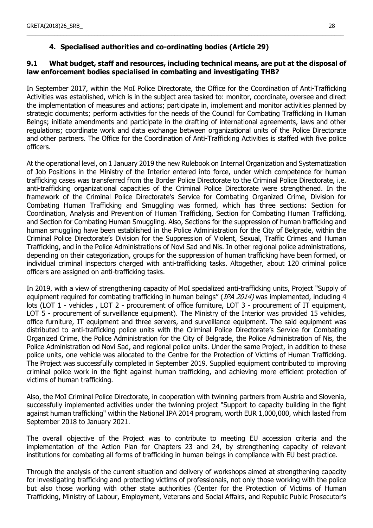# **4. Specialised authorities and co-ordinating bodies (Article 29)**

### **9.1 What budget, staff and resources, including technical means, are put at the disposal of law enforcement bodies specialised in combating and investigating THB?**

\_\_\_\_\_\_\_\_\_\_\_\_\_\_\_\_\_\_\_\_\_\_\_\_\_\_\_\_\_\_\_\_\_\_\_\_\_\_\_\_\_\_\_\_\_\_\_\_\_\_\_\_\_\_\_\_\_\_\_\_\_\_\_\_\_\_\_\_\_\_\_\_\_\_\_\_\_\_\_\_\_\_\_\_\_\_\_\_\_\_\_\_\_\_\_\_\_\_\_\_\_\_\_

In September 2017, within the MoI Police Directorate, the Office for the Coordination of Anti-Trafficking Activities was established, which is in the subject area tasked to: monitor, coordinate, oversee and direct the implementation of measures and actions; participate in, implement and monitor activities planned by strategic documents; perform activities for the needs of the Council for Combating Trafficking in Human Beings; initiate amendments and participate in the drafting of international agreements, laws and other regulations; coordinate work and data exchange between organizational units of the Police Directorate and other partners. The Office for the Coordination of Anti-Trafficking Activities is staffed with five police officers.

At the operational level, on 1 January 2019 the new Rulebook on Internal Organization and Systematization of Job Positions in the Ministry of the Interior entered into force, under which competence for human trafficking cases was transferred from the Border Police Directorate to the Criminal Police Directorate, i.e. anti-trafficking organizational capacities of the Criminal Police Directorate were strengthened. In the framework of the Criminal Police Directorate's Service for Combating Organized Crime, Division for Combating Human Trafficking and Smuggling was formed, which has three sections: Section for Coordination, Analysis and Prevention of Human Trafficking, Section for Combating Human Trafficking, and Section for Combating Human Smuggling. Also, Sections for the suppression of human trafficking and human smuggling have been established in the Police Administration for the City of Belgrade, within the Criminal Police Directorate's Division for the Suppression of Violent, Sexual, Traffic Crimes and Human Trafficking, and in the Police Administrations of Novi Sad and Nis. In other regional police administrations, depending on their categorization, groups for the suppression of human trafficking have been formed, or individual criminal inspectors charged with anti-trafficking tasks. Altogether, about 120 criminal police officers are assigned on anti-trafficking tasks.

In 2019, with a view of strengthening capacity of MoI specialized anti-trafficking units, Project "Supply of equipment required for combating trafficking in human beings" (IPA 2014) was implemented, including 4 lots (LOT 1 - vehicles, LOT 2 - procurement of office furniture, LOT 3 - procurement of IT equipment, LOT 5 - procurement of surveillance equipment). The Ministry of the Interior was provided 15 vehicles, office furniture, IT equipment and three servers, and surveillance equipment. The said equipment was distributed to anti-trafficking police units with the Criminal Police Directorate's Service for Combating Organized Crime, the Police Administration for the City of Belgrade, the Police Administration of Nis, the Police Administration od Novi Sad, and regional police units. Under the same Project, in addition to these police units, one vehicle was allocated to the Centre for the Protection of Victims of Human Trafficking. The Project was successfully completed in September 2019. Supplied equipment contributed to improving criminal police work in the fight against human trafficking, and achieving more efficient protection of victims of human trafficking.

Also, the MoI Criminal Police Directorate, in cooperation with twinning partners from Austria and Slovenia, successfully implemented activities under the twinning project "Support to capacity building in the fight against human trafficking" within the National IPA 2014 program, worth EUR 1,000,000, which lasted from September 2018 to January 2021.

The overall objective of the Project was to contribute to meeting EU accession criteria and the implementation of the Action Plan for Chapters 23 and 24, by strengthening capacity of relevant institutions for combating all forms of trafficking in human beings in compliance with EU best practice.

Through the analysis of the current situation and delivery of workshops aimed at strengthening capacity for investigating trafficking and protecting victims of professionals, not only those working with the police but also those working with other state authorities (Center for the Protection of Victims of Human Trafficking, Ministry of Labour, Employment, Veterans and Social Affairs, and Republic Public Prosecutor's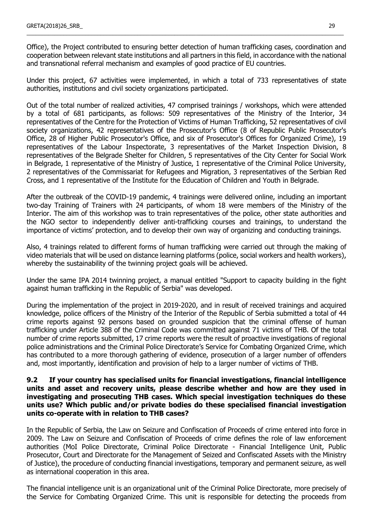Office), the Project contributed to ensuring better detection of human trafficking cases, coordination and cooperation between relevant state institutions and all partners in this field, in accordance with the national and transnational referral mechanism and examples of good practice of EU countries.

\_\_\_\_\_\_\_\_\_\_\_\_\_\_\_\_\_\_\_\_\_\_\_\_\_\_\_\_\_\_\_\_\_\_\_\_\_\_\_\_\_\_\_\_\_\_\_\_\_\_\_\_\_\_\_\_\_\_\_\_\_\_\_\_\_\_\_\_\_\_\_\_\_\_\_\_\_\_\_\_\_\_\_\_\_\_\_\_\_\_\_\_\_\_\_\_\_\_\_\_\_\_\_

Under this project, 67 activities were implemented, in which a total of 733 representatives of state authorities, institutions and civil society organizations participated.

Out of the total number of realized activities, 47 comprised trainings / workshops, which were attended by a total of 681 participants, as follows: 509 representatives of the Ministry of the Interior, 34 representatives of the Centre for the Protection of Victims of Human Trafficking, 52 representatives of civil society organizations, 42 representatives of the Prosecutor's Office (8 of Republic Public Prosecutor's Office, 28 of Higher Public Prosecutor's Office, and six of Prosecutor's Offices for Organized Crime), 19 representatives of the Labour Inspectorate, 3 representatives of the Market Inspection Division, 8 representatives of the Belgrade Shelter for Children, 5 representatives of the City Center for Social Work in Belgrade, 1 representative of the Ministry of Justice, 1 representative of the Criminal Police University, 2 representatives of the Commissariat for Refugees and Migration, 3 representatives of the Serbian Red Cross, and 1 representative of the Institute for the Education of Children and Youth in Belgrade.

After the outbreak of the COVID-19 pandemic, 4 trainings were delivered online, including an important two-day Training of Trainers with 24 participants, of whom 18 were members of the Ministry of the Interior. The aim of this workshop was to train representatives of the police, other state authorities and the NGO sector to independently deliver anti-trafficking courses and trainings, to understand the importance of victims' protection, and to develop their own way of organizing and conducting trainings.

Also, 4 trainings related to different forms of human trafficking were carried out through the making of video materials that will be used on distance learning platforms (police, social workers and health workers), whereby the sustainability of the twinning project goals will be achieved.

Under the same IPA 2014 twinning project, a manual entitled "Support to capacity building in the fight against human trafficking in the Republic of Serbia" was developed.

During the implementation of the project in 2019-2020, and in result of received trainings and acquired knowledge, police officers of the Ministry of the Interior of the Republic of Serbia submitted a total of 44 crime reports against 92 persons based on grounded suspicion that the criminal offense of human trafficking under Article 388 of the Criminal Code was committed against 71 victims of THB. Of the total number of crime reports submitted, 17 crime reports were the result of proactive investigations of regional police administrations and the Criminal Police Directorate's Service for Combating Organized Crime, which has contributed to a more thorough gathering of evidence, prosecution of a larger number of offenders and, most importantly, identification and provision of help to a larger number of victims of THB.

### **9.2 If your country has specialised units for financial investigations, financial intelligence units and asset and recovery units, please describe whether and how are they used in investigating and prosecuting THB cases. Which special investigation techniques do these units use? Which public and/or private bodies do these specialised financial investigation units co-operate with in relation to THB cases?**

In the Republic of Serbia, the Law on Seizure and Confiscation of Proceeds of crime entered into force in 2009. The Law on Seizure and Confiscation of Proceeds of crime defines the role of law enforcement authorities (MoI Police Directorate, Criminal Police Directorate - Financial Intelligence Unit, Public Prosecutor, Court and Directorate for the Management of Seized and Confiscated Assets with the Ministry of Justice), the procedure of conducting financial investigations, temporary and permanent seizure, as well as international cooperation in this area.

The financial intelligence unit is an organizational unit of the Criminal Police Directorate, more precisely of the Service for Combating Organized Crime. This unit is responsible for detecting the proceeds from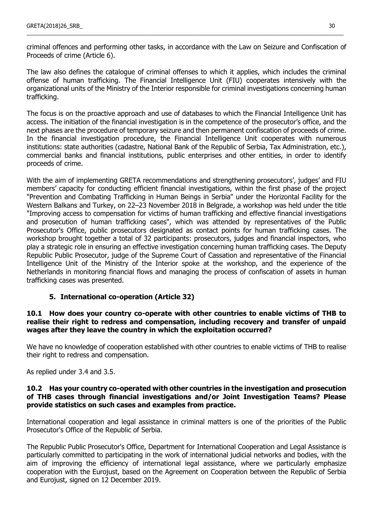criminal offences and performing other tasks, in accordance with the Law on Seizure and Confiscation of Proceeds of crime (Article 6).

\_\_\_\_\_\_\_\_\_\_\_\_\_\_\_\_\_\_\_\_\_\_\_\_\_\_\_\_\_\_\_\_\_\_\_\_\_\_\_\_\_\_\_\_\_\_\_\_\_\_\_\_\_\_\_\_\_\_\_\_\_\_\_\_\_\_\_\_\_\_\_\_\_\_\_\_\_\_\_\_\_\_\_\_\_\_\_\_\_\_\_\_\_\_\_\_\_\_\_\_\_\_\_

The law also defines the catalogue of criminal offenses to which it applies, which includes the criminal offense of human trafficking. The Financial Intelligence Unit (FIU) cooperates intensively with the organizational units of the Ministry of the Interior responsible for criminal investigations concerning human trafficking.

The focus is on the proactive approach and use of databases to which the Financial Intelligence Unit has access. The initiation of the financial investigation is in the competence of the prosecutor's office, and the next phases are the procedure of temporary seizure and then permanent confiscation of proceeds of crime. In the financial investigation procedure, the Financial Intelligence Unit cooperates with numerous institutions: state authorities (cadastre, National Bank of the Republic of Serbia, Tax Administration, etc.), commercial banks and financial institutions, public enterprises and other entities, in order to identify proceeds of crime.

With the aim of implementing GRETA recommendations and strengthening prosecutors', judges' and FIU members' capacity for conducting efficient financial investigations, within the first phase of the project "Prevention and Combating Trafficking in Human Beings in Serbia" under the Horizontal Facility for the Western Balkans and Turkey, on 22–23 November 2018 in Belgrade, a workshop was held under the title "Improving access to compensation for victims of human trafficking and effective financial investigations and prosecution of human trafficking cases", which was attended by representatives of the Public Prosecutor's Office, public prosecutors designated as contact points for human trafficking cases. The workshop brought together a total of 32 participants: prosecutors, judges and financial inspectors, who play a strategic role in ensuring an effective investigation concerning human trafficking cases. The Deputy Republic Public Prosecutor, judge of the Supreme Court of Cassation and representative of the Financial Intelligence Unit of the Ministry of the Interior spoke at the workshop, and the experience of the Netherlands in monitoring financial flows and managing the process of confiscation of assets in human trafficking cases was presented.

# **5. International co-operation (Article 32)**

### **10.1 How does your country co-operate with other countries to enable victims of THB to realise their right to redress and compensation, including recovery and transfer of unpaid wages after they leave the country in which the exploitation occurred?**

We have no knowledge of cooperation established with other countries to enable victims of THB to realise their right to redress and compensation.

As replied under 3.4 and 3.5.

### **10.2 Has your country co-operated with other countries in the investigation and prosecution of THB cases through financial investigations and/or Joint Investigation Teams? Please provide statistics on such cases and examples from practice.**

International cooperation and legal assistance in criminal matters is one of the priorities of the Public Prosecutor's Office of the Republic of Serbia.

The Republic Public Prosecutor's Office, Department for International Cooperation and Legal Assistance is particularly committed to participating in the work of international judicial networks and bodies, with the aim of improving the efficiency of international legal assistance, where we particularly emphasize cooperation with the Eurojust, based on the Agreement on Cooperation between the Republic of Serbia and Eurojust, signed on 12 December 2019.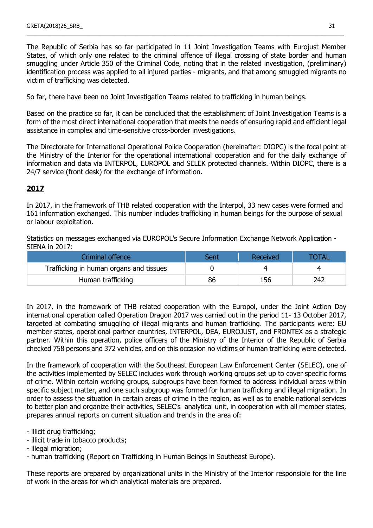The Republic of Serbia has so far participated in 11 Joint Investigation Teams with Eurojust Member States, of which only one related to the criminal offence of illegal crossing of state border and human smuggling under Article 350 of the Criminal Code, noting that in the related investigation, (preliminary) identification process was applied to all injured parties - migrants, and that among smuggled migrants no victim of trafficking was detected.

\_\_\_\_\_\_\_\_\_\_\_\_\_\_\_\_\_\_\_\_\_\_\_\_\_\_\_\_\_\_\_\_\_\_\_\_\_\_\_\_\_\_\_\_\_\_\_\_\_\_\_\_\_\_\_\_\_\_\_\_\_\_\_\_\_\_\_\_\_\_\_\_\_\_\_\_\_\_\_\_\_\_\_\_\_\_\_\_\_\_\_\_\_\_\_\_\_\_\_\_\_\_\_

So far, there have been no Joint Investigation Teams related to trafficking in human beings.

Based on the practice so far, it can be concluded that the establishment of Joint Investigation Teams is a form of the most direct international cooperation that meets the needs of ensuring rapid and efficient legal assistance in complex and time-sensitive cross-border investigations.

The Directorate for International Operational Police Cooperation (hereinafter: DIOPC) is the focal point at the Ministry of the Interior for the operational international cooperation and for the daily exchange of information and data via INTERPOL, EUROPOL and SELEK protected channels. Within DIOPC, there is a 24/7 service (front desk) for the exchange of information.

# **2017**

In 2017, in the framework of THB related cooperation with the Interpol, 33 new cases were formed and 161 information exchanged. This number includes trafficking in human beings for the purpose of sexual or labour exploitation.

Statistics on messages exchanged via EUROPOL's Secure Information Exchange Network Application - SIENA in 2017:

| Criminal offence                        | Sent | Received | <b>TOTAL</b> |
|-----------------------------------------|------|----------|--------------|
| Trafficking in human organs and tissues |      |          |              |
| Human trafficking                       | 86   | 156      | 242          |

In 2017, in the framework of THB related cooperation with the Europol, under the Joint Action Day international operation called Operation Dragon 2017 was carried out in the period 11- 13 October 2017, targeted at combating smuggling of illegal migrants and human trafficking. The participants were: EU member states, operational partner countries, INTERPOL, DEA, EUROJUST, and FRONTEX as a strategic partner. Within this operation, police officers of the Ministry of the Interior of the Republic of Serbia checked 758 persons and 372 vehicles, and on this occasion no victims of human trafficking were detected.

In the framework of cooperation with the Southeast European Law Enforcement Center (SELEC), one of the activities implemented by SELEC includes work through working groups set up to cover specific forms of crime. Within certain working groups, subgroups have been formed to address individual areas within specific subject matter, and one such subgroup was formed for human trafficking and illegal migration. In order to assess the situation in certain areas of crime in the region, as well as to enable national services to better plan and organize their activities, SELEC's analytical unit, in cooperation with all member states, prepares annual reports on current situation and trends in the area of:

- illicit drug trafficking;

- illicit trade in tobacco products;
- illegal migration;

- human trafficking (Report on Trafficking in Human Beings in Southeast Europe).

These reports are prepared by organizational units in the Ministry of the Interior responsible for the line of work in the areas for which analytical materials are prepared.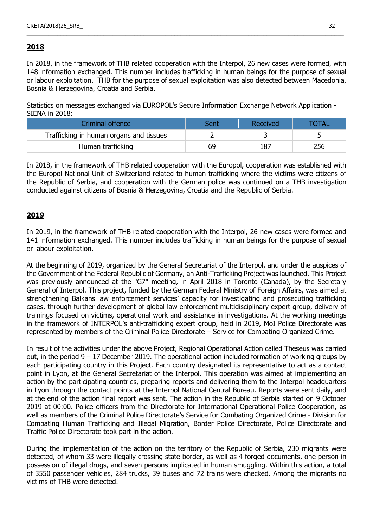# **2018**

In 2018, in the framework of THB related cooperation with the Interpol, 26 new cases were formed, with 148 information exchanged. This number includes trafficking in human beings for the purpose of sexual or labour exploitation. THB for the purpose of sexual exploitation was also detected between Macedonia, Bosnia & Herzegovina, Croatia and Serbia.

\_\_\_\_\_\_\_\_\_\_\_\_\_\_\_\_\_\_\_\_\_\_\_\_\_\_\_\_\_\_\_\_\_\_\_\_\_\_\_\_\_\_\_\_\_\_\_\_\_\_\_\_\_\_\_\_\_\_\_\_\_\_\_\_\_\_\_\_\_\_\_\_\_\_\_\_\_\_\_\_\_\_\_\_\_\_\_\_\_\_\_\_\_\_\_\_\_\_\_\_\_\_\_

Statistics on messages exchanged via EUROPOL's Secure Information Exchange Network Application - SIENA in 2018:

| Criminal offence                        | Sent | Received | <b>TOTAL</b> |
|-----------------------------------------|------|----------|--------------|
| Trafficking in human organs and tissues |      |          |              |
| Human trafficking                       | 69   | 187      | 256          |

In 2018, in the framework of THB related cooperation with the Europol, cooperation was established with the Europol National Unit of Switzerland related to human trafficking where the victims were citizens of the Republic of Serbia, and cooperation with the German police was continued on a THB investigation conducted against citizens of Bosnia & Herzegovina, Croatia and the Republic of Serbia.

# **2019**

In 2019, in the framework of THB related cooperation with the Interpol, 26 new cases were formed and 141 information exchanged. This number includes trafficking in human beings for the purpose of sexual or labour exploitation.

At the beginning of 2019, organized by the General Secretariat of the Interpol, and under the auspices of the Government of the Federal Republic of Germany, an Anti-Trafficking Project was launched. This Project was previously announced at the "G7" meeting, in April 2018 in Toronto (Canada), by the Secretary General of Interpol. This project, funded by the German Federal Ministry of Foreign Affairs, was aimed at strengthening Balkans law enforcement services' capacity for investigating and prosecuting trafficking cases, through further development of global law enforcement multidisciplinary expert group, delivery of trainings focused on victims, operational work and assistance in investigations. At the working meetings in the framework of INTERPOL's anti-trafficking expert group, held in 2019, MoI Police Directorate was represented by members of the Criminal Police Directorate – Service for Combating Organized Crime.

In result of the activities under the above Project, Regional Operational Action called Theseus was carried out, in the period  $9 - 17$  December 2019. The operational action included formation of working groups by each participating country in this Project. Each country designated its representative to act as a contact point in Lyon, at the General Secretariat of the Interpol. This operation was aimed at implementing an action by the participating countries, preparing reports and delivering them to the Interpol headquarters in Lyon through the contact points at the Interpol National Central Bureau. Reports were sent daily, and at the end of the action final report was sent. The action in the Republic of Serbia started on 9 October 2019 at 00:00. Police officers from the Directorate for International Operational Police Cooperation, as well as members of the Criminal Police Directorate's Service for Combating Organized Crime - Division for Combating Human Trafficking and Illegal Migration, Border Police Directorate, Police Directorate and Traffic Police Directorate took part in the action.

During the implementation of the action on the territory of the Republic of Serbia, 230 migrants were detected, of whom 33 were illegally crossing state border, as well as 4 forged documents, one person in possession of illegal drugs, and seven persons implicated in human smuggling. Within this action, a total of 3550 passenger vehicles, 284 trucks, 39 buses and 72 trains were checked. Among the migrants no victims of THB were detected.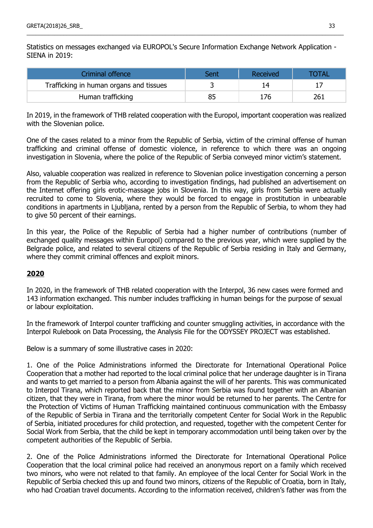Statistics on messages exchanged via EUROPOL's Secure Information Exchange Network Application - SIENA in 2019:

\_\_\_\_\_\_\_\_\_\_\_\_\_\_\_\_\_\_\_\_\_\_\_\_\_\_\_\_\_\_\_\_\_\_\_\_\_\_\_\_\_\_\_\_\_\_\_\_\_\_\_\_\_\_\_\_\_\_\_\_\_\_\_\_\_\_\_\_\_\_\_\_\_\_\_\_\_\_\_\_\_\_\_\_\_\_\_\_\_\_\_\_\_\_\_\_\_\_\_\_\_\_\_

| Criminal offence                        | Sent | Received | TOTAL |
|-----------------------------------------|------|----------|-------|
| Trafficking in human organs and tissues |      | 14       |       |
| Human trafficking                       | 85   | 176      | 261   |

In 2019, in the framework of THB related cooperation with the Europol, important cooperation was realized with the Slovenian police.

One of the cases related to a minor from the Republic of Serbia, victim of the criminal offense of human trafficking and criminal offense of domestic violence, in reference to which there was an ongoing investigation in Slovenia, where the police of the Republic of Serbia conveyed minor victim's statement.

Also, valuable cooperation was realized in reference to Slovenian police investigation concerning a person from the Republic of Serbia who, according to investigation findings, had published an advertisement on the Internet offering girls erotic-massage jobs in Slovenia. In this way, girls from Serbia were actually recruited to come to Slovenia, where they would be forced to engage in prostitution in unbearable conditions in apartments in Ljubljana, rented by a person from the Republic of Serbia, to whom they had to give 50 percent of their earnings.

In this year, the Police of the Republic of Serbia had a higher number of contributions (number of exchanged quality messages within Europol) compared to the previous year, which were supplied by the Belgrade police, and related to several citizens of the Republic of Serbia residing in Italy and Germany, where they commit criminal offences and exploit minors.

# **2020**

In 2020, in the framework of THB related cooperation with the Interpol, 36 new cases were formed and 143 information exchanged. This number includes trafficking in human beings for the purpose of sexual or labour exploitation.

In the framework of Interpol counter trafficking and counter smuggling activities, in accordance with the Interpol Rulebook on Data Processing, the Analysis File for the ODYSSEY PROJECT was established.

Below is a summary of some illustrative cases in 2020:

1. One of the Police Administrations informed the Directorate for International Operational Police Cooperation that a mother had reported to the local criminal police that her underage daughter is in Tirana and wants to get married to a person from Albania against the will of her parents. This was communicated to Interpol Tirana, which reported back that the minor from Serbia was found together with an Albanian citizen, that they were in Tirana, from where the minor would be returned to her parents. The Centre for the Protection of Victims of Human Trafficking maintained continuous communication with the Embassy of the Republic of Serbia in Tirana and the territorially competent Center for Social Work in the Republic of Serbia, initiated procedures for child protection, and requested, together with the competent Center for Social Work from Serbia, that the child be kept in temporary accommodation until being taken over by the competent authorities of the Republic of Serbia.

2. One of the Police Administrations informed the Directorate for International Operational Police Cooperation that the local criminal police had received an anonymous report on a family which received two minors, who were not related to that family. An employee of the local Center for Social Work in the Republic of Serbia checked this up and found two minors, citizens of the Republic of Croatia, born in Italy, who had Croatian travel documents. According to the information received, children's father was from the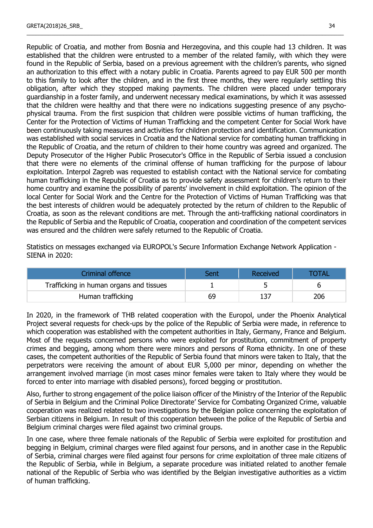Republic of Croatia, and mother from Bosnia and Herzegovina, and this couple had 13 children. It was established that the children were entrusted to a member of the related family, with which they were found in the Republic of Serbia, based on a previous agreement with the children's parents, who signed an authorization to this effect with a notary public in Croatia. Parents agreed to pay EUR 500 per month to this family to look after the children, and in the first three months, they were regularly settling this obligation, after which they stopped making payments. The children were placed under temporary guardianship in a foster family, and underwent necessary medical examinations, by which it was assessed that the children were healthy and that there were no indications suggesting presence of any psychophysical trauma. From the first suspicion that children were possible victims of human trafficking, the Center for the Protection of Victims of Human Trafficking and the competent Center for Social Work have been continuously taking measures and activities for children protection and identification. Communication was established with social services in Croatia and the National service for combating human trafficking in the Republic of Croatia, and the return of children to their home country was agreed and organized. The Deputy Prosecutor of the Higher Public Prosecutor's Office in the Republic of Serbia issued a conclusion that there were no elements of the criminal offense of human trafficking for the purpose of labour exploitation. Interpol Zagreb was requested to establish contact with the National service for combating human trafficking in the Republic of Croatia as to provide safety assessment for children's return to their home country and examine the possibility of parents' involvement in child exploitation. The opinion of the local Center for Social Work and the Centre for the Protection of Victims of Human Trafficking was that the best interests of children would be adequately protected by the return of children to the Republic of Croatia, as soon as the relevant conditions are met. Through the anti-trafficking national coordinators in the Republic of Serbia and the Republic of Croatia, cooperation and coordination of the competent services was ensured and the children were safely returned to the Republic of Croatia.

\_\_\_\_\_\_\_\_\_\_\_\_\_\_\_\_\_\_\_\_\_\_\_\_\_\_\_\_\_\_\_\_\_\_\_\_\_\_\_\_\_\_\_\_\_\_\_\_\_\_\_\_\_\_\_\_\_\_\_\_\_\_\_\_\_\_\_\_\_\_\_\_\_\_\_\_\_\_\_\_\_\_\_\_\_\_\_\_\_\_\_\_\_\_\_\_\_\_\_\_\_\_\_

Statistics on messages exchanged via EUROPOL's Secure Information Exchange Network Application - SIENA in 2020:

| Criminal offence                        | Sent | Received | <b>OTAL</b> |
|-----------------------------------------|------|----------|-------------|
| Trafficking in human organs and tissues |      |          |             |
| Human trafficking                       | 69   | 137      | 206         |

In 2020, in the framework of THB related cooperation with the Europol, under the Phoenix Analytical Project several requests for check-ups by the police of the Republic of Serbia were made, in reference to which cooperation was established with the competent authorities in Italy, Germany, France and Belgium. Most of the requests concerned persons who were exploited for prostitution, commitment of property crimes and begging, among whom there were minors and persons of Roma ethnicity. In one of these cases, the competent authorities of the Republic of Serbia found that minors were taken to Italy, that the perpetrators were receiving the amount of about EUR 5,000 per minor, depending on whether the arrangement involved marriage (in most cases minor females were taken to Italy where they would be forced to enter into marriage with disabled persons), forced begging or prostitution.

Also, further to strong engagement of the police liaison officer of the Ministry of the Interior of the Republic of Serbia in Belgium and the Criminal Police Directorate' Service for Combating Organized Crime, valuable cooperation was realized related to two investigations by the Belgian police concerning the exploitation of Serbian citizens in Belgium. In result of this cooperation between the police of the Republic of Serbia and Belgium criminal charges were filed against two criminal groups.

In one case, where three female nationals of the Republic of Serbia were exploited for prostitution and begging in Belgium, criminal charges were filed against four persons, and in another case in the Republic of Serbia, criminal charges were filed against four persons for crime exploitation of three male citizens of the Republic of Serbia, while in Belgium, a separate procedure was initiated related to another female national of the Republic of Serbia who was identified by the Belgian investigative authorities as a victim of human trafficking.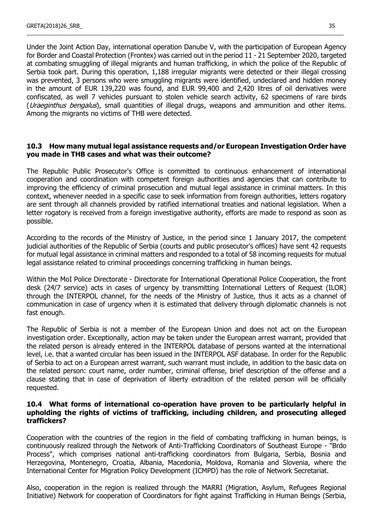Under the Joint Action Day, international operation Danube V, with the participation of European Agency for Border and Coastal Protection (Frontex) was carried out in the period 11 - 21 September 2020, targeted at combating smuggling of illegal migrants and human trafficking, in which the police of the Republic of Serbia took part. During this operation, 1,188 irregular migrants were detected or their illegal crossing was prevented, 3 persons who were smuggling migrants were identified, undeclared and hidden money in the amount of EUR 139,220 was found, and EUR 99,400 and 2,420 litres of oil derivatives were confiscated, as well 7 vehicles pursuant to stolen vehicle search activity, 62 specimens of rare birds (*Uraeginthus bengalus*), small quantities of illegal drugs, weapons and ammunition and other items. Among the migrants no victims of THB were detected.

\_\_\_\_\_\_\_\_\_\_\_\_\_\_\_\_\_\_\_\_\_\_\_\_\_\_\_\_\_\_\_\_\_\_\_\_\_\_\_\_\_\_\_\_\_\_\_\_\_\_\_\_\_\_\_\_\_\_\_\_\_\_\_\_\_\_\_\_\_\_\_\_\_\_\_\_\_\_\_\_\_\_\_\_\_\_\_\_\_\_\_\_\_\_\_\_\_\_\_\_\_\_\_

### **10.3 How many mutual legal assistance requests and/or European Investigation Order have you made in THB cases and what was their outcome?**

The Republic Public Prosecutor's Office is committed to continuous enhancement of international cooperation and coordination with competent foreign authorities and agencies that can contribute to improving the efficiency of criminal prosecution and mutual legal assistance in criminal matters. In this context, whenever needed in a specific case to seek information from foreign authorities, letters rogatory are sent through all channels provided by ratified international treaties and national legislation. When a letter rogatory is received from a foreign investigative authority, efforts are made to respond as soon as possible.

According to the records of the Ministry of Justice, in the period since 1 January 2017, the competent judicial authorities of the Republic of Serbia (courts and public prosecutor's offices) have sent 42 requests for mutual legal assistance in criminal matters and responded to a total of 58 incoming requests for mutual legal assistance related to criminal proceedings concerning trafficking in human beings.

Within the MoI Police Directorate - Directorate for International Operational Police Cooperation, the front desk (24/7 service) acts in cases of urgency by transmitting International Letters of Request (ILOR) through the INTERPOL channel, for the needs of the Ministry of Justice, thus it acts as a channel of communication in case of urgency when it is estimated that delivery through diplomatic channels is not fast enough.

The Republic of Serbia is not a member of the European Union and does not act on the European investigation order. Exceptionally, action may be taken under the European arrest warrant, provided that the related person is already entered in the INTERPOL database of persons wanted at the international level, i.e. that a wanted circular has been issued in the INTERPOL ASF database. In order for the Republic of Serbia to act on a European arrest warrant, such warrant must include, in addition to the basic data on the related person: court name, order number, criminal offense, brief description of the offense and a clause stating that in case of deprivation of liberty extradition of the related person will be officially requested.

### **10.4 What forms of international co-operation have proven to be particularly helpful in upholding the rights of victims of trafficking, including children, and prosecuting alleged traffickers?**

Cooperation with the countries of the region in the field of combating trafficking in human beings, is continuously realized through the Network of Anti-Trafficking Coordinators of Southeast Europe - "Brdo Process", which comprises national anti-trafficking coordinators from Bulgaria, Serbia, Bosnia and Herzegovina, Montenegro, Croatia, Albania, Macedonia, Moldova, Romania and Slovenia, where the International Center for Migration Policy Development (ICMPD) has the role of Network Secretariat.

Also, cooperation in the region is realized through the MARRI (Migration, Asylum, Refugees Regional Initiative) Network for cooperation of Coordinators for fight against Trafficking in Human Beings (Serbia,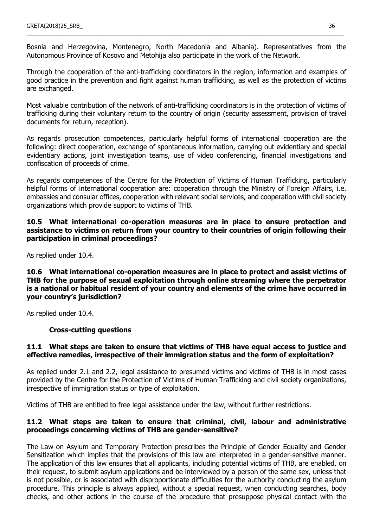Bosnia and Herzegovina, Montenegro, North Macedonia and Albania). Representatives from the Autonomous Province of Kosovo and Metohija also participate in the work of the Network.

\_\_\_\_\_\_\_\_\_\_\_\_\_\_\_\_\_\_\_\_\_\_\_\_\_\_\_\_\_\_\_\_\_\_\_\_\_\_\_\_\_\_\_\_\_\_\_\_\_\_\_\_\_\_\_\_\_\_\_\_\_\_\_\_\_\_\_\_\_\_\_\_\_\_\_\_\_\_\_\_\_\_\_\_\_\_\_\_\_\_\_\_\_\_\_\_\_\_\_\_\_\_\_

Through the cooperation of the anti-trafficking coordinators in the region, information and examples of good practice in the prevention and fight against human trafficking, as well as the protection of victims are exchanged.

Most valuable contribution of the network of anti-trafficking coordinators is in the protection of victims of trafficking during their voluntary return to the country of origin (security assessment, provision of travel documents for return, reception).

As regards prosecution competences, particularly helpful forms of international cooperation are the following: direct cooperation, exchange of spontaneous information, carrying out evidentiary and special evidentiary actions, joint investigation teams, use of video conferencing, financial investigations and confiscation of proceeds of crime.

As regards competences of the Centre for the Protection of Victims of Human Trafficking, particularly helpful forms of international cooperation are: cooperation through the Ministry of Foreign Affairs, i.e. embassies and consular offices, cooperation with relevant social services, and cooperation with civil society organizations which provide support to victims of THB.

**10.5 What international co-operation measures are in place to ensure protection and assistance to victims on return from your country to their countries of origin following their participation in criminal proceedings?**

As replied under 10.4.

**10.6 What international co-operation measures are in place to protect and assist victims of THB for the purpose of sexual exploitation through online streaming where the perpetrator is a national or habitual resident of your country and elements of the crime have occurred in your country's jurisdiction?**

As replied under 10.4.

# **Cross-cutting questions**

### **11.1 What steps are taken to ensure that victims of THB have equal access to justice and effective remedies, irrespective of their immigration status and the form of exploitation?**

As replied under 2.1 and 2.2, legal assistance to presumed victims and victims of THB is in most cases provided by the Centre for the Protection of Victims of Human Trafficking and civil society organizations, irrespective of immigration status or type of exploitation.

Victims of THB are entitled to free legal assistance under the law, without further restrictions.

### **11.2 What steps are taken to ensure that criminal, civil, labour and administrative proceedings concerning victims of THB are gender-sensitive?**

The Law on Asylum and Temporary Protection prescribes the Principle of Gender Equality and Gender Sensitization which implies that the provisions of this law are interpreted in a gender-sensitive manner. The application of this law ensures that all applicants, including potential victims of THB, are enabled, on their request, to submit asylum applications and be interviewed by a person of the same sex, unless that is not possible, or is associated with disproportionate difficulties for the authority conducting the asylum procedure. This principle is always applied, without a special request, when conducting searches, body checks, and other actions in the course of the procedure that presuppose physical contact with the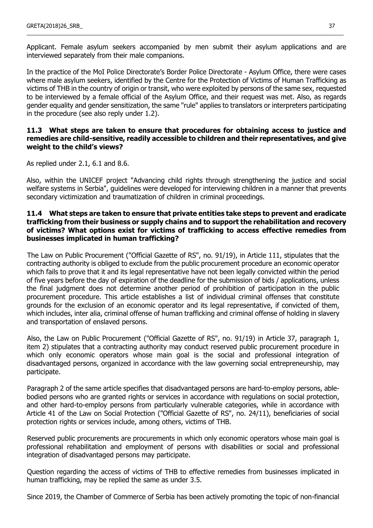Applicant. Female asylum seekers accompanied by men submit their asylum applications and are interviewed separately from their male companions.

\_\_\_\_\_\_\_\_\_\_\_\_\_\_\_\_\_\_\_\_\_\_\_\_\_\_\_\_\_\_\_\_\_\_\_\_\_\_\_\_\_\_\_\_\_\_\_\_\_\_\_\_\_\_\_\_\_\_\_\_\_\_\_\_\_\_\_\_\_\_\_\_\_\_\_\_\_\_\_\_\_\_\_\_\_\_\_\_\_\_\_\_\_\_\_\_\_\_\_\_\_\_\_

In the practice of the MoI Police Directorate's Border Police Directorate - Asylum Office, there were cases where male asylum seekers, identified by the Centre for the Protection of Victims of Human Trafficking as victims of THB in the country of origin or transit, who were exploited by persons of the same sex, requested to be interviewed by a female official of the Asylum Office, and their request was met. Also, as regards gender equality and gender sensitization, the same "rule" applies to translators or interpreters participating in the procedure (see also reply under 1.2).

### **11.3 What steps are taken to ensure that procedures for obtaining access to justice and remedies are child-sensitive, readily accessible to children and their representatives, and give weight to the child's views?**

As replied under 2.1, 6.1 and 8.6.

Also, within the UNICEF project "Advancing child rights through strengthening the justice and social welfare systems in Serbia", guidelines were developed for interviewing children in a manner that prevents secondary victimization and traumatization of children in criminal proceedings.

### **11.4 What steps are taken to ensure that private entities take steps to prevent and eradicate trafficking from their business or supply chains and to support the rehabilitation and recovery of victims? What options exist for victims of trafficking to access effective remedies from businesses implicated in human trafficking?**

The Law on Public Procurement ("Official Gazette of RS", no. 91/19), in Article 111, stipulates that the contracting authority is obliged to exclude from the public procurement procedure an economic operator which fails to prove that it and its legal representative have not been legally convicted within the period of five years before the day of expiration of the deadline for the submission of bids / applications, unless the final judgment does not determine another period of prohibition of participation in the public procurement procedure. This article establishes a list of individual criminal offenses that constitute grounds for the exclusion of an economic operator and its legal representative, if convicted of them, which includes, inter alia, criminal offense of human trafficking and criminal offense of holding in slavery and transportation of enslaved persons.

Also, the Law on Public Procurement ("Official Gazette of RS", no. 91/19) in Article 37, paragraph 1, item 2) stipulates that a contracting authority may conduct reserved public procurement procedure in which only economic operators whose main goal is the social and professional integration of disadvantaged persons, organized in accordance with the law governing social entrepreneurship, may participate.

Paragraph 2 of the same article specifies that disadvantaged persons are hard-to-employ persons, ablebodied persons who are granted rights or services in accordance with regulations on social protection, and other hard-to-employ persons from particularly vulnerable categories, while in accordance with Article 41 of the Law on Social Protection ("Official Gazette of RS", no. 24/11), beneficiaries of social protection rights or services include, among others, victims of THB.

Reserved public procurements are procurements in which only economic operators whose main goal is professional rehabilitation and employment of persons with disabilities or social and professional integration of disadvantaged persons may participate.

Question regarding the access of victims of THB to effective remedies from businesses implicated in human trafficking, may be replied the same as under 3.5.

Since 2019, the Chamber of Commerce of Serbia has been actively promoting the topic of non-financial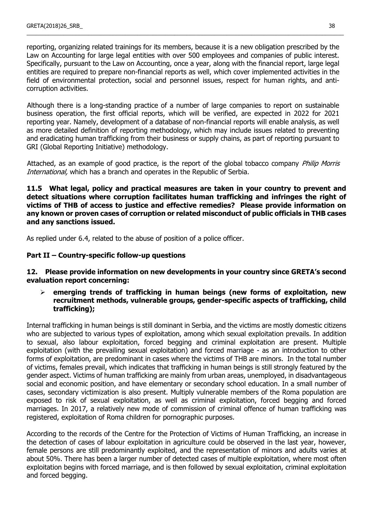reporting, organizing related trainings for its members, because it is a new obligation prescribed by the Law on Accounting for large legal entities with over 500 employees and companies of public interest. Specifically, pursuant to the Law on Accounting, once a year, along with the financial report, large legal entities are required to prepare non-financial reports as well, which cover implemented activities in the field of environmental protection, social and personnel issues, respect for human rights, and anticorruption activities.

\_\_\_\_\_\_\_\_\_\_\_\_\_\_\_\_\_\_\_\_\_\_\_\_\_\_\_\_\_\_\_\_\_\_\_\_\_\_\_\_\_\_\_\_\_\_\_\_\_\_\_\_\_\_\_\_\_\_\_\_\_\_\_\_\_\_\_\_\_\_\_\_\_\_\_\_\_\_\_\_\_\_\_\_\_\_\_\_\_\_\_\_\_\_\_\_\_\_\_\_\_\_\_

Although there is a long-standing practice of a number of large companies to report on sustainable business operation, the first official reports, which will be verified, are expected in 2022 for 2021 reporting year. Namely, development of a database of non-financial reports will enable analysis, as well as more detailed definition of reporting methodology, which may include issues related to preventing and eradicating human trafficking from their business or supply chains, as part of reporting pursuant to GRI (Global Reporting Initiative) methodology.

Attached, as an example of good practice, is the report of the global tobacco company *Philip Morris* International, which has a branch and operates in the Republic of Serbia.

**11.5 What legal, policy and practical measures are taken in your country to prevent and detect situations where corruption facilitates human trafficking and infringes the right of victims of THB of access to justice and effective remedies? Please provide information on any known or proven cases of corruption or related misconduct of public officials in THB cases and any sanctions issued.**

As replied under 6.4, related to the abuse of position of a police officer.

### **Part II – Country-specific follow-up questions**

### **12. Please provide information on new developments in your country since GRETA's second evaluation report concerning:**

 **emerging trends of trafficking in human beings (new forms of exploitation, new recruitment methods, vulnerable groups, gender-specific aspects of trafficking, child trafficking);**

Internal trafficking in human beings is still dominant in Serbia, and the victims are mostly domestic citizens who are subjected to various types of exploitation, among which sexual exploitation prevails. In addition to sexual, also labour exploitation, forced begging and criminal exploitation are present. Multiple exploitation (with the prevailing sexual exploitation) and forced marriage - as an introduction to other forms of exploitation, are predominant in cases where the victims of THB are minors. In the total number of victims, females prevail, which indicates that trafficking in human beings is still strongly featured by the gender aspect. Victims of human trafficking are mainly from urban areas, unemployed, in disadvantageous social and economic position, and have elementary or secondary school education. In a small number of cases, secondary victimization is also present. Multiply vulnerable members of the Roma population are exposed to risk of sexual exploitation, as well as criminal exploitation, forced begging and forced marriages. In 2017, a relatively new mode of commission of criminal offence of human trafficking was registered, exploitation of Roma children for pornographic purposes.

According to the records of the Centre for the Protection of Victims of Human Trafficking, an increase in the detection of cases of labour exploitation in agriculture could be observed in the last year, however, female persons are still predominantly exploited, and the representation of minors and adults varies at about 50%. There has been a larger number of detected cases of multiple exploitation, where most often exploitation begins with forced marriage, and is then followed by sexual exploitation, criminal exploitation and forced begging.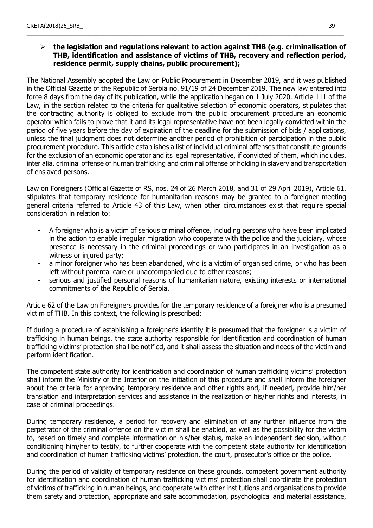# **the legislation and regulations relevant to action against THB (e.g. criminalisation of THB, identification and assistance of victims of THB, recovery and reflection period, residence permit, supply chains, public procurement);**

\_\_\_\_\_\_\_\_\_\_\_\_\_\_\_\_\_\_\_\_\_\_\_\_\_\_\_\_\_\_\_\_\_\_\_\_\_\_\_\_\_\_\_\_\_\_\_\_\_\_\_\_\_\_\_\_\_\_\_\_\_\_\_\_\_\_\_\_\_\_\_\_\_\_\_\_\_\_\_\_\_\_\_\_\_\_\_\_\_\_\_\_\_\_\_\_\_\_\_\_\_\_\_

The National Assembly adopted the Law on Public Procurement in December 2019, and it was published in the Official Gazette of the Republic of Serbia no. 91/19 of 24 December 2019. The new law entered into force 8 days from the day of its publication, while the application began on 1 July 2020. Article 111 of the Law, in the section related to the criteria for qualitative selection of economic operators, stipulates that the contracting authority is obliged to exclude from the public procurement procedure an economic operator which fails to prove that it and its legal representative have not been legally convicted within the period of five years before the day of expiration of the deadline for the submission of bids / applications, unless the final judgment does not determine another period of prohibition of participation in the public procurement procedure. This article establishes a list of individual criminal offenses that constitute grounds for the exclusion of an economic operator and its legal representative, if convicted of them, which includes, inter alia, criminal offense of human trafficking and criminal offense of holding in slavery and transportation of enslaved persons.

Law on Foreigners (Official Gazette of RS, nos. 24 of 26 March 2018, and 31 of 29 April 2019), Article 61, stipulates that temporary residence for humanitarian reasons may be granted to a foreigner meeting general criteria referred to Article 43 of this Law, when other circumstances exist that require special consideration in relation to:

- A foreigner who is a victim of serious criminal offence, including persons who have been implicated in the action to enable irregular migration who cooperate with the police and the judiciary, whose presence is necessary in the criminal proceedings or who participates in an investigation as a witness or injured party;
- a minor foreigner who has been abandoned, who is a victim of organised crime, or who has been left without parental care or unaccompanied due to other reasons;
- serious and justified personal reasons of humanitarian nature, existing interests or international commitments of the Republic of Serbia.

Article 62 of the Law on Foreigners provides for the temporary residence of a foreigner who is a presumed victim of THB. In this context, the following is prescribed:

If during a procedure of establishing a foreigner's identity it is presumed that the foreigner is a victim of trafficking in human beings, the state authority responsible for identification and coordination of human trafficking victims' protection shall be notified, and it shall assess the situation and needs of the victim and perform identification.

The competent state authority for identification and coordination of human trafficking victims' protection shall inform the Ministry of the Interior on the initiation of this procedure and shall inform the foreigner about the criteria for approving temporary residence and other rights and, if needed, provide him/her translation and interpretation services and assistance in the realization of his/her rights and interests, in case of criminal proceedings.

During temporary residence, a period for recovery and elimination of any further influence from the perpetrator of the criminal offence on the victim shall be enabled, as well as the possibility for the victim to, based on timely and complete information on his/her status, make an independent decision, without conditioning him/her to testify, to further cooperate with the competent state authority for identification and coordination of human trafficking victims' protection, the court, prosecutor's office or the police.

During the period of validity of temporary residence on these grounds, competent government authority for identification and coordination of human trafficking victims' protection shall coordinate the protection of victims of trafficking in human beings, and cooperate with other institutions and organisations to provide them safety and protection, appropriate and safe accommodation, psychological and material assistance,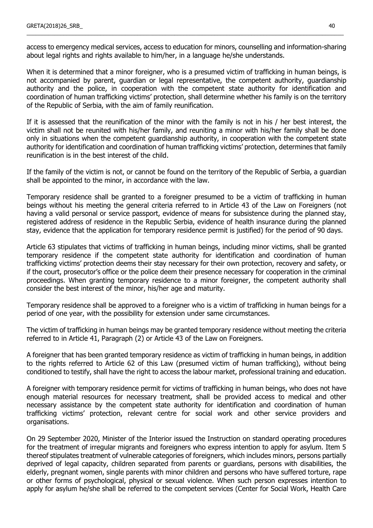access to emergency medical services, access to education for minors, counselling and information-sharing about legal rights and rights available to him/her, in a language he/she understands.

\_\_\_\_\_\_\_\_\_\_\_\_\_\_\_\_\_\_\_\_\_\_\_\_\_\_\_\_\_\_\_\_\_\_\_\_\_\_\_\_\_\_\_\_\_\_\_\_\_\_\_\_\_\_\_\_\_\_\_\_\_\_\_\_\_\_\_\_\_\_\_\_\_\_\_\_\_\_\_\_\_\_\_\_\_\_\_\_\_\_\_\_\_\_\_\_\_\_\_\_\_\_\_

When it is determined that a minor foreigner, who is a presumed victim of trafficking in human beings, is not accompanied by parent, guardian or legal representative, the competent authority, guardianship authority and the police, in cooperation with the competent state authority for identification and coordination of human trafficking victims' protection, shall determine whether his family is on the territory of the Republic of Serbia, with the aim of family reunification.

If it is assessed that the reunification of the minor with the family is not in his / her best interest, the victim shall not be reunited with his/her family, and reuniting a minor with his/her family shall be done only in situations when the competent guardianship authority, in cooperation with the competent state authority for identification and coordination of human trafficking victims' protection, determines that family reunification is in the best interest of the child.

If the family of the victim is not, or cannot be found on the territory of the Republic of Serbia, a guardian shall be appointed to the minor, in accordance with the law.

Temporary residence shall be granted to a foreigner presumed to be a victim of trafficking in human beings without his meeting the general criteria referred to in Article 43 of the Law on Foreigners (not having a valid personal or service passport, evidence of means for subsistence during the planned stay, registered address of residence in the Republic Serbia, evidence of health insurance during the planned stay, evidence that the application for temporary residence permit is justified) for the period of 90 days.

Article 63 stipulates that victims of trafficking in human beings, including minor victims, shall be granted temporary residence if the competent state authority for identification and coordination of human trafficking victims' protection deems their stay necessary for their own protection, recovery and safety, or if the court, prosecutor's office or the police deem their presence necessary for cooperation in the criminal proceedings. When granting temporary residence to a minor foreigner, the competent authority shall consider the best interest of the minor, his/her age and maturity.

Temporary residence shall be approved to a foreigner who is a victim of trafficking in human beings for a period of one year, with the possibility for extension under same circumstances.

The victim of trafficking in human beings may be granted temporary residence without meeting the criteria referred to in Article 41, Paragraph (2) or Article 43 of the Law on Foreigners.

A foreigner that has been granted temporary residence as victim of trafficking in human beings, in addition to the rights referred to Article 62 of this Law (presumed victim of human trafficking), without being conditioned to testify, shall have the right to access the labour market, professional training and education.

A foreigner with temporary residence permit for victims of trafficking in human beings, who does not have enough material resources for necessary treatment, shall be provided access to medical and other necessary assistance by the competent state authority for identification and coordination of human trafficking victims' protection, relevant centre for social work and other service providers and organisations.

On 29 September 2020, Minister of the Interior issued the Instruction on standard operating procedures for the treatment of irregular migrants and foreigners who express intention to apply for asylum. Item 5 thereof stipulates treatment of vulnerable categories of foreigners, which includes minors, persons partially deprived of legal capacity, children separated from parents or guardians, persons with disabilities, the elderly, pregnant women, single parents with minor children and persons who have suffered torture, rape or other forms of psychological, physical or sexual violence. When such person expresses intention to apply for asylum he/she shall be referred to the competent services (Center for Social Work, Health Care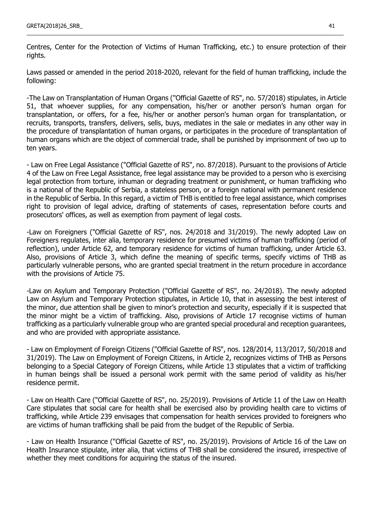Centres, Center for the Protection of Victims of Human Trafficking, etc.) to ensure protection of their rights.

\_\_\_\_\_\_\_\_\_\_\_\_\_\_\_\_\_\_\_\_\_\_\_\_\_\_\_\_\_\_\_\_\_\_\_\_\_\_\_\_\_\_\_\_\_\_\_\_\_\_\_\_\_\_\_\_\_\_\_\_\_\_\_\_\_\_\_\_\_\_\_\_\_\_\_\_\_\_\_\_\_\_\_\_\_\_\_\_\_\_\_\_\_\_\_\_\_\_\_\_\_\_\_

Laws passed or amended in the period 2018-2020, relevant for the field of human trafficking, include the following:

-The Law on Transplantation of Human Organs ("Official Gazette of RS", no. 57/2018) stipulates, in Article 51, that whoever supplies, for any compensation, his/her or another person's human organ for transplantation, or offers, for a fee, his/her or another person's human organ for transplantation, or recruits, transports, transfers, delivers, sells, buys, mediates in the sale or mediates in any other way in the procedure of transplantation of human organs, or participates in the procedure of transplantation of human organs which are the object of commercial trade, shall be punished by imprisonment of two up to ten years.

- Law on Free Legal Assistance ("Official Gazette of RS", no. 87/2018). Pursuant to the provisions of Article 4 of the Law on Free Legal Assistance, free legal assistance may be provided to a person who is exercising legal protection from torture, inhuman or degrading treatment or punishment, or human trafficking who is a national of the Republic of Serbia, a stateless person, or a foreign national with permanent residence in the Republic of Serbia. In this regard, a victim of THB is entitled to free legal assistance, which comprises right to provision of legal advice, drafting of statements of cases, representation before courts and prosecutors' offices, as well as exemption from payment of legal costs.

-Law on Foreigners ("Official Gazette of RS", nos. 24/2018 and 31/2019). The newly adopted Law on Foreigners regulates, inter alia, temporary residence for presumed victims of human trafficking (period of reflection), under Article 62, and temporary residence for victims of human trafficking, under Article 63. Also, provisions of Article 3, which define the meaning of specific terms, specify victims of THB as particularly vulnerable persons, who are granted special treatment in the return procedure in accordance with the provisions of Article 75.

-Law on Asylum and Temporary Protection ("Official Gazette of RS", no. 24/2018). The newly adopted Law on Asylum and Temporary Protection stipulates, in Article 10, that in assessing the best interest of the minor, due attention shall be given to minor's protection and security, especially if it is suspected that the minor might be a victim of trafficking. Also, provisions of Article 17 recognise victims of human trafficking as a particularly vulnerable group who are granted special procedural and reception guarantees, and who are provided with appropriate assistance.

- Law on Employment of Foreign Citizens ("Official Gazette of RS", nos. 128/2014, 113/2017, 50/2018 and 31/2019). The Law on Employment of Foreign Citizens, in Article 2, recognizes victims of THB as Persons belonging to a Special Category of Foreign Citizens, while Article 13 stipulates that a victim of trafficking in human beings shall be issued a personal work permit with the same period of validity as his/her residence permit.

- Law on Health Care ("Official Gazette of RS", no. 25/2019). Provisions of Article 11 of the Law on Health Care stipulates that social care for health shall be exercised also by providing health care to victims of trafficking, while Article 239 envisages that compensation for health services provided to foreigners who are victims of human trafficking shall be paid from the budget of the Republic of Serbia.

- Law on Health Insurance ("Official Gazette of RS", no. 25/2019). Provisions of Article 16 of the Law on Health Insurance stipulate, inter alia, that victims of THB shall be considered the insured, irrespective of whether they meet conditions for acquiring the status of the insured.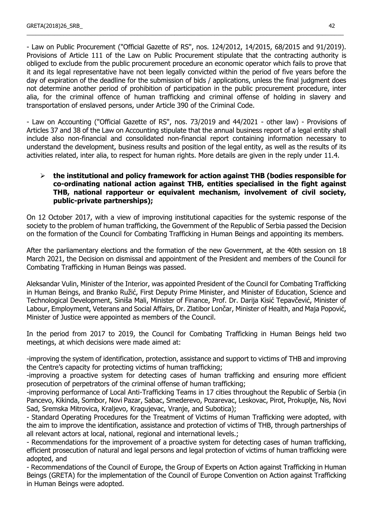- Law on Public Procurement ("Official Gazette of RS", nos. 124/2012, 14/2015, 68/2015 and 91/2019). Provisions of Article 111 of the Law on Public Procurement stipulate that the contracting authority is obliged to exclude from the public procurement procedure an economic operator which fails to prove that it and its legal representative have not been legally convicted within the period of five years before the day of expiration of the deadline for the submission of bids / applications, unless the final judgment does not determine another period of prohibition of participation in the public procurement procedure, inter alia, for the criminal offence of human trafficking and criminal offense of holding in slavery and transportation of enslaved persons, under Article 390 of the Criminal Code.

\_\_\_\_\_\_\_\_\_\_\_\_\_\_\_\_\_\_\_\_\_\_\_\_\_\_\_\_\_\_\_\_\_\_\_\_\_\_\_\_\_\_\_\_\_\_\_\_\_\_\_\_\_\_\_\_\_\_\_\_\_\_\_\_\_\_\_\_\_\_\_\_\_\_\_\_\_\_\_\_\_\_\_\_\_\_\_\_\_\_\_\_\_\_\_\_\_\_\_\_\_\_\_

- Law on Accounting ("Official Gazette of RS", nos. 73/2019 and 44/2021 - other law) - Provisions of Articles 37 and 38 of the Law on Accounting stipulate that the annual business report of a legal entity shall include also non-financial and consolidated non-financial report containing information necessary to understand the development, business results and position of the legal entity, as well as the results of its activities related, inter alia, to respect for human rights. More details are given in the reply under 11.4.

### **the institutional and policy framework for action against THB (bodies responsible for co-ordinating national action against THB, entities specialised in the fight against THB, national rapporteur or equivalent mechanism, involvement of civil society, public-private partnerships);**

On 12 October 2017, with a view of improving institutional capacities for the systemic response of the society to the problem of human trafficking, the Government of the Republic of Serbia passed the Decision on the formation of the Council for Combating Trafficking in Human Beings and appointing its members.

After the parliamentary elections and the formation of the new Government, at the 40th session on 18 March 2021, the Decision on dismissal and appointment of the President and members of the Council for Combating Trafficking in Human Beings was passed.

Aleksandar Vulin, Minister of the Interior, was appointed President of the Council for Combating Trafficking in Human Beings, and Branko Ružić, First Deputy Prime Minister, and Minister of Education, Science and Technological Development, Siniša Mali, Minister of Finance, Prof. Dr. Darija Kisić Tepavčević, Minister of Labour, Employment, Veterans and Social Affairs, Dr. Zlatibor Lončar, Minister of Health, and Maja Popović, Minister of Justice were appointed as members of the Council.

In the period from 2017 to 2019, the Council for Combating Trafficking in Human Beings held two meetings, at which decisions were made aimed at:

-improving the system of identification, protection, assistance and support to victims of THB and improving the Centre's capacity for protecting victims of human trafficking;

-improving a proactive system for detecting cases of human trafficking and ensuring more efficient prosecution of perpetrators of the criminal offense of human trafficking;

-improving performance of Local Anti-Trafficking Teams in 17 cities throughout the Republic of Serbia (in Pancevo, Kikinda, Sombor, Novi Pazar, Sabac, Smederevo, Pozarevac, Leskovac, Pirot, Prokuplje, Nis, Novi Sad, Sremska Mitrovica, Kraljevo, Kragujevac, Vranje, and Subotica);

- Standard Operating Procedures for the Treatment of Victims of Human Trafficking were adopted, with the aim to improve the identification, assistance and protection of victims of THB, through partnerships of all relevant actors at local, national, regional and international levels.;

- Recommendations for the improvement of a proactive system for detecting cases of human trafficking, efficient prosecution of natural and legal persons and legal protection of victims of human trafficking were adopted, and

- Recommendations of the Council of Europe, the Group of Experts on Action against Trafficking in Human Beings (GRETA) for the implementation of the Council of Europe Convention on Action against Trafficking in Human Beings were adopted.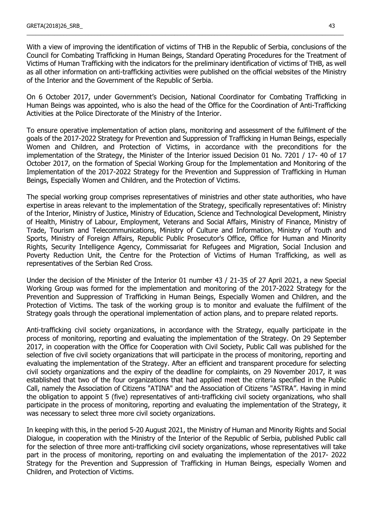With a view of improving the identification of victims of THB in the Republic of Serbia, conclusions of the Council for Combating Trafficking in Human Beings, Standard Operating Procedures for the Treatment of Victims of Human Trafficking with the indicators for the preliminary identification of victims of THB, as well as all other information on anti-trafficking activities were published on the official websites of the Ministry of the Interior and the Government of the Republic of Serbia.

\_\_\_\_\_\_\_\_\_\_\_\_\_\_\_\_\_\_\_\_\_\_\_\_\_\_\_\_\_\_\_\_\_\_\_\_\_\_\_\_\_\_\_\_\_\_\_\_\_\_\_\_\_\_\_\_\_\_\_\_\_\_\_\_\_\_\_\_\_\_\_\_\_\_\_\_\_\_\_\_\_\_\_\_\_\_\_\_\_\_\_\_\_\_\_\_\_\_\_\_\_\_\_

On 6 October 2017, under Government's Decision, National Coordinator for Combating Trafficking in Human Beings was appointed, who is also the head of the Office for the Coordination of Anti-Trafficking Activities at the Police Directorate of the Ministry of the Interior.

To ensure operative implementation of action plans, monitoring and assessment of the fulfilment of the goals of the 2017-2022 Strategy for Prevention and Suppression of Trafficking in Human Beings, especially Women and Children, and Protection of Victims, in accordance with the preconditions for the implementation of the Strategy, the Minister of the Interior issued Decision 01 No. 7201 / 17- 40 of 17 October 2017, on the formation of Special Working Group for the Implementation and Monitoring of the Implementation of the 2017-2022 Strategy for the Prevention and Suppression of Trafficking in Human Beings, Especially Women and Children, and the Protection of Victims.

The special working group comprises representatives of ministries and other state authorities, who have expertise in areas relevant to the implementation of the Strategy, specifically representatives of: Ministry of the Interior, Ministry of Justice, Ministry of Education, Science and Technological Development, Ministry of Health, Ministry of Labour, Employment, Veterans and Social Affairs, Ministry of Finance, Ministry of Trade, Tourism and Telecommunications, Ministry of Culture and Information, Ministry of Youth and Sports, Ministry of Foreign Affairs, Republic Public Prosecutor's Office, Office for Human and Minority Rights, Security Intelligence Agency, Commissariat for Refugees and Migration, Social Inclusion and Poverty Reduction Unit, the Centre for the Protection of Victims of Human Trafficking, as well as representatives of the Serbian Red Cross.

Under the decision of the Minister of the Interior 01 number 43 / 21-35 of 27 April 2021, a new Special Working Group was formed for the implementation and monitoring of the 2017-2022 Strategy for the Prevention and Suppression of Trafficking in Human Beings, Especially Women and Children, and the Protection of Victims. The task of the working group is to monitor and evaluate the fulfilment of the Strategy goals through the operational implementation of action plans, and to prepare related reports.

Anti-trafficking civil society organizations, in accordance with the Strategy, equally participate in the process of monitoring, reporting and evaluating the implementation of the Strategy. On 29 September 2017, in cooperation with the Office for Cooperation with Civil Society, Public Call was published for the selection of five civil society organizations that will participate in the process of monitoring, reporting and evaluating the implementation of the Strategy. After an efficient and transparent procedure for selecting civil society organizations and the expiry of the deadline for complaints, on 29 November 2017, it was established that two of the four organizations that had applied meet the criteria specified in the Public Call, namely the Association of Citizens "ATINA" and the Association of Citizens "ASTRA". Having in mind the obligation to appoint 5 (five) representatives of anti-trafficking civil society organizations, who shall participate in the process of monitoring, reporting and evaluating the implementation of the Strategy, it was necessary to select three more civil society organizations.

In keeping with this, in the period 5-20 August 2021, the Ministry of Human and Minority Rights and Social Dialogue, in cooperation with the Ministry of the Interior of the Republic of Serbia, published Public call for the selection of three more anti-trafficking civil society organizations, whose representatives will take part in the process of monitoring, reporting on and evaluating the implementation of the 2017- 2022 Strategy for the Prevention and Suppression of Trafficking in Human Beings, especially Women and Children, and Protection of Victims.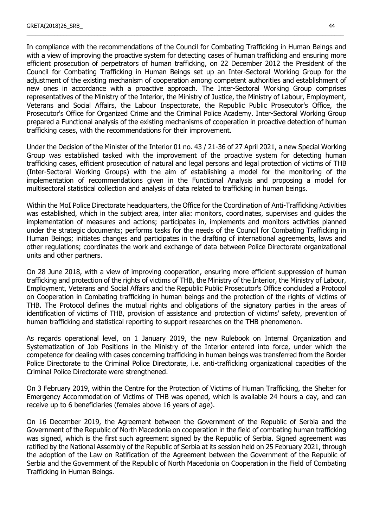In compliance with the recommendations of the Council for Combating Trafficking in Human Beings and with a view of improving the proactive system for detecting cases of human trafficking and ensuring more efficient prosecution of perpetrators of human trafficking, on 22 December 2012 the President of the Council for Combating Trafficking in Human Beings set up an Inter-Sectoral Working Group for the adjustment of the existing mechanism of cooperation among competent authorities and establishment of new ones in accordance with a proactive approach. The Inter-Sectoral Working Group comprises representatives of the Ministry of the Interior, the Ministry of Justice, the Ministry of Labour, Employment, Veterans and Social Affairs, the Labour Inspectorate, the Republic Public Prosecutor's Office, the Prosecutor's Office for Organized Crime and the Criminal Police Academy. Inter-Sectoral Working Group prepared a Functional analysis of the existing mechanisms of cooperation in proactive detection of human trafficking cases, with the recommendations for their improvement.

\_\_\_\_\_\_\_\_\_\_\_\_\_\_\_\_\_\_\_\_\_\_\_\_\_\_\_\_\_\_\_\_\_\_\_\_\_\_\_\_\_\_\_\_\_\_\_\_\_\_\_\_\_\_\_\_\_\_\_\_\_\_\_\_\_\_\_\_\_\_\_\_\_\_\_\_\_\_\_\_\_\_\_\_\_\_\_\_\_\_\_\_\_\_\_\_\_\_\_\_\_\_\_

Under the Decision of the Minister of the Interior 01 no. 43 / 21-36 of 27 April 2021, a new Special Working Group was established tasked with the improvement of the proactive system for detecting human trafficking cases, efficient prosecution of natural and legal persons and legal protection of victims of THB (Inter-Sectoral Working Groups) with the aim of establishing a model for the monitoring of the implementation of recommendations given in the Functional Analysis and proposing a model for multisectoral statistical collection and analysis of data related to trafficking in human beings.

Within the MoI Police Directorate headquarters, the Office for the Coordination of Anti-Trafficking Activities was established, which in the subject area, inter alia: monitors, coordinates, supervises and guides the implementation of measures and actions; participates in, implements and monitors activities planned under the strategic documents; performs tasks for the needs of the Council for Combating Trafficking in Human Beings; initiates changes and participates in the drafting of international agreements, laws and other regulations; coordinates the work and exchange of data between Police Directorate organizational units and other partners.

On 28 June 2018, with a view of improving cooperation, ensuring more efficient suppression of human trafficking and protection of the rights of victims of THB, the Ministry of the Interior, the Ministry of Labour, Employment, Veterans and Social Affairs and the Republic Public Prosecutor's Office concluded a Protocol on Cooperation in Combating trafficking in human beings and the protection of the rights of victims of THB. The Protocol defines the mutual rights and obligations of the signatory parties in the areas of identification of victims of THB, provision of assistance and protection of victims' safety, prevention of human trafficking and statistical reporting to support researches on the THB phenomenon.

As regards operational level, on 1 January 2019, the new Rulebook on Internal Organization and Systematization of Job Positions in the Ministry of the Interior entered into force, under which the competence for dealing with cases concerning trafficking in human beings was transferred from the Border Police Directorate to the Criminal Police Directorate, i.e. anti-trafficking organizational capacities of the Criminal Police Directorate were strengthened.

On 3 February 2019, within the Centre for the Protection of Victims of Human Trafficking, the Shelter for Emergency Accommodation of Victims of THB was opened, which is available 24 hours a day, and can receive up to 6 beneficiaries (females above 16 years of age).

On 16 December 2019, the Agreement between the Government of the Republic of Serbia and the Government of the Republic of North Macedonia on cooperation in the field of combating human trafficking was signed, which is the first such agreement signed by the Republic of Serbia. Signed agreement was ratified by the National Assembly of the Republic of Serbia at its session held on 25 February 2021, through the adoption of the Law on Ratification of the Agreement between the Government of the Republic of Serbia and the Government of the Republic of North Macedonia on Cooperation in the Field of Combating Trafficking in Human Beings.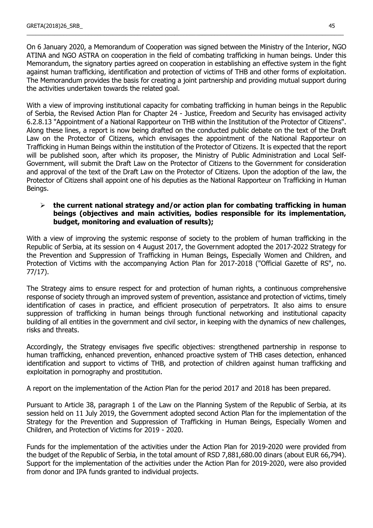On 6 January 2020, a Memorandum of Cooperation was signed between the Ministry of the Interior, NGO ATINA and NGO ASTRA on cooperation in the field of combating trafficking in human beings. Under this Memorandum, the signatory parties agreed on cooperation in establishing an effective system in the fight against human trafficking, identification and protection of victims of THB and other forms of exploitation. The Memorandum provides the basis for creating a joint partnership and providing mutual support during the activities undertaken towards the related goal.

\_\_\_\_\_\_\_\_\_\_\_\_\_\_\_\_\_\_\_\_\_\_\_\_\_\_\_\_\_\_\_\_\_\_\_\_\_\_\_\_\_\_\_\_\_\_\_\_\_\_\_\_\_\_\_\_\_\_\_\_\_\_\_\_\_\_\_\_\_\_\_\_\_\_\_\_\_\_\_\_\_\_\_\_\_\_\_\_\_\_\_\_\_\_\_\_\_\_\_\_\_\_\_

With a view of improving institutional capacity for combating trafficking in human beings in the Republic of Serbia, the Revised Action Plan for Chapter 24 - Justice, Freedom and Security has envisaged activity 6.2.8.13 "Appointment of a National Rapporteur on THB within the Institution of the Protector of Citizens". Along these lines, a report is now being drafted on the conducted public debate on the text of the Draft Law on the Protector of Citizens, which envisages the appointment of the National Rapporteur on Trafficking in Human Beings within the institution of the Protector of Citizens. It is expected that the report will be published soon, after which its proposer, the Ministry of Public Administration and Local Self-Government, will submit the Draft Law on the Protector of Citizens to the Government for consideration and approval of the text of the Draft Law on the Protector of Citizens. Upon the adoption of the law, the Protector of Citizens shall appoint one of his deputies as the National Rapporteur on Trafficking in Human Beings.

#### **the current national strategy and/or action plan for combating trafficking in human beings (objectives and main activities, bodies responsible for its implementation, budget, monitoring and evaluation of results);**

With a view of improving the systemic response of society to the problem of human trafficking in the Republic of Serbia, at its session on 4 August 2017, the Government adopted the 2017-2022 Strategy for the Prevention and Suppression of Trafficking in Human Beings, Especially Women and Children, and Protection of Victims with the accompanying Action Plan for 2017-2018 ("Official Gazette of RS", no. 77/17).

The Strategy aims to ensure respect for and protection of human rights, a continuous comprehensive response of society through an improved system of prevention, assistance and protection of victims, timely identification of cases in practice, and efficient prosecution of perpetrators. It also aims to ensure suppression of trafficking in human beings through functional networking and institutional capacity building of all entities in the government and civil sector, in keeping with the dynamics of new challenges, risks and threats.

Accordingly, the Strategy envisages five specific objectives: strengthened partnership in response to human trafficking, enhanced prevention, enhanced proactive system of THB cases detection, enhanced identification and support to victims of THB, and protection of children against human trafficking and exploitation in pornography and prostitution.

A report on the implementation of the Action Plan for the period 2017 and 2018 has been prepared.

Pursuant to Article 38, paragraph 1 of the Law on the Planning System of the Republic of Serbia, at its session held on 11 July 2019, the Government adopted second Action Plan for the implementation of the Strategy for the Prevention and Suppression of Trafficking in Human Beings, Especially Women and Children, and Protection of Victims for 2019 - 2020.

Funds for the implementation of the activities under the Action Plan for 2019-2020 were provided from the budget of the Republic of Serbia, in the total amount of RSD 7,881,680.00 dinars (about EUR 66,794). Support for the implementation of the activities under the Action Plan for 2019-2020, were also provided from donor and IPA funds granted to individual projects.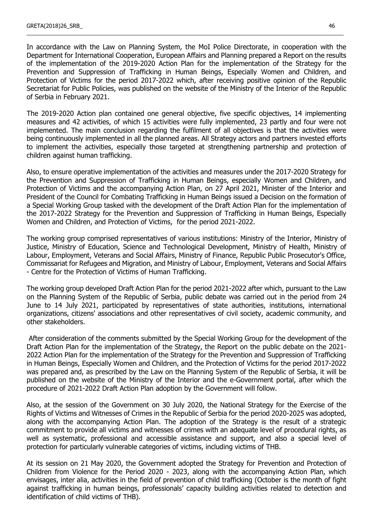In accordance with the Law on Planning System, the MoI Police Directorate, in cooperation with the Department for International Cooperation, European Affairs and Planning prepared a Report on the results of the implementation of the 2019-2020 Action Plan for the implementation of the Strategy for the Prevention and Suppression of Trafficking in Human Beings, Especially Women and Children, and Protection of Victims for the period 2017-2022 which, after receiving positive opinion of the Republic Secretariat for Public Policies, was published on the website of the Ministry of the Interior of the Republic of Serbia in February 2021.

\_\_\_\_\_\_\_\_\_\_\_\_\_\_\_\_\_\_\_\_\_\_\_\_\_\_\_\_\_\_\_\_\_\_\_\_\_\_\_\_\_\_\_\_\_\_\_\_\_\_\_\_\_\_\_\_\_\_\_\_\_\_\_\_\_\_\_\_\_\_\_\_\_\_\_\_\_\_\_\_\_\_\_\_\_\_\_\_\_\_\_\_\_\_\_\_\_\_\_\_\_\_\_

The 2019-2020 Action plan contained one general objective, five specific objectives, 14 implementing measures and 42 activities, of which 15 activities were fully implemented, 23 partly and four were not implemented. The main conclusion regarding the fulfilment of all objectives is that the activities were being continuously implemented in all the planned areas. All Strategy actors and partners invested efforts to implement the activities, especially those targeted at strengthening partnership and protection of children against human trafficking.

Also, to ensure operative implementation of the activities and measures under the 2017-2020 Strategy for the Prevention and Suppression of Trafficking in Human Beings, especially Women and Children, and Protection of Victims and the accompanying Action Plan, on 27 April 2021, Minister of the Interior and President of the Council for Combating Trafficking in Human Beings issued a Decision on the formation of a Special Working Group tasked with the development of the Draft Action Plan for the implementation of the 2017-2022 Strategy for the Prevention and Suppression of Trafficking in Human Beings, Especially Women and Children, and Protection of Victims, for the period 2021-2022.

The working group comprised representatives of various institutions: Ministry of the Interior, Ministry of Justice, Ministry of Education, Science and Technological Development, Ministry of Health, Ministry of Labour, Employment, Veterans and Social Affairs, Ministry of Finance, Republic Public Prosecutor's Office, Commissariat for Refugees and Migration, and Ministry of Labour, Employment, Veterans and Social Affairs - Centre for the Protection of Victims of Human Trafficking.

The working group developed Draft Action Plan for the period 2021-2022 after which, pursuant to the Law on the Planning System of the Republic of Serbia, public debate was carried out in the period from 24 June to 14 July 2021, participated by representatives of state authorities, institutions, international organizations, citizens' associations and other representatives of civil society, academic community, and other stakeholders.

After consideration of the comments submitted by the Special Working Group for the development of the Draft Action Plan for the implementation of the Strategy, the Report on the public debate on the 2021- 2022 Action Plan for the implementation of the Strategy for the Prevention and Suppression of Trafficking in Human Beings, Especially Women and Children, and the Protection of Victims for the period 2017-2022 was prepared and, as prescribed by the Law on the Planning System of the Republic of Serbia, it will be published on the website of the Ministry of the Interior and the e-Government portal, after which the procedure of 2021-2022 Draft Action Plan adoption by the Government will follow.

Also, at the session of the Government on 30 July 2020, the National Strategy for the Exercise of the Rights of Victims and Witnesses of Crimes in the Republic of Serbia for the period 2020-2025 was adopted, along with the accompanying Action Plan. The adoption of the Strategy is the result of a strategic commitment to provide all victims and witnesses of crimes with an adequate level of procedural rights, as well as systematic, professional and accessible assistance and support, and also a special level of protection for particularly vulnerable categories of victims, including victims of THB.

At its session on 21 May 2020, the Government adopted the Strategy for Prevention and Protection of Children from Violence for the Period 2020 - 2023, along with the accompanying Action Plan, which envisages, inter alia, activities in the field of prevention of child trafficking (October is the month of fight against trafficking in human beings, professionals' capacity building activities related to detection and identification of child victims of THB).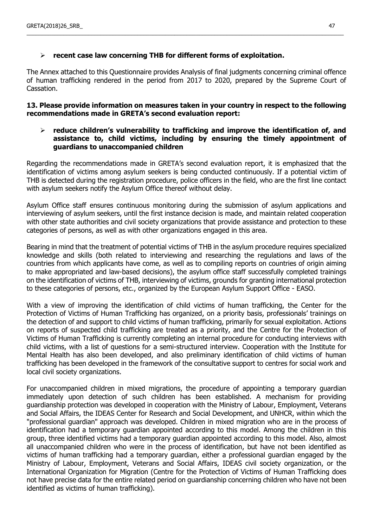# **recent case law concerning THB for different forms of exploitation.**

The Annex attached to this Questionnaire provides Analysis of final judgments concerning criminal offence of human trafficking rendered in the period from 2017 to 2020, prepared by the Supreme Court of Cassation.

\_\_\_\_\_\_\_\_\_\_\_\_\_\_\_\_\_\_\_\_\_\_\_\_\_\_\_\_\_\_\_\_\_\_\_\_\_\_\_\_\_\_\_\_\_\_\_\_\_\_\_\_\_\_\_\_\_\_\_\_\_\_\_\_\_\_\_\_\_\_\_\_\_\_\_\_\_\_\_\_\_\_\_\_\_\_\_\_\_\_\_\_\_\_\_\_\_\_\_\_\_\_\_

### **13. Please provide information on measures taken in your country in respect to the following recommendations made in GRETA's second evaluation report:**

### **reduce children's vulnerability to trafficking and improve the identification of, and assistance to, child victims, including by ensuring the timely appointment of guardians to unaccompanied children**

Regarding the recommendations made in GRETA's second evaluation report, it is emphasized that the identification of victims among asylum seekers is being conducted continuously. If a potential victim of THB is detected during the registration procedure, police officers in the field, who are the first line contact with asylum seekers notify the Asylum Office thereof without delay.

Asylum Office staff ensures continuous monitoring during the submission of asylum applications and interviewing of asylum seekers, until the first instance decision is made, and maintain related cooperation with other state authorities and civil society organizations that provide assistance and protection to these categories of persons, as well as with other organizations engaged in this area.

Bearing in mind that the treatment of potential victims of THB in the asylum procedure requires specialized knowledge and skills (both related to interviewing and researching the regulations and laws of the countries from which applicants have come, as well as to compiling reports on countries of origin aiming to make appropriated and law-based decisions), the asylum office staff successfully completed trainings on the identification of victims of THB, interviewing of victims, grounds for granting international protection to these categories of persons, etc., organized by the European Asylum Support Office - EASO.

With a view of improving the identification of child victims of human trafficking, the Center for the Protection of Victims of Human Trafficking has organized, on a priority basis, professionals' trainings on the detection of and support to child victims of human trafficking, primarily for sexual exploitation. Actions on reports of suspected child trafficking are treated as a priority, and the Centre for the Protection of Victims of Human Trafficking is currently completing an internal procedure for conducting interviews with child victims, with a list of questions for a semi-structured interview. Cooperation with the Institute for Mental Health has also been developed, and also preliminary identification of child victims of human trafficking has been developed in the framework of the consultative support to centres for social work and local civil society organizations.

For unaccompanied children in mixed migrations, the procedure of appointing a temporary guardian immediately upon detection of such children has been established. A mechanism for providing guardianship protection was developed in cooperation with the Ministry of Labour, Employment, Veterans and Social Affairs, the IDEAS Center for Research and Social Development, and UNHCR, within which the "professional guardian" approach was developed. Children in mixed migration who are in the process of identification had a temporary guardian appointed according to this model. Among the children in this group, three identified victims had a temporary guardian appointed according to this model. Also, almost all unaccompanied children who were in the process of identification, but have not been identified as victims of human trafficking had a temporary guardian, either a professional guardian engaged by the Ministry of Labour, Employment, Veterans and Social Affairs, IDEAS civil society organization, or the International Organization for Migration (Centre for the Protection of Victims of Human Trafficking does not have precise data for the entire related period on guardianship concerning children who have not been identified as victims of human trafficking).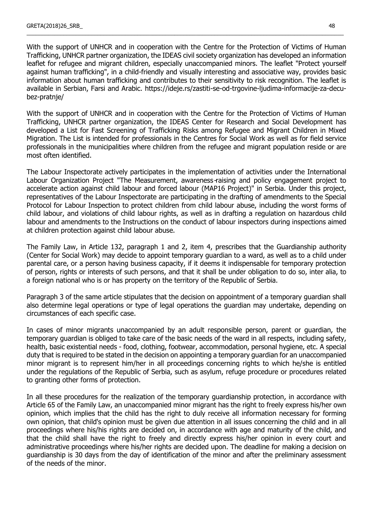With the support of UNHCR and in cooperation with the Centre for the Protection of Victims of Human Trafficking, UNHCR partner organization, the IDEAS civil society organization has developed an information leaflet for refugee and migrant children, especially unaccompanied minors. The leaflet "Protect yourself against human trafficking", in a child-friendly and visually interesting and associative way, provides basic information about human trafficking and contributes to their sensitivity to risk recognition. The leaflet is available in Serbian, Farsi and Arabic. https://ideje.rs/zastiti-se-od-trgovine-ljudima-informacije-za-decubez-pratnje/

\_\_\_\_\_\_\_\_\_\_\_\_\_\_\_\_\_\_\_\_\_\_\_\_\_\_\_\_\_\_\_\_\_\_\_\_\_\_\_\_\_\_\_\_\_\_\_\_\_\_\_\_\_\_\_\_\_\_\_\_\_\_\_\_\_\_\_\_\_\_\_\_\_\_\_\_\_\_\_\_\_\_\_\_\_\_\_\_\_\_\_\_\_\_\_\_\_\_\_\_\_\_\_

With the support of UNHCR and in cooperation with the Centre for the Protection of Victims of Human Trafficking, UNHCR partner organization, the IDEAS Center for Research and Social Development has developed a List for Fast Screening of Trafficking Risks among Refugee and Migrant Children in Mixed Migration. The List is intended for professionals in the Centres for Social Work as well as for field service professionals in the municipalities where children from the refugee and migrant population reside or are most often identified.

The Labour Inspectorate actively participates in the implementation of activities under the International Labour Organization Project "The Measurement, awareness-raising and policy engagement project to accelerate action against child labour and forced labour (MAP16 Project)" in Serbia. Under this project, representatives of the Labour Inspectorate are participating in the drafting of amendments to the Special Protocol for Labour Inspection to protect children from child labour abuse, including the worst forms of child labour, and violations of child labour rights, as well as in drafting a regulation on hazardous child labour and amendments to the Instructions on the conduct of labour inspectors during inspections aimed at children protection against child labour abuse.

The Family Law, in Article 132, paragraph 1 and 2, item 4, prescribes that the Guardianship authority (Center for Social Work) may decide to appoint temporary guardian to a ward, as well as to a child under parental care, or a person having business capacity, if it deems it indispensable for temporary protection of person, rights or interests of such persons, and that it shall be under obligation to do so, inter alia, to a foreign national who is or has property on the territory of the Republic of Serbia.

Paragraph 3 of the same article stipulates that the decision on appointment of a temporary guardian shall also determine legal operations or type of legal operations the guardian may undertake, depending on circumstances of each specific case.

In cases of minor migrants unaccompanied by an adult responsible person, parent or guardian, the temporary guardian is obliged to take care of the basic needs of the ward in all respects, including safety, health, basic existential needs - food, clothing, footwear, accommodation, personal hygiene, etc. A special duty that is required to be stated in the decision on appointing a temporary guardian for an unaccompanied minor migrant is to represent him/her in all proceedings concerning rights to which he/she is entitled under the regulations of the Republic of Serbia, such as asylum, refuge procedure or procedures related to granting other forms of protection.

In all these procedures for the realization of the temporary guardianship protection, in accordance with Article 65 of the Family Law, an unaccompanied minor migrant has the right to freely express his/her own opinion, which implies that the child has the right to duly receive all information necessary for forming own opinion, that child's opinion must be given due attention in all issues concerning the child and in all proceedings where his/his rights are decided on, in accordance with age and maturity of the child, and that the child shall have the right to freely and directly express his/her opinion in every court and administrative proceedings where his/her rights are decided upon. The deadline for making a decision on guardianship is 30 days from the day of identification of the minor and after the preliminary assessment of the needs of the minor.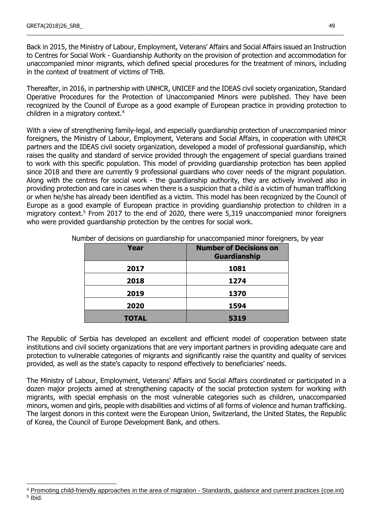Back in 2015, the Ministry of Labour, Employment, Veterans' Affairs and Social Affairs issued an Instruction to Centres for Social Work - Guardianship Authority on the provision of protection and accommodation for unaccompanied minor migrants, which defined special procedures for the treatment of minors, including in the context of treatment of victims of THB.

\_\_\_\_\_\_\_\_\_\_\_\_\_\_\_\_\_\_\_\_\_\_\_\_\_\_\_\_\_\_\_\_\_\_\_\_\_\_\_\_\_\_\_\_\_\_\_\_\_\_\_\_\_\_\_\_\_\_\_\_\_\_\_\_\_\_\_\_\_\_\_\_\_\_\_\_\_\_\_\_\_\_\_\_\_\_\_\_\_\_\_\_\_\_\_\_\_\_\_\_\_\_\_

Thereafter, in 2016, in partnership with UNHCR, UNICEF and the IDEAS civil society organization, Standard Operative Procedures for the Protection of Unaccompanied Minors were published. They have been recognized by the Council of Europe as a good example of European practice in providing protection to children in a migratory context.<sup>4</sup>

With a view of strengthening family-legal, and especially guardianship protection of unaccompanied minor foreigners, the Ministry of Labour, Employment, Veterans and Social Affairs, in cooperation with UNHCR partners and the IDEAS civil society organization, developed a model of professional guardianship, which raises the quality and standard of service provided through the engagement of special guardians trained to work with this specific population. This model of providing guardianship protection has been applied since 2018 and there are currently 9 professional guardians who cover needs of the migrant population. Along with the centres for social work - the guardianship authority, they are actively involved also in providing protection and care in cases when there is a suspicion that a child is a victim of human trafficking or when he/she has already been identified as a victim. This model has been recognized by the Council of Europe as a good example of European practice in providing guardianship protection to children in a migratory context.<sup>5</sup> From 2017 to the end of 2020, there were 5,319 unaccompanied minor foreigners who were provided guardianship protection by the centres for social work.

| Year         | <b>Number of Decisions on</b><br><b>Guardianship</b> |
|--------------|------------------------------------------------------|
| 2017         | 1081                                                 |
| 2018         | 1274                                                 |
| 2019         | 1370                                                 |
| 2020         | 1594                                                 |
| <b>TOTAL</b> | 5319                                                 |

Number of decisions on guardianship for unaccompanied minor foreigners, by year

The Republic of Serbia has developed an excellent and efficient model of cooperation between state institutions and civil society organizations that are very important partners in providing adequate care and protection to vulnerable categories of migrants and significantly raise the quantity and quality of services provided, as well as the state's capacity to respond effectively to beneficiaries' needs.

The Ministry of Labour, Employment, Veterans' Affairs and Social Affairs coordinated or participated in a dozen major projects aimed at strengthening capacity of the social protection system for working with migrants, with special emphasis on the most vulnerable categories such as children, unaccompanied minors, women and girls, people with disabilities and victims of all forms of violence and human trafficking. The largest donors in this context were the European Union, Switzerland, the United States, the Republic of Korea, the Council of Europe Development Bank, and others.

<sup>4</sup> [Promoting child-friendly approaches in the area of migration -](https://edoc.coe.int/en/refugees/8047-promoting-child-friendly-approaches-in-the-area-of-migration-standards-guidance-and-current-practices.html) Standards, guidance and current practices (coe.int) 5 Ibid.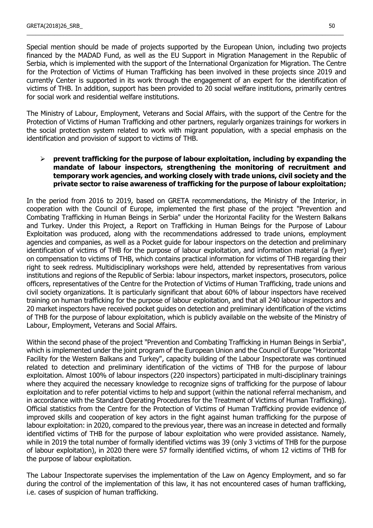Special mention should be made of projects supported by the European Union, including two projects financed by the MADAD Fund, as well as the EU Support in Migration Management in the Republic of Serbia, which is implemented with the support of the International Organization for Migration. The Centre for the Protection of Victims of Human Trafficking has been involved in these projects since 2019 and currently Center is supported in its work through the engagement of an expert for the identification of victims of THB. In addition, support has been provided to 20 social welfare institutions, primarily centres for social work and residential welfare institutions.

\_\_\_\_\_\_\_\_\_\_\_\_\_\_\_\_\_\_\_\_\_\_\_\_\_\_\_\_\_\_\_\_\_\_\_\_\_\_\_\_\_\_\_\_\_\_\_\_\_\_\_\_\_\_\_\_\_\_\_\_\_\_\_\_\_\_\_\_\_\_\_\_\_\_\_\_\_\_\_\_\_\_\_\_\_\_\_\_\_\_\_\_\_\_\_\_\_\_\_\_\_\_\_

The Ministry of Labour, Employment, Veterans and Social Affairs, with the support of the Centre for the Protection of Victims of Human Trafficking and other partners, regularly organizes trainings for workers in the social protection system related to work with migrant population, with a special emphasis on the identification and provision of support to victims of THB.

### **prevent trafficking for the purpose of labour exploitation, including by expanding the mandate of labour inspectors, strengthening the monitoring of recruitment and temporary work agencies, and working closely with trade unions, civil society and the private sector to raise awareness of trafficking for the purpose of labour exploitation;**

In the period from 2016 to 2019, based on GRETA recommendations, the Ministry of the Interior, in cooperation with the Council of Europe, implemented the first phase of the project "Prevention and Combating Trafficking in Human Beings in Serbia" under the Horizontal Facility for the Western Balkans and Turkey. Under this Project, a Report on Trafficking in Human Beings for the Purpose of Labour Exploitation was produced, along with the recommendations addressed to trade unions, employment agencies and companies, as well as a Pocket guide for labour inspectors on the detection and preliminary identification of victims of THB for the purpose of labour exploitation, and information material (a flyer) on compensation to victims of THB, which contains practical information for victims of THB regarding their right to seek redress. Multidisciplinary workshops were held, attended by representatives from various institutions and regions of the Republic of Serbia: labour inspectors, market inspectors, prosecutors, police officers, representatives of the Centre for the Protection of Victims of Human Trafficking, trade unions and civil society organizations. It is particularly significant that about 60% of labour inspectors have received training on human trafficking for the purpose of labour exploitation, and that all 240 labour inspectors and 20 market inspectors have received pocket guides on detection and preliminary identification of the victims of THB for the purpose of labour exploitation, which is publicly available on the website of the Ministry of Labour, Employment, Veterans and Social Affairs.

Within the second phase of the project "Prevention and Combating Trafficking in Human Beings in Serbia", which is implemented under the joint program of the European Union and the Council of Europe "Horizontal Facility for the Western Balkans and Turkey", capacity building of the Labour Inspectorate was continued related to detection and preliminary identification of the victims of THB for the purpose of labour exploitation. Almost 100% of labour inspectors (220 inspectors) participated in multi-disciplinary trainings where they acquired the necessary knowledge to recognize signs of trafficking for the purpose of labour exploitation and to refer potential victims to help and support (within the national referral mechanism, and in accordance with the Standard Operating Procedures for the Treatment of Victims of Human Trafficking). Official statistics from the Centre for the Protection of Victims of Human Trafficking provide evidence of improved skills and cooperation of key actors in the fight against human trafficking for the purpose of labour exploitation: in 2020, compared to the previous year, there was an increase in detected and formally identified victims of THB for the purpose of labour exploitation who were provided assistance. Namely, while in 2019 the total number of formally identified victims was 39 (only 3 victims of THB for the purpose of labour exploitation), in 2020 there were 57 formally identified victims, of whom 12 victims of THB for the purpose of labour exploitation.

The Labour Inspectorate supervises the implementation of the Law on Agency Employment, and so far during the control of the implementation of this law, it has not encountered cases of human trafficking, i.e. cases of suspicion of human trafficking.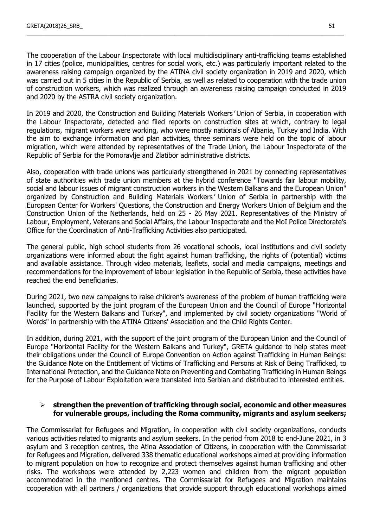The cooperation of the Labour Inspectorate with local multidisciplinary anti-trafficking teams established in 17 cities (police, municipalities, centres for social work, etc.) was particularly important related to the awareness raising campaign organized by the ATINA civil society organization in 2019 and 2020, which was carried out in 5 cities in the Republic of Serbia, as well as related to cooperation with the trade union of construction workers, which was realized through an awareness raising campaign conducted in 2019 and 2020 by the ASTRA civil society organization.

\_\_\_\_\_\_\_\_\_\_\_\_\_\_\_\_\_\_\_\_\_\_\_\_\_\_\_\_\_\_\_\_\_\_\_\_\_\_\_\_\_\_\_\_\_\_\_\_\_\_\_\_\_\_\_\_\_\_\_\_\_\_\_\_\_\_\_\_\_\_\_\_\_\_\_\_\_\_\_\_\_\_\_\_\_\_\_\_\_\_\_\_\_\_\_\_\_\_\_\_\_\_\_

In 2019 and 2020, the Construction and Building Materials Workers' Union of Serbia, in cooperation with the Labour Inspectorate, detected and filed reports on construction sites at which, contrary to legal regulations, migrant workers were working, who were mostly nationals of Albania, Turkey and India. With the aim to exchange information and plan activities, three seminars were held on the topic of labour migration, which were attended by representatives of the Trade Union, the Labour Inspectorate of the Republic of Serbia for the Pomoravlje and Zlatibor administrative districts.

Also, cooperation with trade unions was particularly strengthened in 2021 by connecting representatives of state authorities with trade union members at the hybrid conference "Towards fair labour mobility, social and labour issues of migrant construction workers in the Western Balkans and the European Union" organized by Construction and Building Materials Workers' Union of Serbia in partnership with the European Center for Workers' Questions, the Construction and Energy Workers Union of Belgium and the Construction Union of the Netherlands, held on 25 - 26 May 2021. Representatives of the Ministry of Labour, Employment, Veterans and Social Affairs, the Labour Inspectorate and the MoI Police Directorate's Office for the Coordination of Anti-Trafficking Activities also participated.

The general public, high school students from 26 vocational schools, local institutions and civil society organizations were informed about the fight against human trafficking, the rights of (potential) victims and available assistance. Through video materials, leaflets, social and media campaigns, meetings and recommendations for the improvement of labour legislation in the Republic of Serbia, these activities have reached the end beneficiaries.

During 2021, two new campaigns to raise children's awareness of the problem of human trafficking were launched, supported by the joint program of the European Union and the Council of Europe "Horizontal Facility for the Western Balkans and Turkey", and implemented by civil society organizations "World of Words" in partnership with the ATINA Citizens' Association and the Child Rights Center.

In addition, during 2021, with the support of the joint program of the European Union and the Council of Europe "Horizontal Facility for the Western Balkans and Turkey", GRETA guidance to help states meet their obligations under the Council of Europe Convention on Action against Trafficking in Human Beings: the Guidance Note on the Entitlement of Victims of Trafficking and Persons at Risk of Being Trafficked, to International Protection, and the Guidance Note on Preventing and Combating Trafficking in Human Beings for the Purpose of Labour Exploitation were translated into Serbian and distributed to interested entities.

### **strengthen the prevention of trafficking through social, economic and other measures for vulnerable groups, including the Roma community, migrants and asylum seekers;**

The Commissariat for Refugees and Migration, in cooperation with civil society organizations, conducts various activities related to migrants and asylum seekers. In the period from 2018 to end-June 2021, in 3 asylum and 3 reception centres, the Atina Association of Citizens, in cooperation with the Commissariat for Refugees and Migration, delivered 338 thematic educational workshops aimed at providing information to migrant population on how to recognize and protect themselves against human trafficking and other risks. The workshops were attended by 2,223 women and children from the migrant population accommodated in the mentioned centres. The Commissariat for Refugees and Migration maintains cooperation with all partners / organizations that provide support through educational workshops aimed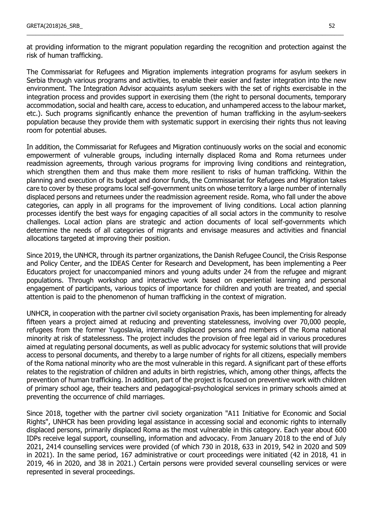at providing information to the migrant population regarding the recognition and protection against the risk of human trafficking.

\_\_\_\_\_\_\_\_\_\_\_\_\_\_\_\_\_\_\_\_\_\_\_\_\_\_\_\_\_\_\_\_\_\_\_\_\_\_\_\_\_\_\_\_\_\_\_\_\_\_\_\_\_\_\_\_\_\_\_\_\_\_\_\_\_\_\_\_\_\_\_\_\_\_\_\_\_\_\_\_\_\_\_\_\_\_\_\_\_\_\_\_\_\_\_\_\_\_\_\_\_\_\_

The Commissariat for Refugees and Migration implements integration programs for asylum seekers in Serbia through various programs and activities, to enable their easier and faster integration into the new environment. The Integration Advisor acquaints asylum seekers with the set of rights exercisable in the integration process and provides support in exercising them (the right to personal documents, temporary accommodation, social and health care, access to education, and unhampered access to the labour market, etc.). Such programs significantly enhance the prevention of human trafficking in the asylum-seekers population because they provide them with systematic support in exercising their rights thus not leaving room for potential abuses.

In addition, the Commissariat for Refugees and Migration continuously works on the social and economic empowerment of vulnerable groups, including internally displaced Roma and Roma returnees under readmission agreements, through various programs for improving living conditions and reintegration, which strengthen them and thus make them more resilient to risks of human trafficking. Within the planning and execution of its budget and donor funds, the Commissariat for Refugees and Migration takes care to cover by these programs local self-government units on whose territory a large number of internally displaced persons and returnees under the readmission agreement reside. Roma, who fall under the above categories, can apply in all programs for the improvement of living conditions. Local action planning processes identify the best ways for engaging capacities of all social actors in the community to resolve challenges. Local action plans are strategic and action documents of local self-governments which determine the needs of all categories of migrants and envisage measures and activities and financial allocations targeted at improving their position.

Since 2019, the UNHCR, through its partner organizations, the Danish Refugee Council, the Crisis Response and Policy Center, and the IDEAS Center for Research and Development, has been implementing a Peer Educators project for unaccompanied minors and young adults under 24 from the refugee and migrant populations. Through workshop and interactive work based on experiential learning and personal engagement of participants, various topics of importance for children and youth are treated, and special attention is paid to the phenomenon of human trafficking in the context of migration.

UNHCR, in cooperation with the partner civil society organisation Praxis, has been implementing for already fifteen years a project aimed at reducing and preventing statelessness, involving over 70,000 people, refugees from the former Yugoslavia, internally displaced persons and members of the Roma national minority at risk of statelessness. The project includes the provision of free legal aid in various procedures aimed at regulating personal documents, as well as public advocacy for systemic solutions that will provide access to personal documents, and thereby to a large number of rights for all citizens, especially members of the Roma national minority who are the most vulnerable in this regard. A significant part of these efforts relates to the registration of children and adults in birth registries, which, among other things, affects the prevention of human trafficking. In addition, part of the project is focused on preventive work with children of primary school age, their teachers and pedagogical-psychological services in primary schools aimed at preventing the occurrence of child marriages.

Since 2018, together with the partner civil society organization "A11 Initiative for Economic and Social Rights", UNHCR has been providing legal assistance in accessing social and economic rights to internally displaced persons, primarily displaced Roma as the most vulnerable in this category. Each year about 600 IDPs receive legal support, counselling, information and advocacy. From January 2018 to the end of July 2021, 2414 counselling services were provided (of which 730 in 2018, 633 in 2019, 542 in 2020 and 509 in 2021). In the same period, 167 administrative or court proceedings were initiated (42 in 2018, 41 in 2019, 46 in 2020, and 38 in 2021.) Certain persons were provided several counselling services or were represented in several proceedings.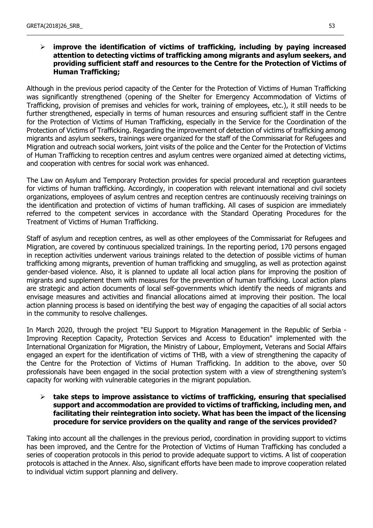# **improve the identification of victims of trafficking, including by paying increased attention to detecting victims of trafficking among migrants and asylum seekers, and providing sufficient staff and resources to the Centre for the Protection of Victims of Human Trafficking;**

\_\_\_\_\_\_\_\_\_\_\_\_\_\_\_\_\_\_\_\_\_\_\_\_\_\_\_\_\_\_\_\_\_\_\_\_\_\_\_\_\_\_\_\_\_\_\_\_\_\_\_\_\_\_\_\_\_\_\_\_\_\_\_\_\_\_\_\_\_\_\_\_\_\_\_\_\_\_\_\_\_\_\_\_\_\_\_\_\_\_\_\_\_\_\_\_\_\_\_\_\_\_\_

Although in the previous period capacity of the Center for the Protection of Victims of Human Trafficking was significantly strengthened (opening of the Shelter for Emergency Accommodation of Victims of Trafficking, provision of premises and vehicles for work, training of employees, etc.), it still needs to be further strengthened, especially in terms of human resources and ensuring sufficient staff in the Centre for the Protection of Victims of Human Trafficking, especially in the Service for the Coordination of the Protection of Victims of Trafficking. Regarding the improvement of detection of victims of trafficking among migrants and asylum seekers, trainings were organized for the staff of the Commissariat for Refugees and Migration and outreach social workers, joint visits of the police and the Center for the Protection of Victims of Human Trafficking to reception centres and asylum centres were organized aimed at detecting victims, and cooperation with centres for social work was enhanced.

The Law on Asylum and Temporary Protection provides for special procedural and reception guarantees for victims of human trafficking. Accordingly, in cooperation with relevant international and civil society organizations, employees of asylum centres and reception centres are continuously receiving trainings on the identification and protection of victims of human trafficking. All cases of suspicion are immediately referred to the competent services in accordance with the Standard Operating Procedures for the Treatment of Victims of Human Trafficking.

Staff of asylum and reception centres, as well as other employees of the Commissariat for Refugees and Migration, are covered by continuous specialized trainings. In the reporting period, 170 persons engaged in reception activities underwent various trainings related to the detection of possible victims of human trafficking among migrants, prevention of human trafficking and smuggling, as well as protection against gender-based violence. Also, it is planned to update all local action plans for improving the position of migrants and supplement them with measures for the prevention of human trafficking. Local action plans are strategic and action documents of local self-governments which identify the needs of migrants and envisage measures and activities and financial allocations aimed at improving their position. The local action planning process is based on identifying the best way of engaging the capacities of all social actors in the community to resolve challenges.

In March 2020, through the project "EU Support to Migration Management in the Republic of Serbia - Improving Reception Capacity, Protection Services and Access to Education" implemented with the International Organization for Migration, the Ministry of Labour, Employment, Veterans and Social Affairs engaged an expert for the identification of victims of THB, with a view of strengthening the capacity of the Centre for the Protection of Victims of Human Trafficking. In addition to the above, over 50 professionals have been engaged in the social protection system with a view of strengthening system's capacity for working with vulnerable categories in the migrant population.

### **take steps to improve assistance to victims of trafficking, ensuring that specialised support and accommodation are provided to victims of trafficking, including men, and facilitating their reintegration into society. What has been the impact of the licensing procedure for service providers on the quality and range of the services provided?**

Taking into account all the challenges in the previous period, coordination in providing support to victims has been improved, and the Centre for the Protection of Victims of Human Trafficking has concluded a series of cooperation protocols in this period to provide adequate support to victims. A list of cooperation protocols is attached in the Annex. Also, significant efforts have been made to improve cooperation related to individual victim support planning and delivery.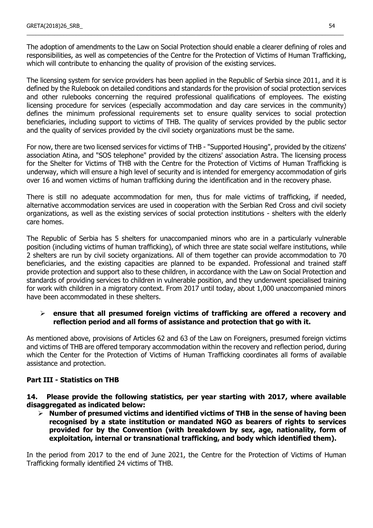The adoption of amendments to the Law on Social Protection should enable a clearer defining of roles and responsibilities, as well as competencies of the Centre for the Protection of Victims of Human Trafficking, which will contribute to enhancing the quality of provision of the existing services.

\_\_\_\_\_\_\_\_\_\_\_\_\_\_\_\_\_\_\_\_\_\_\_\_\_\_\_\_\_\_\_\_\_\_\_\_\_\_\_\_\_\_\_\_\_\_\_\_\_\_\_\_\_\_\_\_\_\_\_\_\_\_\_\_\_\_\_\_\_\_\_\_\_\_\_\_\_\_\_\_\_\_\_\_\_\_\_\_\_\_\_\_\_\_\_\_\_\_\_\_\_\_\_

The licensing system for service providers has been applied in the Republic of Serbia since 2011, and it is defined by the Rulebook on detailed conditions and standards for the provision of social protection services and other rulebooks concerning the required professional qualifications of employees. The existing licensing procedure for services (especially accommodation and day care services in the community) defines the minimum professional requirements set to ensure quality services to social protection beneficiaries, including support to victims of THB. The quality of services provided by the public sector and the quality of services provided by the civil society organizations must be the same.

For now, there are two licensed services for victims of THB - "Supported Housing", provided by the citizens' association Atina, and "SOS telephone" provided by the citizens' association Astra. The licensing process for the Shelter for Victims of THB with the Centre for the Protection of Victims of Human Trafficking is underway, which will ensure a high level of security and is intended for emergency accommodation of girls over 16 and women victims of human trafficking during the identification and in the recovery phase.

There is still no adequate accommodation for men, thus for male victims of trafficking, if needed, alternative accommodation services are used in cooperation with the Serbian Red Cross and civil society organizations, as well as the existing services of social protection institutions - shelters with the elderly care homes.

The Republic of Serbia has 5 shelters for unaccompanied minors who are in a particularly vulnerable position (including victims of human trafficking), of which three are state social welfare institutions, while 2 shelters are run by civil society organizations. All of them together can provide accommodation to 70 beneficiaries, and the existing capacities are planned to be expanded. Professional and trained staff provide protection and support also to these children, in accordance with the Law on Social Protection and standards of providing services to children in vulnerable position, and they underwent specialised training for work with children in a migratory context. From 2017 until today, about 1,000 unaccompanied minors have been accommodated in these shelters.

### **ensure that all presumed foreign victims of trafficking are offered a recovery and reflection period and all forms of assistance and protection that go with it.**

As mentioned above, provisions of Articles 62 and 63 of the Law on Foreigners, presumed foreign victims and victims of THB are offered temporary accommodation within the recovery and reflection period, during which the Center for the Protection of Victims of Human Trafficking coordinates all forms of available assistance and protection.

# **Part III - Statistics on THB**

**14. Please provide the following statistics, per year starting with 2017, where available disaggregated as indicated below:**

 **Number of presumed victims and identified victims of THB in the sense of having been recognised by a state institution or mandated NGO as bearers of rights to services provided for by the Convention (with breakdown by sex, age, nationality, form of exploitation, internal or transnational trafficking, and body which identified them).**

In the period from 2017 to the end of June 2021, the Centre for the Protection of Victims of Human Trafficking formally identified 24 victims of THB.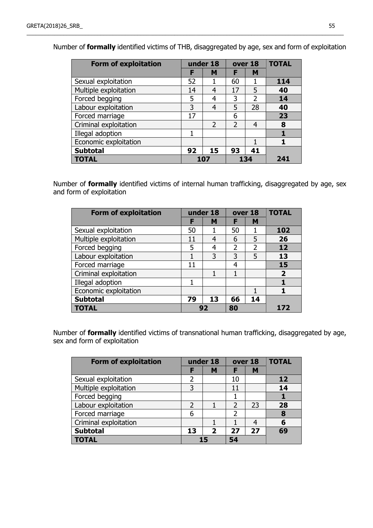| <b>Form of exploitation</b> | under 18<br>over 18 |               |               |     | <b>TOTAL</b> |
|-----------------------------|---------------------|---------------|---------------|-----|--------------|
|                             | F                   | M             |               | M   |              |
| Sexual exploitation         | 52                  |               | 60            |     | 114          |
| Multiple exploitation       | 14                  | 4             | 17            | 5   | 40           |
| Forced begging              | 5                   | 4             | 3             | 2   | 14           |
| Labour exploitation         | 3                   | 4             | 5             | 28  | 40           |
| Forced marriage             | 17                  |               | 6             |     | 23           |
| Criminal exploitation       |                     | $\mathcal{P}$ | $\mathcal{P}$ | 4   | 8            |
| Illegal adoption            |                     |               |               |     |              |
| Economic exploitation       |                     |               |               |     |              |
| <b>Subtotal</b>             | 92                  | 15            | 93            | 41  |              |
| <b>TOTAL</b>                | 107                 |               |               | 134 | 241          |

Number of **formally** identified victims of THB, disaggregated by age, sex and form of exploitation

\_\_\_\_\_\_\_\_\_\_\_\_\_\_\_\_\_\_\_\_\_\_\_\_\_\_\_\_\_\_\_\_\_\_\_\_\_\_\_\_\_\_\_\_\_\_\_\_\_\_\_\_\_\_\_\_\_\_\_\_\_\_\_\_\_\_\_\_\_\_\_\_\_\_\_\_\_\_\_\_\_\_\_\_\_\_\_\_\_\_\_\_\_\_\_\_\_\_\_\_\_\_\_

Number of **formally** identified victims of internal human trafficking, disaggregated by age, sex and form of exploitation

| <b>Form of exploitation</b> |    | under 18<br>over 18 |                |                | <b>TOTAL</b>   |
|-----------------------------|----|---------------------|----------------|----------------|----------------|
|                             | F  | м                   | F              | M              |                |
| Sexual exploitation         | 50 |                     | 50             |                | 102            |
| Multiple exploitation       | 11 | 4                   | 6              | 5              | 26             |
| Forced begging              | 5  | 4                   | $\overline{2}$ | $\overline{2}$ | 12             |
| Labour exploitation         |    | 3                   | 3              | 5              | 13             |
| Forced marriage             | 11 |                     | 4              |                | 15             |
| Criminal exploitation       |    |                     |                |                | $\overline{2}$ |
| Illegal adoption            | 1  |                     |                |                |                |
| Economic exploitation       |    |                     |                |                |                |
| <b>Subtotal</b>             | 79 | 13                  | 66             | 14             |                |
| <b>TOTAL</b>                | 92 |                     | 80             |                | 172            |

Number of **formally** identified victims of transnational human trafficking, disaggregated by age, sex and form of exploitation

| <b>Form of exploitation</b> | under 18 |                         | over 18 |    | <b>TOTAL</b> |
|-----------------------------|----------|-------------------------|---------|----|--------------|
|                             | F        | M                       | F       | M  |              |
| Sexual exploitation         | 2        |                         | 10      |    | 12           |
| Multiple exploitation       | 3        |                         | 11      |    | 14           |
| Forced begging              |          |                         |         |    |              |
| Labour exploitation         |          |                         | 2       | 23 | 28           |
| Forced marriage             | 6        |                         | 2       |    | 8            |
| Criminal exploitation       |          |                         |         | 4  | 6            |
| <b>Subtotal</b>             | 13       | $\overline{\mathbf{2}}$ | 27      | 27 | 69           |
| <b>TOTAL</b>                |          |                         | 54      |    |              |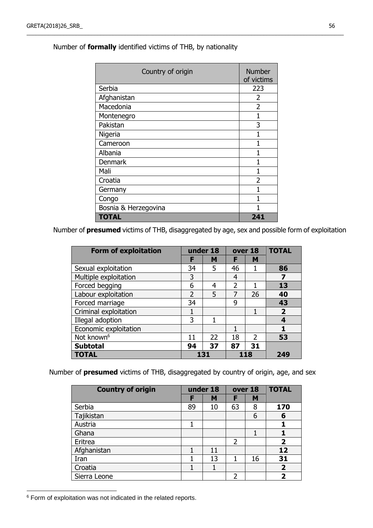| Country of origin    | <b>Number</b><br>of victims |
|----------------------|-----------------------------|
| Serbia               | 223                         |
| Afghanistan          | 2                           |
| Macedonia            | $\overline{2}$              |
| Montenegro           | 1                           |
| Pakistan             | 3                           |
| Nigeria              | 1                           |
| Cameroon             | 1                           |
| Albania              | 1                           |
| <b>Denmark</b>       | 1                           |
| Mali                 | 1                           |
| Croatia              | 2                           |
| Germany              |                             |
| Congo                | 1                           |
| Bosnia & Herzegovina |                             |
| <b>TOTAL</b>         | 241                         |

\_\_\_\_\_\_\_\_\_\_\_\_\_\_\_\_\_\_\_\_\_\_\_\_\_\_\_\_\_\_\_\_\_\_\_\_\_\_\_\_\_\_\_\_\_\_\_\_\_\_\_\_\_\_\_\_\_\_\_\_\_\_\_\_\_\_\_\_\_\_\_\_\_\_\_\_\_\_\_\_\_\_\_\_\_\_\_\_\_\_\_\_\_\_\_\_\_\_\_\_\_\_\_

# Number of **formally** identified victims of THB, by nationality

Number of **presumed** victims of THB, disaggregated by age, sex and possible form of exploitation

| <b>Form of exploitation</b> |               | under 18 |               | over 18       | <b>TOTAL</b>   |
|-----------------------------|---------------|----------|---------------|---------------|----------------|
|                             | F             | M        | F             | M             |                |
| Sexual exploitation         | 34            | 5        | 46            |               | 86             |
| Multiple exploitation       | 3             |          | 4             |               |                |
| Forced begging              | 6             | 4        | $\mathcal{P}$ |               | 13             |
| Labour exploitation         | $\mathcal{P}$ | 5        | 7             | 26            | 40             |
| Forced marriage             | 34            |          | 9             |               | 43             |
| Criminal exploitation       | 1             |          |               | 1             | $\overline{2}$ |
| Illegal adoption            | 3             |          |               |               |                |
| Economic exploitation       |               |          |               |               |                |
| Not known <sup>6</sup>      | 11            | 22       | 18            | $\mathcal{P}$ | 53             |
| <b>Subtotal</b>             | 94            | 37       | 87            | 31            |                |
| <b>TOTAL</b>                |               | 131      |               | 118           | 249            |

Number of **presumed** victims of THB, disaggregated by country of origin, age, and sex

| <b>Country of origin</b> |    | under 18 |                | over 18 | <b>TOTAL</b>   |
|--------------------------|----|----------|----------------|---------|----------------|
|                          | F  | M        | F              | M       |                |
| Serbia                   | 89 | 10       | 63             | 8       | 170            |
| Tajikistan               |    |          |                | 6       | 6              |
| Austria                  |    |          |                |         |                |
| Ghana                    |    |          |                | 1       |                |
| Eritrea                  |    |          | 2              |         | $\mathbf{2}$   |
| Afghanistan              |    | 11       |                |         | 12             |
| Iran                     |    | 13       |                | 16      | 31             |
| Croatia                  |    | 1        |                |         | $\overline{2}$ |
| Sierra Leone             |    |          | $\overline{2}$ |         | 2              |

<sup>6</sup> Form of exploitation was not indicated in the related reports.

 $\overline{a}$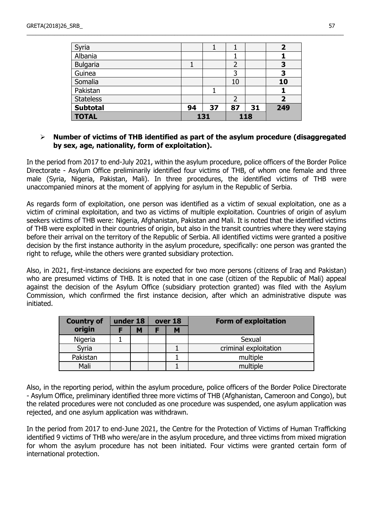| Syria            |     |    |     |    |     |  |
|------------------|-----|----|-----|----|-----|--|
| Albania          |     |    |     |    |     |  |
| <b>Bulgaria</b>  |     |    |     |    | 3   |  |
| Guinea           |     |    | 3   |    | 3   |  |
| Somalia          |     |    | 10  |    | 10  |  |
| Pakistan         |     |    |     |    |     |  |
| <b>Stateless</b> |     |    |     |    |     |  |
| <b>Subtotal</b>  | 94  | 37 | 87  | 31 | 249 |  |
| <b>TOTAL</b>     | 131 |    | 118 |    |     |  |

\_\_\_\_\_\_\_\_\_\_\_\_\_\_\_\_\_\_\_\_\_\_\_\_\_\_\_\_\_\_\_\_\_\_\_\_\_\_\_\_\_\_\_\_\_\_\_\_\_\_\_\_\_\_\_\_\_\_\_\_\_\_\_\_\_\_\_\_\_\_\_\_\_\_\_\_\_\_\_\_\_\_\_\_\_\_\_\_\_\_\_\_\_\_\_\_\_\_\_\_\_\_\_

### **Number of victims of THB identified as part of the asylum procedure (disaggregated by sex, age, nationality, form of exploitation).**

In the period from 2017 to end-July 2021, within the asylum procedure, police officers of the Border Police Directorate - Asylum Office preliminarily identified four victims of THB, of whom one female and three male (Syria, Nigeria, Pakistan, Mali). In three procedures, the identified victims of THB were unaccompanied minors at the moment of applying for asylum in the Republic of Serbia.

As regards form of exploitation, one person was identified as a victim of sexual exploitation, one as a victim of criminal exploitation, and two as victims of multiple exploitation. Countries of origin of asylum seekers victims of THB were: Nigeria, Afghanistan, Pakistan and Mali. It is noted that the identified victims of THB were exploited in their countries of origin, but also in the transit countries where they were staying before their arrival on the territory of the Republic of Serbia. All identified victims were granted a positive decision by the first instance authority in the asylum procedure, specifically: one person was granted the right to refuge, while the others were granted subsidiary protection.

Also, in 2021, first-instance decisions are expected for two more persons (citizens of Iraq and Pakistan) who are presumed victims of THB. It is noted that in one case (citizen of the Republic of Mali) appeal against the decision of the Asylum Office (subsidiary protection granted) was filed with the Asylum Commission, which confirmed the first instance decision, after which an administrative dispute was initiated.

| <b>Country of</b> | under 18 | over 18 | <b>Form of exploitation</b> |
|-------------------|----------|---------|-----------------------------|
| origin            | M        | M       |                             |
| Nigeria           |          |         | Sexual                      |
| Syria             |          |         | criminal exploitation       |
| Pakistan          |          |         | multiple                    |
| Mali              |          |         | multiple                    |

Also, in the reporting period, within the asylum procedure, police officers of the Border Police Directorate - Asylum Office, preliminary identified three more victims of THB (Afghanistan, Cameroon and Congo), but the related procedures were not concluded as one procedure was suspended, one asylum application was rejected, and one asylum application was withdrawn.

In the period from 2017 to end-June 2021, the Centre for the Protection of Victims of Human Trafficking identified 9 victims of THB who were/are in the asylum procedure, and three victims from mixed migration for whom the asylum procedure has not been initiated. Four victims were granted certain form of international protection.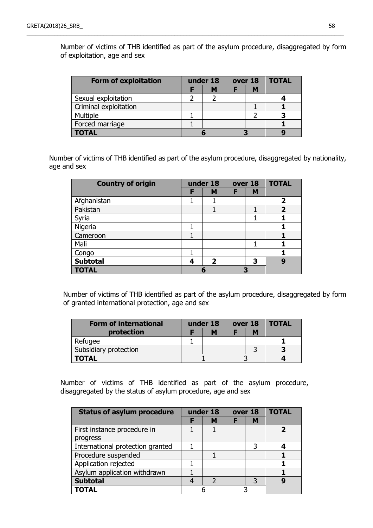Number of victims of THB identified as part of the asylum procedure, disaggregated by form of exploitation, age and sex

| <b>Form of exploitation</b> |  | under 18 | over 18 |   | <b>TOTAL</b> |
|-----------------------------|--|----------|---------|---|--------------|
|                             |  | М        |         | М |              |
| Sexual exploitation         |  |          |         |   |              |
| Criminal exploitation       |  |          |         |   |              |
| Multiple                    |  |          |         |   |              |
| Forced marriage             |  |          |         |   |              |
| <b>TOTAL</b>                |  |          |         |   |              |

\_\_\_\_\_\_\_\_\_\_\_\_\_\_\_\_\_\_\_\_\_\_\_\_\_\_\_\_\_\_\_\_\_\_\_\_\_\_\_\_\_\_\_\_\_\_\_\_\_\_\_\_\_\_\_\_\_\_\_\_\_\_\_\_\_\_\_\_\_\_\_\_\_\_\_\_\_\_\_\_\_\_\_\_\_\_\_\_\_\_\_\_\_\_\_\_\_\_\_\_\_\_\_

Number of victims of THB identified as part of the asylum procedure, disaggregated by nationality, age and sex

| <b>Country of origin</b> |   | under 18                |   | over 18 | <b>TOTAL</b> |
|--------------------------|---|-------------------------|---|---------|--------------|
|                          | F | M                       | F | M       |              |
| Afghanistan              |   |                         |   |         | 2            |
| Pakistan                 |   |                         |   |         | 2            |
| Syria                    |   |                         |   | 1       |              |
| Nigeria                  |   |                         |   |         |              |
| Cameroon                 |   |                         |   |         |              |
| Mali                     |   |                         |   | 1       |              |
| Congo                    |   |                         |   |         |              |
| <b>Subtotal</b>          | 4 | $\overline{\mathbf{2}}$ |   | 3       | q            |
| <b>TOTAL</b>             |   |                         |   | R       |              |

Number of victims of THB identified as part of the asylum procedure, disaggregated by form of granted international protection, age and sex

| <b>Form of international</b> | under 18 |   | over 18 |   | <b>TOTAL</b> |
|------------------------------|----------|---|---------|---|--------------|
| protection                   |          | M |         | М |              |
| Refugee                      |          |   |         |   |              |
| Subsidiary protection        |          |   |         |   |              |
| TOTAL                        |          |   |         |   |              |

Number of victims of THB identified as part of the asylum procedure, disaggregated by the status of asylum procedure, age and sex

| <b>Status of asylum procedure</b> | under 18       |   | over 18 | <b>TOTAL</b> |
|-----------------------------------|----------------|---|---------|--------------|
|                                   | М              | F | м       |              |
| First instance procedure in       |                |   |         |              |
| progress                          |                |   |         |              |
| International protection granted  |                |   | 3       |              |
| Procedure suspended               |                |   |         |              |
| Application rejected              |                |   |         |              |
| Asylum application withdrawn      |                |   |         |              |
| <b>Subtotal</b>                   | $\overline{2}$ |   | 3       |              |
| TOTAL                             |                |   |         |              |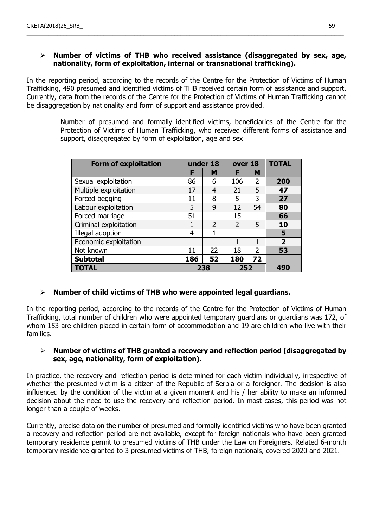# **Number of victims of THB who received assistance (disaggregated by sex, age, nationality, form of exploitation, internal or transnational trafficking).**

\_\_\_\_\_\_\_\_\_\_\_\_\_\_\_\_\_\_\_\_\_\_\_\_\_\_\_\_\_\_\_\_\_\_\_\_\_\_\_\_\_\_\_\_\_\_\_\_\_\_\_\_\_\_\_\_\_\_\_\_\_\_\_\_\_\_\_\_\_\_\_\_\_\_\_\_\_\_\_\_\_\_\_\_\_\_\_\_\_\_\_\_\_\_\_\_\_\_\_\_\_\_\_

In the reporting period, according to the records of the Centre for the Protection of Victims of Human Trafficking, 490 presumed and identified victims of THB received certain form of assistance and support. Currently, data from the records of the Centre for the Protection of Victims of Human Trafficking cannot be disaggregation by nationality and form of support and assistance provided.

> Number of presumed and formally identified victims, beneficiaries of the Centre for the Protection of Victims of Human Trafficking, who received different forms of assistance and support, disaggregated by form of exploitation, age and sex

| <b>Form of exploitation</b> |     | under 18       | over 18        |                | <b>TOTAL</b> |
|-----------------------------|-----|----------------|----------------|----------------|--------------|
|                             | F   | M              | F              | M              |              |
| Sexual exploitation         | 86  | 6              | 106            | $\overline{2}$ | 200          |
| Multiple exploitation       | 17  | $\overline{4}$ | 21             | 5              | 47           |
| Forced begging              | 11  | 8              | 5              | 3              | 27           |
| Labour exploitation         | 5   | 9              | 12             | 54             | 80           |
| Forced marriage             | 51  |                | 15             |                | 66           |
| Criminal exploitation       | 1   | $\overline{2}$ | $\overline{2}$ | 5              | 10           |
| Illegal adoption            | 4   | 1              |                |                | 5            |
| Economic exploitation       |     |                | 1              | 1              | $\mathbf{2}$ |
| Not known                   | 11  | 22             | 18             | $\overline{2}$ | 53           |
| <b>Subtotal</b>             | 186 | 52             | 180            | 72             |              |
| <b>TOTAL</b>                |     | 238            | 252            |                | 490          |

# **Number of child victims of THB who were appointed legal guardians.**

In the reporting period, according to the records of the Centre for the Protection of Victims of Human Trafficking, total number of children who were appointed temporary guardians or guardians was 172, of whom 153 are children placed in certain form of accommodation and 19 are children who live with their families.

### **Number of victims of THB granted a recovery and reflection period (disaggregated by sex, age, nationality, form of exploitation).**

In practice, the recovery and reflection period is determined for each victim individually, irrespective of whether the presumed victim is a citizen of the Republic of Serbia or a foreigner. The decision is also influenced by the condition of the victim at a given moment and his / her ability to make an informed decision about the need to use the recovery and reflection period. In most cases, this period was not longer than a couple of weeks.

Currently, precise data on the number of presumed and formally identified victims who have been granted a recovery and reflection period are not available, except for foreign nationals who have been granted temporary residence permit to presumed victims of THB under the Law on Foreigners. Related 6-month temporary residence granted to 3 presumed victims of THB, foreign nationals, covered 2020 and 2021.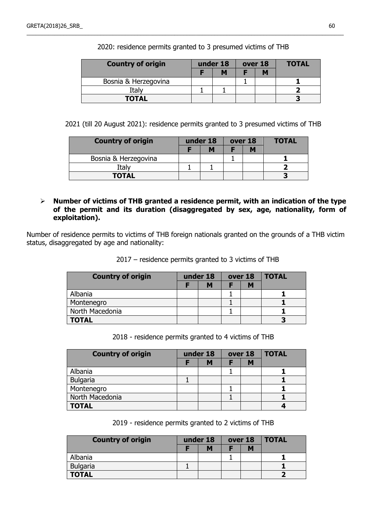| <b>Country of origin</b> |  | under 18 |  | over 18 |  | <b>TOTAL</b> |
|--------------------------|--|----------|--|---------|--|--------------|
|                          |  |          |  |         |  |              |
| Bosnia & Herzegovina     |  |          |  |         |  |              |
| Italy                    |  |          |  |         |  |              |
| <b>TOTAL</b>             |  |          |  |         |  |              |

2020: residence permits granted to 3 presumed victims of THB

\_\_\_\_\_\_\_\_\_\_\_\_\_\_\_\_\_\_\_\_\_\_\_\_\_\_\_\_\_\_\_\_\_\_\_\_\_\_\_\_\_\_\_\_\_\_\_\_\_\_\_\_\_\_\_\_\_\_\_\_\_\_\_\_\_\_\_\_\_\_\_\_\_\_\_\_\_\_\_\_\_\_\_\_\_\_\_\_\_\_\_\_\_\_\_\_\_\_\_\_\_\_\_

2021 (till 20 August 2021): residence permits granted to 3 presumed victims of THB

| <b>Country of origin</b> | under 18 |   | over 18 |  | <b>TOTAL</b> |
|--------------------------|----------|---|---------|--|--------------|
|                          |          | M |         |  |              |
| Bosnia & Herzegovina     |          |   |         |  |              |
| Italv                    |          |   |         |  |              |
| <b>TOTAL</b>             |          |   |         |  |              |

### **Number of victims of THB granted a residence permit, with an indication of the type of the permit and its duration (disaggregated by sex, age, nationality, form of exploitation).**

Number of residence permits to victims of THB foreign nationals granted on the grounds of a THB victim status, disaggregated by age and nationality:

2017 – residence permits granted to 3 victims of THB

| <b>Country of origin</b> | under 18 |   | over 18 | <b>TOTAL</b> |
|--------------------------|----------|---|---------|--------------|
|                          |          | M |         |              |
| Albania                  |          |   |         |              |
| Montenegro               |          |   |         |              |
| North Macedonia          |          |   |         |              |
| <b>TOTAL</b>             |          |   |         |              |

2018 - residence permits granted to 4 victims of THB

| <b>Country of origin</b> | under 18 |   | over 18 |   | <b>TOTAL</b> |
|--------------------------|----------|---|---------|---|--------------|
|                          |          | M |         | М |              |
| Albania                  |          |   |         |   |              |
| <b>Bulgaria</b>          |          |   |         |   |              |
| Montenegro               |          |   |         |   |              |
| North Macedonia          |          |   |         |   |              |
| <b>TOTAL</b>             |          |   |         |   |              |

2019 - residence permits granted to 2 victims of THB

| <b>Country of origin</b> | under 18 |   | over 18 | <b>TOTAL</b> |
|--------------------------|----------|---|---------|--------------|
|                          |          | M |         |              |
| Albania                  |          |   |         |              |
| <b>Bulgaria</b>          |          |   |         |              |
| <b>TOTAL</b>             |          |   |         |              |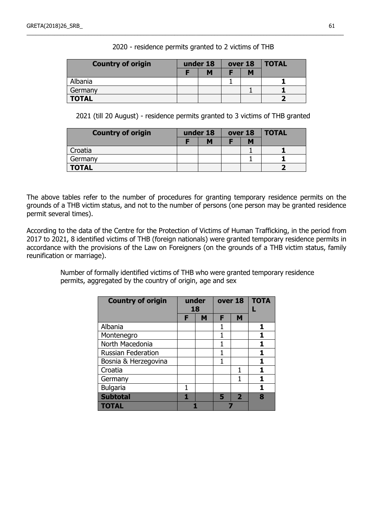| <b>Country of origin</b> | under 18 |   | over 18 | <b>TOTAL</b> |
|--------------------------|----------|---|---------|--------------|
|                          |          | M |         |              |
| Albania                  |          |   |         |              |
| Germany                  |          |   |         |              |
| <b>TOTAL</b>             |          |   |         |              |

\_\_\_\_\_\_\_\_\_\_\_\_\_\_\_\_\_\_\_\_\_\_\_\_\_\_\_\_\_\_\_\_\_\_\_\_\_\_\_\_\_\_\_\_\_\_\_\_\_\_\_\_\_\_\_\_\_\_\_\_\_\_\_\_\_\_\_\_\_\_\_\_\_\_\_\_\_\_\_\_\_\_\_\_\_\_\_\_\_\_\_\_\_\_\_\_\_\_\_\_\_\_\_

2020 - residence permits granted to 2 victims of THB

2021 (till 20 August) - residence permits granted to 3 victims of THB granted

| <b>Country of origin</b> | under 18 | over 18 |  | <b>TOTAL</b> |
|--------------------------|----------|---------|--|--------------|
|                          | M        |         |  |              |
| Croatia                  |          |         |  |              |
| Germany                  |          |         |  |              |
| <b>TOTAL</b>             |          |         |  |              |

The above tables refer to the number of procedures for granting temporary residence permits on the grounds of a THB victim status, and not to the number of persons (one person may be granted residence permit several times).

According to the data of the Centre for the Protection of Victims of Human Trafficking, in the period from 2017 to 2021, 8 identified victims of THB (foreign nationals) were granted temporary residence permits in accordance with the provisions of the Law on Foreigners (on the grounds of a THB victim status, family reunification or marriage).

> Number of formally identified victims of THB who were granted temporary residence permits, aggregated by the country of origin, age and sex

| <b>Country of origin</b>  | under<br>18 |   |   | over 18                 | <b>TOTA</b> |
|---------------------------|-------------|---|---|-------------------------|-------------|
|                           | F           | M | F | M                       |             |
| Albania                   |             |   |   |                         | 1           |
| Montenegro                |             |   | 1 |                         |             |
| North Macedonia           |             |   | 1 |                         |             |
| <b>Russian Federation</b> |             |   | 1 |                         | 1           |
| Bosnia & Herzegovina      |             |   | 1 |                         | 1           |
| Croatia                   |             |   |   |                         | 1           |
| Germany                   |             |   |   |                         | 1           |
| <b>Bulgaria</b>           |             |   |   |                         | 1           |
| <b>Subtotal</b>           |             |   | 5 | $\overline{\mathbf{2}}$ | 8           |
| <b>TOTAL</b>              |             |   |   |                         |             |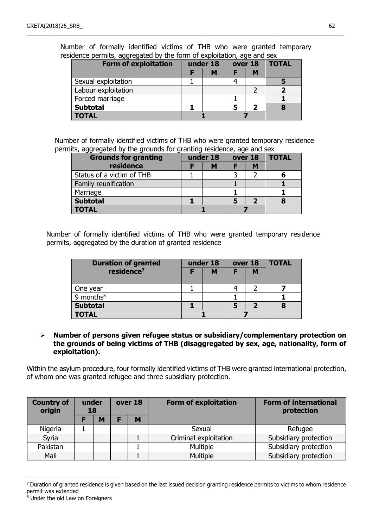| <b>Form of exploitation</b> | under 18<br>over 18 |   |  |   | <b>TOTAL</b> |  |
|-----------------------------|---------------------|---|--|---|--------------|--|
|                             |                     | м |  | М |              |  |
| Sexual exploitation         |                     |   |  |   |              |  |
| Labour exploitation         |                     |   |  |   |              |  |
| Forced marriage             |                     |   |  |   |              |  |
| <b>Subtotal</b>             |                     |   |  |   |              |  |
| <b>TOTAL</b>                |                     |   |  |   |              |  |

Number of formally identified victims of THB who were granted temporary residence permits, aggregated by the form of exploitation, age and sex

\_\_\_\_\_\_\_\_\_\_\_\_\_\_\_\_\_\_\_\_\_\_\_\_\_\_\_\_\_\_\_\_\_\_\_\_\_\_\_\_\_\_\_\_\_\_\_\_\_\_\_\_\_\_\_\_\_\_\_\_\_\_\_\_\_\_\_\_\_\_\_\_\_\_\_\_\_\_\_\_\_\_\_\_\_\_\_\_\_\_\_\_\_\_\_\_\_\_\_\_\_\_\_

Number of formally identified victims of THB who were granted temporary residence permits, aggregated by the grounds for granting residence, age and sex

| <b>Grounds for granting</b> |  | under 18 | over 18 | <b>TOTAL</b> |
|-----------------------------|--|----------|---------|--------------|
| residence                   |  | M        | M       |              |
| Status of a victim of THB   |  |          |         |              |
| Family reunification        |  |          |         |              |
| Marriage                    |  |          |         |              |
| <b>Subtotal</b>             |  |          |         |              |
| <b>TOTAL</b>                |  |          |         |              |

Number of formally identified victims of THB who were granted temporary residence permits, aggregated by the duration of granted residence

| <b>Duration of granted</b> |  | under 18 |   | over 18 | <b>TOTAL</b> |
|----------------------------|--|----------|---|---------|--------------|
| residence <sup>7</sup>     |  | M        | F | М       |              |
|                            |  |          |   |         |              |
| One year                   |  |          |   |         |              |
| 9 months $8$               |  |          |   |         |              |
| <b>Subtotal</b>            |  |          |   |         |              |
| <b>TOTAL</b>               |  |          |   |         |              |

### **Number of persons given refugee status or subsidiary/complementary protection on the grounds of being victims of THB (disaggregated by sex, age, nationality, form of exploitation).**

Within the asylum procedure, four formally identified victims of THB were granted international protection, of whom one was granted refugee and three subsidiary protection.

| <b>Country of</b><br>origin | under<br>18 |   | over 18 | <b>Form of exploitation</b> | <b>Form of international</b><br>protection |
|-----------------------------|-------------|---|---------|-----------------------------|--------------------------------------------|
|                             |             | M | M       |                             |                                            |
| Nigeria                     |             |   |         | Sexual                      | Refugee                                    |
| Syria                       |             |   |         | Criminal exploitation       | Subsidiary protection                      |
| Pakistan                    |             |   |         | Multiple                    | Subsidiary protection                      |
| Mali                        |             |   |         | <b>Multiple</b>             | Subsidiary protection                      |

 $7$  Duration of granted residence is given based on the last issued decision granting residence permits to victims to whom residence permit was extended

 $\overline{a}$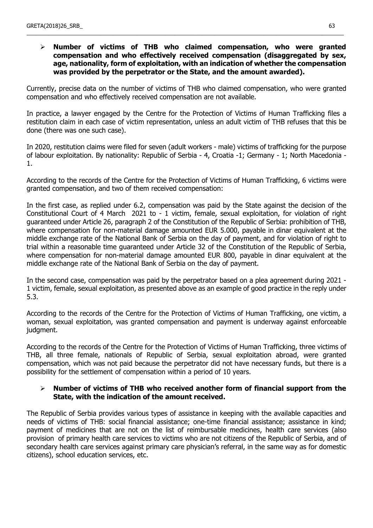### **Number of victims of THB who claimed compensation, who were granted compensation and who effectively received compensation (disaggregated by sex, age, nationality, form of exploitation, with an indication of whether the compensation was provided by the perpetrator or the State, and the amount awarded).**

\_\_\_\_\_\_\_\_\_\_\_\_\_\_\_\_\_\_\_\_\_\_\_\_\_\_\_\_\_\_\_\_\_\_\_\_\_\_\_\_\_\_\_\_\_\_\_\_\_\_\_\_\_\_\_\_\_\_\_\_\_\_\_\_\_\_\_\_\_\_\_\_\_\_\_\_\_\_\_\_\_\_\_\_\_\_\_\_\_\_\_\_\_\_\_\_\_\_\_\_\_\_\_

Currently, precise data on the number of victims of THB who claimed compensation, who were granted compensation and who effectively received compensation are not available.

In practice, a lawyer engaged by the Centre for the Protection of Victims of Human Trafficking files a restitution claim in each case of victim representation, unless an adult victim of THB refuses that this be done (there was one such case).

In 2020, restitution claims were filed for seven (adult workers - male) victims of trafficking for the purpose of labour exploitation. By nationality: Republic of Serbia - 4, Croatia -1; Germany - 1; North Macedonia - 1.

According to the records of the Centre for the Protection of Victims of Human Trafficking, 6 victims were granted compensation, and two of them received compensation:

In the first case, as replied under 6.2, compensation was paid by the State against the decision of the Constitutional Court of 4 March 2021 to - 1 victim, female, sexual exploitation, for violation of right guaranteed under Article 26, paragraph 2 of the Constitution of the Republic of Serbia: prohibition of THB, where compensation for non-material damage amounted EUR 5.000, payable in dinar equivalent at the middle exchange rate of the National Bank of Serbia on the day of payment, and for violation of right to trial within a reasonable time guaranteed under Article 32 of the Constitution of the Republic of Serbia, where compensation for non-material damage amounted EUR 800, payable in dinar equivalent at the middle exchange rate of the National Bank of Serbia on the day of payment.

In the second case, compensation was paid by the perpetrator based on a plea agreement during 2021 - 1 victim, female, sexual exploitation, as presented above as an example of good practice in the reply under 5.3.

According to the records of the Centre for the Protection of Victims of Human Trafficking, one victim, a woman, sexual exploitation, was granted compensation and payment is underway against enforceable judgment.

According to the records of the Centre for the Protection of Victims of Human Trafficking, three victims of THB, all three female, nationals of Republic of Serbia, sexual exploitation abroad, were granted compensation, which was not paid because the perpetrator did not have necessary funds, but there is a possibility for the settlement of compensation within a period of 10 years.

### **Number of victims of THB who received another form of financial support from the State, with the indication of the amount received.**

The Republic of Serbia provides various types of assistance in keeping with the available capacities and needs of victims of THB: social financial assistance; one-time financial assistance; assistance in kind; payment of medicines that are not on the list of reimbursable medicines, health care services (also provision of primary health care services to victims who are not citizens of the Republic of Serbia, and of secondary health care services against primary care physician's referral, in the same way as for domestic citizens), school education services, etc.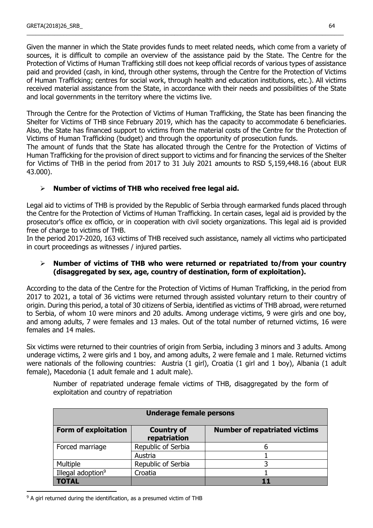Given the manner in which the State provides funds to meet related needs, which come from a variety of sources, it is difficult to compile an overview of the assistance paid by the State. The Centre for the Protection of Victims of Human Trafficking still does not keep official records of various types of assistance paid and provided (cash, in kind, through other systems, through the Centre for the Protection of Victims of Human Trafficking; centres for social work, through health and education institutions, etc.). All victims received material assistance from the State, in accordance with their needs and possibilities of the State and local governments in the territory where the victims live.

\_\_\_\_\_\_\_\_\_\_\_\_\_\_\_\_\_\_\_\_\_\_\_\_\_\_\_\_\_\_\_\_\_\_\_\_\_\_\_\_\_\_\_\_\_\_\_\_\_\_\_\_\_\_\_\_\_\_\_\_\_\_\_\_\_\_\_\_\_\_\_\_\_\_\_\_\_\_\_\_\_\_\_\_\_\_\_\_\_\_\_\_\_\_\_\_\_\_\_\_\_\_\_

Through the Centre for the Protection of Victims of Human Trafficking, the State has been financing the Shelter for Victims of THB since February 2019, which has the capacity to accommodate 6 beneficiaries. Also, the State has financed support to victims from the material costs of the Centre for the Protection of Victims of Human Trafficking (budget) and through the opportunity of prosecution funds.

The amount of funds that the State has allocated through the Centre for the Protection of Victims of Human Trafficking for the provision of direct support to victims and for financing the services of the Shelter for Victims of THB in the period from 2017 to 31 July 2021 amounts to RSD 5,159,448.16 (about EUR 43.000).

# **Number of victims of THB who received free legal aid.**

Legal aid to victims of THB is provided by the Republic of Serbia through earmarked funds placed through the Centre for the Protection of Victims of Human Trafficking. In certain cases, legal aid is provided by the prosecutor's office ex officio, or in cooperation with civil society organizations. This legal aid is provided free of charge to victims of THB.

In the period 2017-2020, 163 victims of THB received such assistance, namely all victims who participated in court proceedings as witnesses / injured parties.

### **Number of victims of THB who were returned or repatriated to/from your country (disaggregated by sex, age, country of destination, form of exploitation).**

According to the data of the Centre for the Protection of Victims of Human Trafficking, in the period from 2017 to 2021, a total of 36 victims were returned through assisted voluntary return to their country of origin. During this period, a total of 30 citizens of Serbia, identified as victims of THB abroad, were returned to Serbia, of whom 10 were minors and 20 adults. Among underage victims, 9 were girls and one boy, and among adults, 7 were females and 13 males. Out of the total number of returned victims, 16 were females and 14 males.

Six victims were returned to their countries of origin from Serbia, including 3 minors and 3 adults. Among underage victims, 2 were girls and 1 boy, and among adults, 2 were female and 1 male. Returned victims were nationals of the following countries: Austria (1 girl), Croatia (1 girl and 1 boy), Albania (1 adult female), Macedonia (1 adult female and 1 adult male).

Number of repatriated underage female victims of THB, disaggregated by the form of exploitation and country of repatriation

| <b>Underage female persons</b> |                                   |                                      |  |  |  |  |
|--------------------------------|-----------------------------------|--------------------------------------|--|--|--|--|
| <b>Form of exploitation</b>    | <b>Country of</b><br>repatriation | <b>Number of repatriated victims</b> |  |  |  |  |
| Forced marriage                | Republic of Serbia                |                                      |  |  |  |  |
|                                | Austria                           |                                      |  |  |  |  |
| Multiple                       | Republic of Serbia                |                                      |  |  |  |  |
| Illegal adoption <sup>9</sup>  | Croatia                           |                                      |  |  |  |  |
| TOTAL                          |                                   |                                      |  |  |  |  |

<sup>9</sup> A girl returned during the identification, as a presumed victim of THB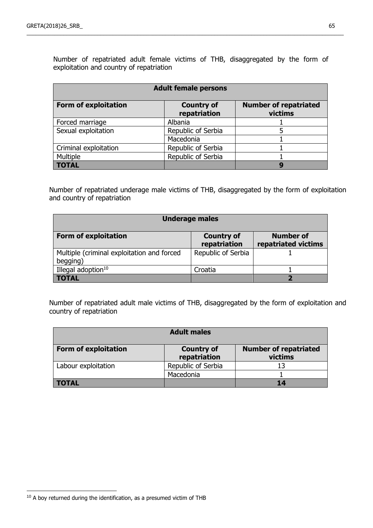Number of repatriated adult female victims of THB, disaggregated by the form of exploitation and country of repatriation

\_\_\_\_\_\_\_\_\_\_\_\_\_\_\_\_\_\_\_\_\_\_\_\_\_\_\_\_\_\_\_\_\_\_\_\_\_\_\_\_\_\_\_\_\_\_\_\_\_\_\_\_\_\_\_\_\_\_\_\_\_\_\_\_\_\_\_\_\_\_\_\_\_\_\_\_\_\_\_\_\_\_\_\_\_\_\_\_\_\_\_\_\_\_\_\_\_\_\_\_\_\_\_

| <b>Adult female persons</b> |                                   |                                         |  |  |  |  |  |
|-----------------------------|-----------------------------------|-----------------------------------------|--|--|--|--|--|
| <b>Form of exploitation</b> | <b>Country of</b><br>repatriation | <b>Number of repatriated</b><br>victims |  |  |  |  |  |
| Forced marriage             | Albania                           |                                         |  |  |  |  |  |
| Sexual exploitation         | Republic of Serbia                |                                         |  |  |  |  |  |
|                             | Macedonia                         |                                         |  |  |  |  |  |
| Criminal exploitation       | Republic of Serbia                |                                         |  |  |  |  |  |
| Multiple                    | Republic of Serbia                |                                         |  |  |  |  |  |
| <b>TOTAL</b>                |                                   | q                                       |  |  |  |  |  |

Number of repatriated underage male victims of THB, disaggregated by the form of exploitation and country of repatriation

| <b>Underage males</b>                                  |                                   |                                         |  |  |  |  |  |  |
|--------------------------------------------------------|-----------------------------------|-----------------------------------------|--|--|--|--|--|--|
| <b>Form of exploitation</b>                            | <b>Country of</b><br>repatriation | <b>Number of</b><br>repatriated victims |  |  |  |  |  |  |
| Multiple (criminal exploitation and forced<br>begging) | Republic of Serbia                |                                         |  |  |  |  |  |  |
| Illegal adoption <sup>10</sup>                         | Croatia                           |                                         |  |  |  |  |  |  |
| <b>TOTAL</b>                                           |                                   |                                         |  |  |  |  |  |  |

Number of repatriated adult male victims of THB, disaggregated by the form of exploitation and country of repatriation

| <b>Adult males</b>          |                                   |                                         |  |  |  |  |
|-----------------------------|-----------------------------------|-----------------------------------------|--|--|--|--|
| <b>Form of exploitation</b> | <b>Country of</b><br>repatriation | <b>Number of repatriated</b><br>victims |  |  |  |  |
| Labour exploitation         | Republic of Serbia                | 13                                      |  |  |  |  |
|                             | Macedonia                         |                                         |  |  |  |  |
| TOTAL                       |                                   | 14                                      |  |  |  |  |

 $\overline{a}$ <sup>10</sup> A boy returned during the identification, as a presumed victim of THB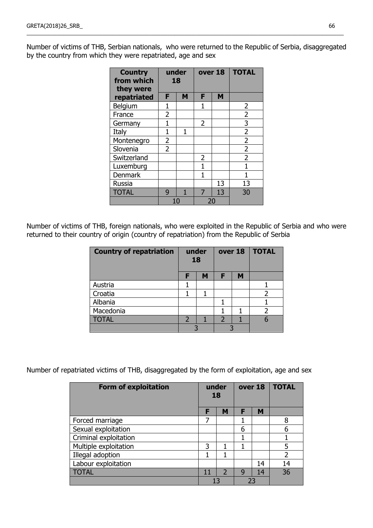Number of victims of THB, Serbian nationals, who were returned to the Republic of Serbia, disaggregated by the country from which they were repatriated, age and sex

\_\_\_\_\_\_\_\_\_\_\_\_\_\_\_\_\_\_\_\_\_\_\_\_\_\_\_\_\_\_\_\_\_\_\_\_\_\_\_\_\_\_\_\_\_\_\_\_\_\_\_\_\_\_\_\_\_\_\_\_\_\_\_\_\_\_\_\_\_\_\_\_\_\_\_\_\_\_\_\_\_\_\_\_\_\_\_\_\_\_\_\_\_\_\_\_\_\_\_\_\_\_\_

| <b>Country</b><br>from which<br>they were |                | under<br>18 | over 18        |    | <b>TOTAL</b>   |
|-------------------------------------------|----------------|-------------|----------------|----|----------------|
| repatriated                               | F              | M           | F              | M  |                |
| Belgium                                   | 1              |             | 1              |    | 2              |
| France                                    | 2              |             |                |    | $\overline{2}$ |
| Germany                                   | 1              |             | $\overline{2}$ |    | 3              |
| Italy                                     | 1              | 1           |                |    | $\overline{2}$ |
| Montenegro                                | 2              |             |                |    | $\overline{2}$ |
| Slovenia                                  | $\overline{2}$ |             |                |    | $\overline{2}$ |
| Switzerland                               |                |             | 2              |    | $\overline{2}$ |
| Luxemburg                                 |                |             | 1              |    | 1              |
| <b>Denmark</b>                            |                |             | 1              |    | 1              |
| <b>Russia</b>                             |                |             |                | 13 | 13             |
| <b>TOTAL</b>                              | 9              | 1           | 7              | 13 | 30             |
|                                           |                | 10          |                | 20 |                |

Number of victims of THB, foreign nationals, who were exploited in the Republic of Serbia and who were returned to their country of origin (country of repatriation) from the Republic of Serbia

| <b>Country of repatriation</b> | under<br>18              |   |                          | over 18 | <b>TOTAL</b> |
|--------------------------------|--------------------------|---|--------------------------|---------|--------------|
|                                | F                        | M | F                        | M       |              |
| Austria                        |                          |   |                          |         |              |
| Croatia                        |                          |   |                          |         |              |
| Albania                        |                          |   |                          |         |              |
| Macedonia                      |                          |   |                          |         |              |
| <b>TOTAL</b>                   | $\overline{\phantom{a}}$ |   | $\overline{\phantom{a}}$ |         |              |
|                                |                          |   |                          |         |              |

Number of repatriated victims of THB, disaggregated by the form of exploitation, age and sex

| <b>Form of exploitation</b> | under<br>18 |                          | over 18 |    | <b>TOTAL</b>   |
|-----------------------------|-------------|--------------------------|---------|----|----------------|
|                             | F           | M                        | F       | M  |                |
| Forced marriage             | 7           |                          |         |    | 8              |
| Sexual exploitation         |             |                          | 6       |    | 6              |
| Criminal exploitation       |             |                          |         |    |                |
| Multiple exploitation       | 3           |                          |         |    | 5              |
| Illegal adoption            | 1           |                          |         |    | $\overline{2}$ |
| Labour exploitation         |             |                          |         | 14 | 14             |
| <b>TOTAL</b>                | 11          | $\overline{\phantom{0}}$ | 9       | 14 | 36             |
|                             |             | 13                       | 23      |    |                |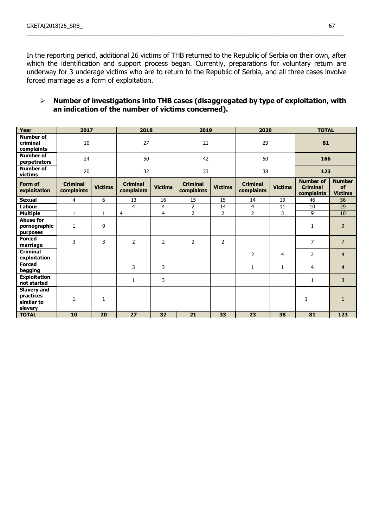In the reporting period, additional 26 victims of THB returned to the Republic of Serbia on their own, after which the identification and support process began. Currently, preparations for voluntary return are underway for 3 underage victims who are to return to the Republic of Serbia, and all three cases involve forced marriage as a form of exploitation.

\_\_\_\_\_\_\_\_\_\_\_\_\_\_\_\_\_\_\_\_\_\_\_\_\_\_\_\_\_\_\_\_\_\_\_\_\_\_\_\_\_\_\_\_\_\_\_\_\_\_\_\_\_\_\_\_\_\_\_\_\_\_\_\_\_\_\_\_\_\_\_\_\_\_\_\_\_\_\_\_\_\_\_\_\_\_\_\_\_\_\_\_\_\_\_\_\_\_\_\_\_\_\_

### **Number of investigations into THB cases (disaggregated by type of exploitation, with an indication of the number of victims concerned).**

| Year                                                     | 2017                          |                | 2018                          |                | 2019                          |                | 2020                          |                | <b>TOTAL</b>                                      |                                       |
|----------------------------------------------------------|-------------------------------|----------------|-------------------------------|----------------|-------------------------------|----------------|-------------------------------|----------------|---------------------------------------------------|---------------------------------------|
| <b>Number of</b><br>criminal<br>complaints               | 10                            |                | 27                            |                | 21                            |                | 23                            |                | 81                                                |                                       |
| <b>Number of</b><br>perpetrators                         | 24                            |                | 50                            |                | 42                            |                | 50                            |                | 166                                               |                                       |
| <b>Number of</b><br>victims                              | 20                            |                | 32                            |                | 33                            |                | 38                            |                | 123                                               |                                       |
| Form of<br>exploitation                                  | <b>Criminal</b><br>complaints | <b>Victims</b> | <b>Criminal</b><br>complaints | <b>Victims</b> | <b>Criminal</b><br>complaints | <b>Victims</b> | <b>Criminal</b><br>complaints | <b>Victims</b> | <b>Number of</b><br><b>Criminal</b><br>complaints | <b>Number</b><br>of<br><b>Victims</b> |
| <b>Sexual</b>                                            | $\overline{4}$                | 6              | 13                            | 16             | 15                            | 15             | 14                            | 19             | 46                                                | 56                                    |
| Labour                                                   |                               |                | $\overline{4}$                | 4              | $\overline{2}$                | 14             | $\overline{4}$                | 11             | 10                                                | 29                                    |
| <b>Multiple</b>                                          | 1                             | 1              | 4                             | 4              | $\overline{2}$                | $\overline{2}$ | $\overline{2}$                | 3              | 9                                                 | 10                                    |
| <b>Abuse for</b><br>pornographic<br>purposes             | 1                             | 9              |                               |                |                               |                |                               |                | 1                                                 | 9                                     |
| <b>Forced</b><br>marriage                                | 3                             | 3              | 2                             | $\overline{2}$ | 2                             | $\overline{2}$ |                               |                | $\overline{7}$                                    | $\overline{7}$                        |
| <b>Criminal</b><br>exploitation                          |                               |                |                               |                |                               |                | $\overline{2}$                | 4              | $\overline{2}$                                    | $\overline{4}$                        |
| <b>Forced</b><br>begging                                 |                               |                | 3                             | 3              |                               |                | 1                             | $\mathbf{1}$   | 4                                                 | $\overline{4}$                        |
| <b>Exploitation</b><br>not started                       |                               |                | 1                             | 3              |                               |                |                               |                | $\mathbf{1}$                                      | 3                                     |
| <b>Slavery and</b><br>practices<br>similar to<br>slavery | 1                             | 1              |                               |                |                               |                |                               |                | 1                                                 | $\mathbf{1}$                          |
| <b>TOTAL</b>                                             | 10                            | 20             | 27                            | 32             | 21                            | 33             | 23                            | 38             | 81                                                | 123                                   |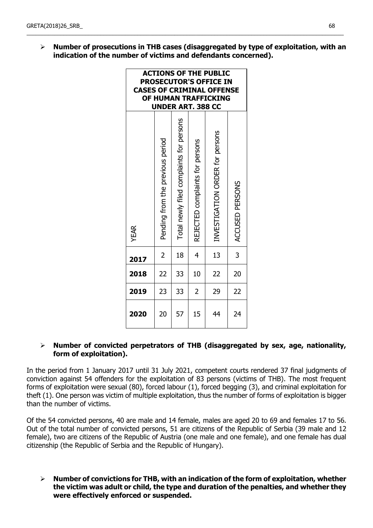**Number of prosecutions in THB cases (disaggregated by type of exploitation, with an indication of the number of victims and defendants concerned).** 

\_\_\_\_\_\_\_\_\_\_\_\_\_\_\_\_\_\_\_\_\_\_\_\_\_\_\_\_\_\_\_\_\_\_\_\_\_\_\_\_\_\_\_\_\_\_\_\_\_\_\_\_\_\_\_\_\_\_\_\_\_\_\_\_\_\_\_\_\_\_\_\_\_\_\_\_\_\_\_\_\_\_\_\_\_\_\_\_\_\_\_\_\_\_\_\_\_\_\_\_\_\_\_

| <b>ACTIONS OF THE PUBLIC</b><br><b>PROSECUTOR'S OFFICE IN</b><br><b>CASES OF CRIMINAL OFFENSE</b><br>OF HUMAN TRAFFICKING<br><b>UNDER ART. 388 CC</b> |                                  |                                          |                                 |                                 |                 |  |
|-------------------------------------------------------------------------------------------------------------------------------------------------------|----------------------------------|------------------------------------------|---------------------------------|---------------------------------|-----------------|--|
| <b>YEAR</b>                                                                                                                                           | Pending from the previous period | Total newly filed complaints for persons | REJECTED complaints for persons | INVESTIGATION ORDER for persons | ACCUSED PERSONS |  |
| 2017                                                                                                                                                  | $\overline{2}$                   | 18                                       | 4                               | 13                              | 3               |  |
| 2018                                                                                                                                                  | 22                               | 33                                       | 10                              | 22                              | 20              |  |
| 2019                                                                                                                                                  | 23                               | 33                                       | 2                               | 29                              | 22              |  |
| 2020                                                                                                                                                  | 20                               | 57                                       | 15                              | 44                              | 24              |  |

### **Number of convicted perpetrators of THB (disaggregated by sex, age, nationality, form of exploitation).**

In the period from 1 January 2017 until 31 July 2021, competent courts rendered 37 final judgments of conviction against 54 offenders for the exploitation of 83 persons (victims of THB). The most frequent forms of exploitation were sexual (80), forced labour (1), forced begging (3), and criminal exploitation for theft (1). One person was victim of multiple exploitation, thus the number of forms of exploitation is bigger than the number of victims.

Of the 54 convicted persons, 40 are male and 14 female, males are aged 20 to 69 and females 17 to 56. Out of the total number of convicted persons, 51 are citizens of the Republic of Serbia (39 male and 12 female), two are citizens of the Republic of Austria (one male and one female), and one female has dual citizenship (the Republic of Serbia and the Republic of Hungary).

 **Number of convictions for THB, with an indication of the form of exploitation, whether the victim was adult or child, the type and duration of the penalties, and whether they were effectively enforced or suspended.**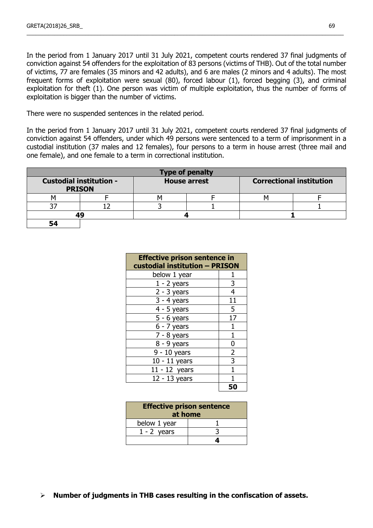In the period from 1 January 2017 until 31 July 2021, competent courts rendered 37 final judgments of conviction against 54 offenders for the exploitation of 83 persons (victims of THB). Out of the total number of victims, 77 are females (35 minors and 42 adults), and 6 are males (2 minors and 4 adults). The most frequent forms of exploitation were sexual (80), forced labour (1), forced begging (3), and criminal exploitation for theft (1). One person was victim of multiple exploitation, thus the number of forms of exploitation is bigger than the number of victims.

\_\_\_\_\_\_\_\_\_\_\_\_\_\_\_\_\_\_\_\_\_\_\_\_\_\_\_\_\_\_\_\_\_\_\_\_\_\_\_\_\_\_\_\_\_\_\_\_\_\_\_\_\_\_\_\_\_\_\_\_\_\_\_\_\_\_\_\_\_\_\_\_\_\_\_\_\_\_\_\_\_\_\_\_\_\_\_\_\_\_\_\_\_\_\_\_\_\_\_\_\_\_\_

There were no suspended sentences in the related period.

In the period from 1 January 2017 until 31 July 2021, competent courts rendered 37 final judgments of conviction against 54 offenders, under which 49 persons were sentenced to a term of imprisonment in a custodial institution (37 males and 12 females), four persons to a term in house arrest (three mail and one female), and one female to a term in correctional institution.

| <b>Type of penalty</b> |                                                 |                     |  |                                 |  |  |
|------------------------|-------------------------------------------------|---------------------|--|---------------------------------|--|--|
|                        | <b>Custodial institution -</b><br><b>PRISON</b> | <b>House arrest</b> |  | <b>Correctional institution</b> |  |  |
|                        |                                                 |                     |  |                                 |  |  |
|                        |                                                 |                     |  |                                 |  |  |
|                        |                                                 |                     |  |                                 |  |  |
| 54                     |                                                 |                     |  |                                 |  |  |

| <b>Effective prison sentence in</b><br>custodial institution - PRISON |                |  |  |  |
|-----------------------------------------------------------------------|----------------|--|--|--|
| below 1 year                                                          | 1              |  |  |  |
| $1 - 2$ years                                                         | 3              |  |  |  |
| $2 - 3$ years                                                         | 4              |  |  |  |
| $3 - 4$ years                                                         | 11             |  |  |  |
| $4 - 5$ years                                                         | 5              |  |  |  |
| $5 - 6$ years                                                         | 17             |  |  |  |
| $6 - 7$ years                                                         | 1              |  |  |  |
| $7 - 8$ years                                                         | 1              |  |  |  |
| $8 - 9$ years                                                         | 0              |  |  |  |
| $9 - 10$ years                                                        | $\overline{2}$ |  |  |  |
| $10 - 11$ years                                                       | 3              |  |  |  |
| $11 - 12$ years                                                       |                |  |  |  |
| 12 - 13 years                                                         |                |  |  |  |
|                                                                       |                |  |  |  |

| <b>Effective prison sentence</b><br>at home |  |  |  |
|---------------------------------------------|--|--|--|
| below 1 year                                |  |  |  |
| $1 - 2$ years                               |  |  |  |
|                                             |  |  |  |

**Number of judgments in THB cases resulting in the confiscation of assets.**